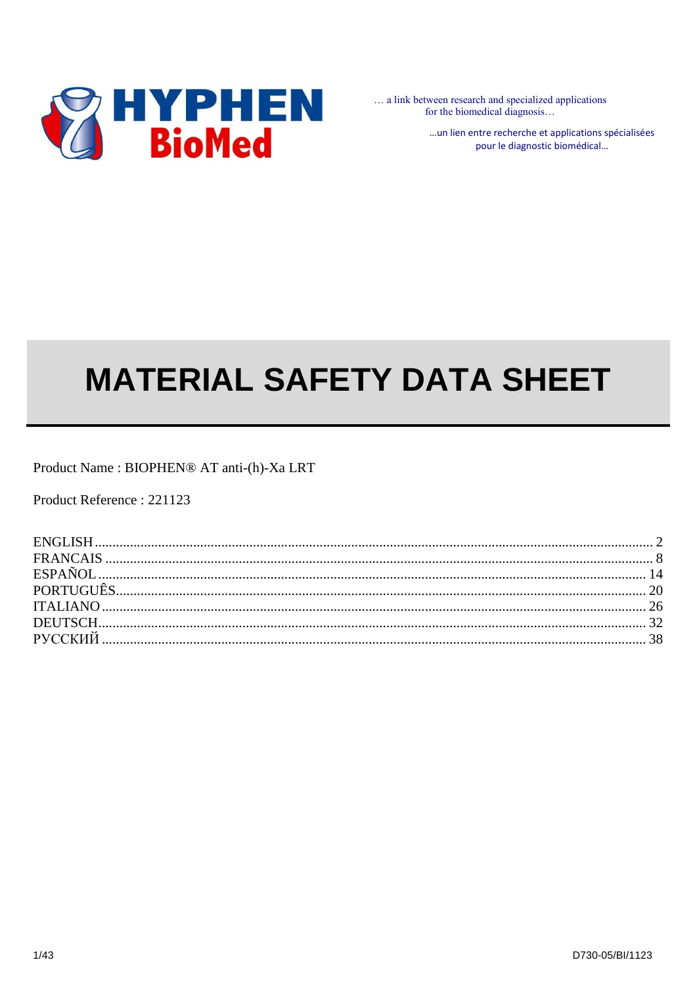

... a link between research and specialized applications for the biomedical diagnosis...

> ... un lien entre recherche et applications spécialisées pour le diagnostic biomédical...

# **MATERIAL SAFETY DATA SHEET**

Product Name: BIOPHEN® AT anti-(h)-Xa LRT

Product Reference: 221123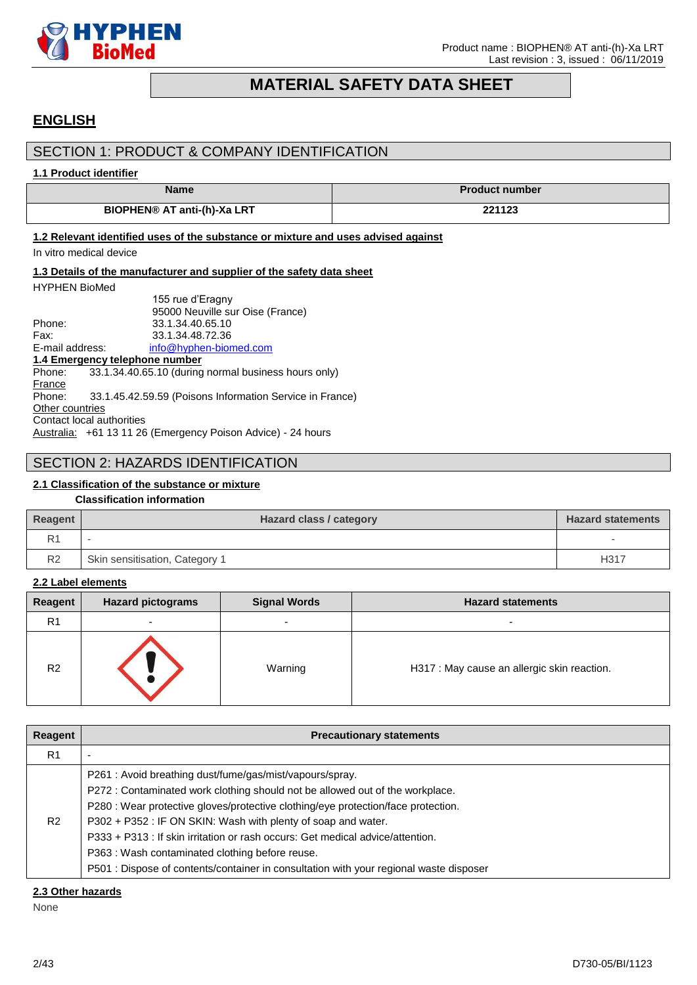

# **MATERIAL SAFETY DATA SHEET**

# <span id="page-1-0"></span>**ENGLISH**

### SECTION 1: PRODUCT & COMPANY IDENTIFICATION

### **1.1 Product identifier**

| <b>Name</b>                                                                                                                                                 | <b>Product number</b> |
|-------------------------------------------------------------------------------------------------------------------------------------------------------------|-----------------------|
| BIOPHEN <sup>®</sup> AT anti-(h)-Xa LRT                                                                                                                     | 221123                |
| 1.2 Relevant identified uses of the substance or mixture and uses advised against                                                                           |                       |
| In vitro medical device                                                                                                                                     |                       |
| 1.3 Details of the manufacturer and supplier of the safety data sheet                                                                                       |                       |
| HYPHEN BioMed                                                                                                                                               |                       |
| 155 rue d'Eragny<br>95000 Neuville sur Oise (France)<br>Phone:<br>33.1.34.40.65.10<br>Fax:<br>33.1.34.48.72.36<br>E-mail address:<br>info@hyphen-biomed.com |                       |
| 1.4 Emergency telephone number                                                                                                                              |                       |
| 33.1.34.40.65.10 (during normal business hours only)<br>Phone:<br>France                                                                                    |                       |
| 33.1.45.42.59.59 (Poisons Information Service in France)<br>Phone:<br>Other countries<br>Contact local authorities                                          |                       |
| Australia: +61 13 11 26 (Emergency Poison Advice) - 24 hours                                                                                                |                       |

# SECTION 2: HAZARDS IDENTIFICATION

### **2.1 Classification of the substance or mixture**

### **Classification information**

| Reagent        | <b>Hazard class / category</b> | <b>Hazard statements</b> |
|----------------|--------------------------------|--------------------------|
| R٠             |                                |                          |
| R <sub>2</sub> | Skin sensitisation, Category 1 | H317                     |

### **2.2 Label elements**

| Reagent        | <b>Hazard pictograms</b> | <b>Signal Words</b>      | <b>Hazard statements</b>                    |
|----------------|--------------------------|--------------------------|---------------------------------------------|
| R <sub>1</sub> | $\overline{\phantom{a}}$ | $\overline{\phantom{0}}$ | $\overline{\phantom{0}}$                    |
| R <sub>2</sub> |                          | Warning                  | H317 : May cause an allergic skin reaction. |

| Reagent        | <b>Precautionary statements</b>                                                                                                                                                                                                                                                                                                                                                                                                                                                                                                |
|----------------|--------------------------------------------------------------------------------------------------------------------------------------------------------------------------------------------------------------------------------------------------------------------------------------------------------------------------------------------------------------------------------------------------------------------------------------------------------------------------------------------------------------------------------|
| R <sub>1</sub> | -                                                                                                                                                                                                                                                                                                                                                                                                                                                                                                                              |
| R2             | P261 : Avoid breathing dust/fume/gas/mist/vapours/spray.<br>P272 : Contaminated work clothing should not be allowed out of the workplace.<br>P280 : Wear protective gloves/protective clothing/eye protection/face protection.<br>P302 + P352 : IF ON SKIN: Wash with plenty of soap and water.<br>P333 + P313 : If skin irritation or rash occurs: Get medical advice/attention.<br>P363 : Wash contaminated clothing before reuse.<br>P501 : Dispose of contents/container in consultation with your regional waste disposer |

#### **2.3 Other hazards**

None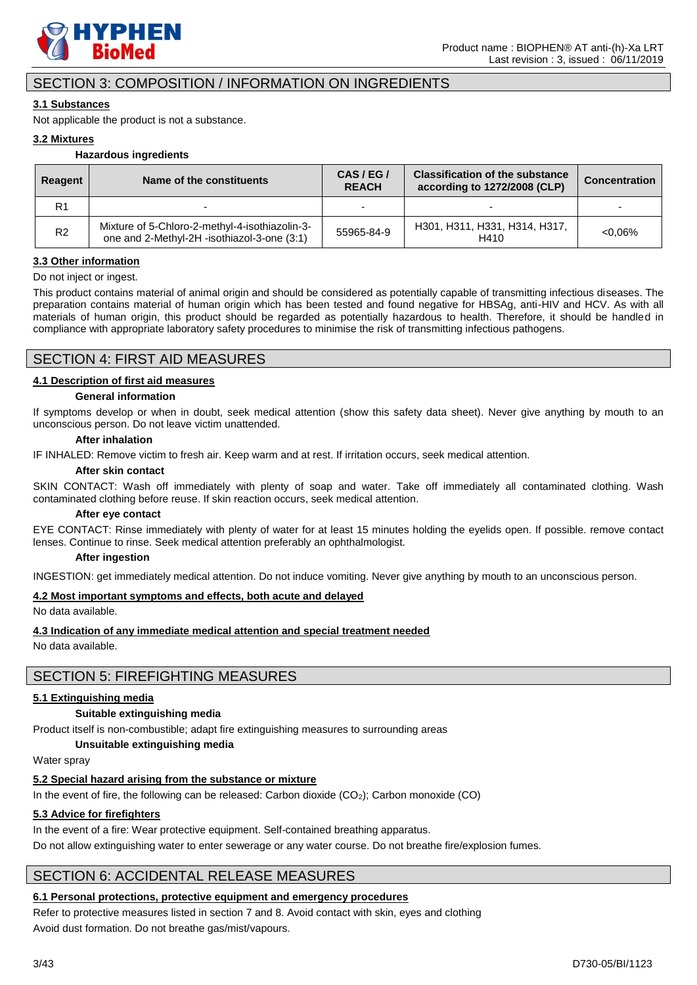

### SECTION 3: COMPOSITION / INFORMATION ON INGREDIENTS

#### **3.1 Substances**

Not applicable the product is not a substance.

#### **3.2 Mixtures**

#### **Hazardous ingredients**

| Reagent        | Name of the constituents                                                                      | CAS / EG /<br><b>REACH</b> | <b>Classification of the substance</b><br>according to 1272/2008 (CLP) | <b>Concentration</b> |
|----------------|-----------------------------------------------------------------------------------------------|----------------------------|------------------------------------------------------------------------|----------------------|
| R1             |                                                                                               |                            | -                                                                      |                      |
| R <sub>2</sub> | Mixture of 5-Chloro-2-methyl-4-isothiazolin-3-<br>one and 2-Methyl-2H -isothiazol-3-one (3:1) | 55965-84-9                 | H301, H311, H331, H314, H317,<br>H410                                  | $< 0.06\%$           |

#### **3.3 Other information**

Do not inject or ingest.

This product contains material of animal origin and should be considered as potentially capable of transmitting infectious diseases. The preparation contains material of human origin which has been tested and found negative for HBSAg, anti-HIV and HCV. As with all materials of human origin, this product should be regarded as potentially hazardous to health. Therefore, it should be handled in compliance with appropriate laboratory safety procedures to minimise the risk of transmitting infectious pathogens.

### SECTION 4: FIRST AID MEASURES

#### **4.1 Description of first aid measures**

#### **General information**

If symptoms develop or when in doubt, seek medical attention (show this safety data sheet). Never give anything by mouth to an unconscious person. Do not leave victim unattended.

#### **After inhalation**

IF INHALED: Remove victim to fresh air. Keep warm and at rest. If irritation occurs, seek medical attention.

#### **After skin contact**

SKIN CONTACT: Wash off immediately with plenty of soap and water. Take off immediately all contaminated clothing. Wash contaminated clothing before reuse. If skin reaction occurs, seek medical attention.

#### **After eye contact**

EYE CONTACT: Rinse immediately with plenty of water for at least 15 minutes holding the eyelids open. If possible. remove contact lenses. Continue to rinse. Seek medical attention preferably an ophthalmologist.

#### **After ingestion**

INGESTION: get immediately medical attention. Do not induce vomiting. Never give anything by mouth to an unconscious person.

#### **4.2 Most important symptoms and effects, both acute and delayed**

No data available.

#### **4.3 Indication of any immediate medical attention and special treatment needed**

No data available.

### SECTION 5: FIREFIGHTING MEASURES

#### **5.1 Extinguishing media**

#### **Suitable extinguishing media**

Product itself is non-combustible; adapt fire extinguishing measures to surrounding areas

#### **Unsuitable extinguishing media**

Water spray

#### **5.2 Special hazard arising from the substance or mixture**

In the event of fire, the following can be released: Carbon dioxide (CO<sub>2</sub>); Carbon monoxide (CO)

#### **5.3 Advice for firefighters**

In the event of a fire: Wear protective equipment. Self-contained breathing apparatus.

Do not allow extinguishing water to enter sewerage or any water course. Do not breathe fire/explosion fumes.

### SECTION 6: ACCIDENTAL RELEASE MEASURES

#### **6.1 Personal protections, protective equipment and emergency procedures**

Refer to protective measures listed in section 7 and 8. Avoid contact with skin, eyes and clothing Avoid dust formation. Do not breathe gas/mist/vapours.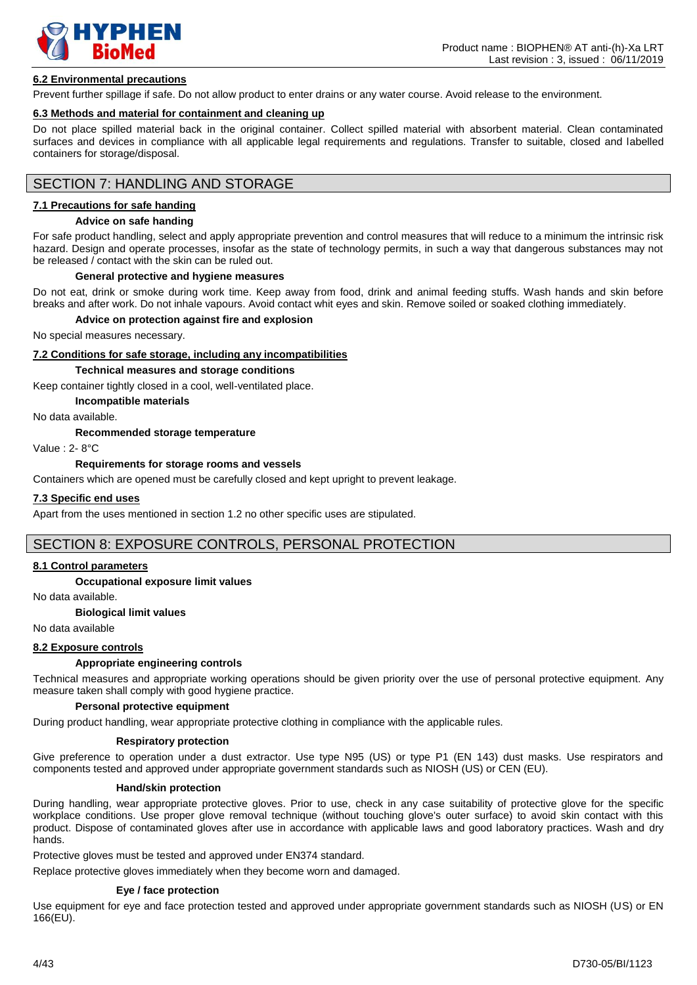

#### **6.2 Environmental precautions**

Prevent further spillage if safe. Do not allow product to enter drains or any water course. Avoid release to the environment.

#### **6.3 Methods and material for containment and cleaning up**

Do not place spilled material back in the original container. Collect spilled material with absorbent material. Clean contaminated surfaces and devices in compliance with all applicable legal requirements and regulations. Transfer to suitable, closed and labelled containers for storage/disposal.

### SECTION 7: HANDLING AND STORAGE

#### **7.1 Precautions for safe handing**

#### **Advice on safe handing**

For safe product handling, select and apply appropriate prevention and control measures that will reduce to a minimum the intrinsic risk hazard. Design and operate processes, insofar as the state of technology permits, in such a way that dangerous substances may not be released / contact with the skin can be ruled out.

#### **General protective and hygiene measures**

Do not eat, drink or smoke during work time. Keep away from food, drink and animal feeding stuffs. Wash hands and skin before breaks and after work. Do not inhale vapours. Avoid contact whit eyes and skin. Remove soiled or soaked clothing immediately.

#### **Advice on protection against fire and explosion**

No special measures necessary.

#### **7.2 Conditions for safe storage, including any incompatibilities**

**Technical measures and storage conditions**

Keep container tightly closed in a cool, well-ventilated place.

#### **Incompatible materials**

No data available.

**Recommended storage temperature**

Value : 2- 8°C

#### **Requirements for storage rooms and vessels**

Containers which are opened must be carefully closed and kept upright to prevent leakage.

#### **7.3 Specific end uses**

Apart from the uses mentioned in section 1.2 no other specific uses are stipulated.

#### SECTION 8: EXPOSURE CONTROLS, PERSONAL PROTECTION

#### **8.1 Control parameters**

#### **Occupational exposure limit values**

No data available.

**Biological limit values**

No data available

#### **8.2 Exposure controls**

#### **Appropriate engineering controls**

Technical measures and appropriate working operations should be given priority over the use of personal protective equipment. Any measure taken shall comply with good hygiene practice.

#### **Personal protective equipment**

During product handling, wear appropriate protective clothing in compliance with the applicable rules.

#### **Respiratory protection**

Give preference to operation under a dust extractor. Use type N95 (US) or type P1 (EN 143) dust masks. Use respirators and components tested and approved under appropriate government standards such as NIOSH (US) or CEN (EU).

#### **Hand/skin protection**

During handling, wear appropriate protective gloves. Prior to use, check in any case suitability of protective glove for the specific workplace conditions. Use proper glove removal technique (without touching glove's outer surface) to avoid skin contact with this product. Dispose of contaminated gloves after use in accordance with applicable laws and good laboratory practices. Wash and dry hands.

Protective gloves must be tested and approved under EN374 standard.

Replace protective gloves immediately when they become worn and damaged.

#### **Eye / face protection**

Use equipment for eye and face protection tested and approved under appropriate government standards such as NIOSH (US) or EN 166(EU).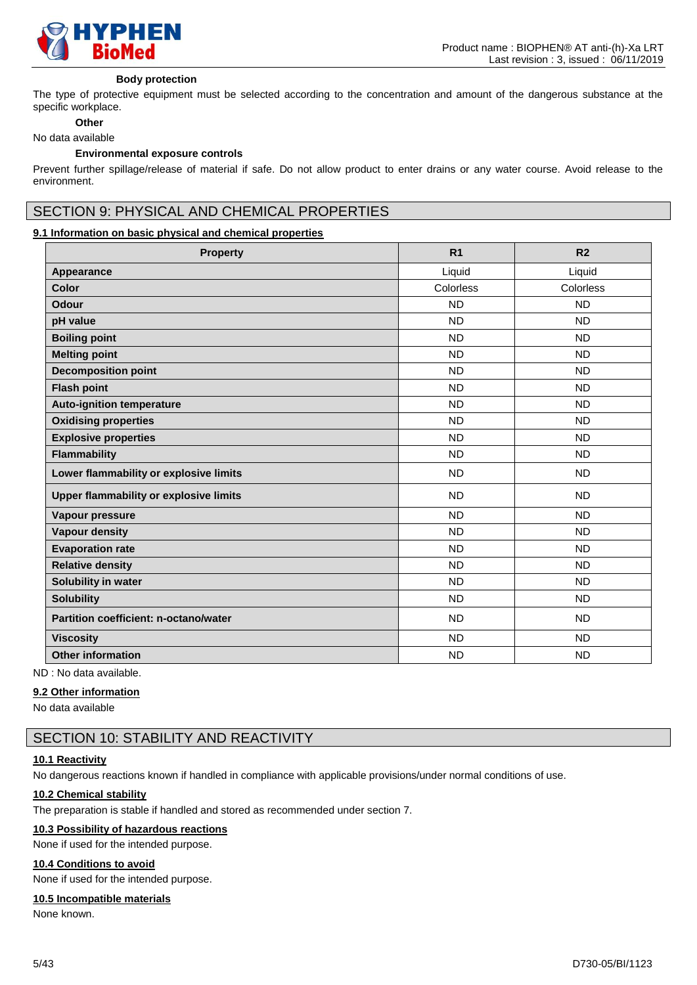

#### **Body protection**

The type of protective equipment must be selected according to the concentration and amount of the dangerous substance at the specific workplace.

### **Other**

### No data available

#### **Environmental exposure controls**

Prevent further spillage/release of material if safe. Do not allow product to enter drains or any water course. Avoid release to the environment.

### SECTION 9: PHYSICAL AND CHEMICAL PROPERTIES

#### **9.1 Information on basic physical and chemical properties**

| <b>Property</b>                              | R <sub>1</sub> | R <sub>2</sub> |
|----------------------------------------------|----------------|----------------|
| Appearance                                   | Liquid         | Liquid         |
| <b>Color</b>                                 | Colorless      | Colorless      |
| Odour                                        | <b>ND</b>      | <b>ND</b>      |
| pH value                                     | <b>ND</b>      | <b>ND</b>      |
| <b>Boiling point</b>                         | <b>ND</b>      | <b>ND</b>      |
| <b>Melting point</b>                         | <b>ND</b>      | <b>ND</b>      |
| <b>Decomposition point</b>                   | <b>ND</b>      | <b>ND</b>      |
| <b>Flash point</b>                           | <b>ND</b>      | <b>ND</b>      |
| <b>Auto-ignition temperature</b>             | <b>ND</b>      | <b>ND</b>      |
| <b>Oxidising properties</b>                  | <b>ND</b>      | <b>ND</b>      |
| <b>Explosive properties</b>                  | <b>ND</b>      | <b>ND</b>      |
| <b>Flammability</b>                          | <b>ND</b>      | <b>ND</b>      |
| Lower flammability or explosive limits       | <b>ND</b>      | <b>ND</b>      |
| Upper flammability or explosive limits       | <b>ND</b>      | <b>ND</b>      |
| Vapour pressure                              | <b>ND</b>      | <b>ND</b>      |
| <b>Vapour density</b>                        | <b>ND</b>      | <b>ND</b>      |
| <b>Evaporation rate</b>                      | <b>ND</b>      | <b>ND</b>      |
| <b>Relative density</b>                      | <b>ND</b>      | <b>ND</b>      |
| Solubility in water                          | <b>ND</b>      | <b>ND</b>      |
| <b>Solubility</b>                            | <b>ND</b>      | <b>ND</b>      |
| <b>Partition coefficient: n-octano/water</b> | <b>ND</b>      | <b>ND</b>      |
| <b>Viscosity</b>                             | <b>ND</b>      | <b>ND</b>      |
| <b>Other information</b>                     | <b>ND</b>      | <b>ND</b>      |

### ND : No data available.

#### **9.2 Other information**

No data available

### SECTION 10: STABILITY AND REACTIVITY

#### **10.1 Reactivity**

No dangerous reactions known if handled in compliance with applicable provisions/under normal conditions of use.

#### **10.2 Chemical stability**

The preparation is stable if handled and stored as recommended under section 7.

#### **10.3 Possibility of hazardous reactions**

None if used for the intended purpose.

#### **10.4 Conditions to avoid**

None if used for the intended purpose.

#### **10.5 Incompatible materials**

None known.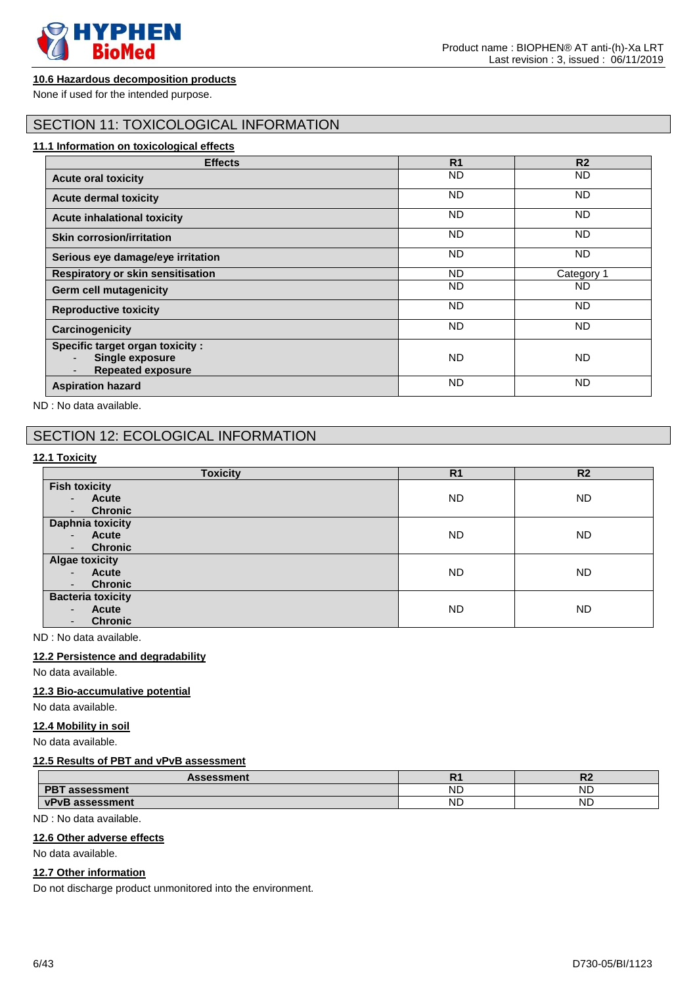

### **10.6 Hazardous decomposition products**

None if used for the intended purpose.

### SECTION 11: TOXICOLOGICAL INFORMATION

#### **11.1 Information on toxicological effects**

| <b>Effects</b>                                                                               | R <sub>1</sub> | R <sub>2</sub> |
|----------------------------------------------------------------------------------------------|----------------|----------------|
| <b>Acute oral toxicity</b>                                                                   | <b>ND</b>      | <b>ND</b>      |
| <b>Acute dermal toxicity</b>                                                                 | <b>ND</b>      | <b>ND</b>      |
| <b>Acute inhalational toxicity</b>                                                           | <b>ND</b>      | <b>ND</b>      |
| <b>Skin corrosion/irritation</b>                                                             | <b>ND</b>      | <b>ND</b>      |
| Serious eye damage/eye irritation                                                            | <b>ND</b>      | <b>ND</b>      |
| Respiratory or skin sensitisation                                                            | <b>ND</b>      | Category 1     |
| <b>Germ cell mutagenicity</b>                                                                | <b>ND</b>      | ND.            |
| <b>Reproductive toxicity</b>                                                                 | <b>ND</b>      | <b>ND</b>      |
| Carcinogenicity                                                                              | <b>ND</b>      | <b>ND</b>      |
| <b>Specific target organ toxicity:</b><br><b>Single exposure</b><br><b>Repeated exposure</b> | <b>ND</b>      | <b>ND</b>      |
| <b>Aspiration hazard</b>                                                                     | <b>ND</b>      | <b>ND</b>      |

ND : No data available.

### SECTION 12: ECOLOGICAL INFORMATION

### **12.1 Toxicity**

| <b>Toxicity</b>                            | R <sub>1</sub> | R <sub>2</sub> |
|--------------------------------------------|----------------|----------------|
| <b>Fish toxicity</b>                       |                |                |
| Acute<br>$\sim$                            | <b>ND</b>      | <b>ND</b>      |
| <b>Chronic</b><br>$\blacksquare$           |                |                |
| <b>Daphnia toxicity</b>                    |                |                |
| Acute<br>$\sim$                            | <b>ND</b>      | <b>ND</b>      |
| <b>Chronic</b><br>$\sim$                   |                |                |
| <b>Algae toxicity</b>                      |                |                |
| Acute<br>$\sim$                            | <b>ND</b>      | <b>ND</b>      |
| <b>Chronic</b><br>$\overline{\phantom{a}}$ |                |                |
| <b>Bacteria toxicity</b>                   |                |                |
| Acute<br>$\blacksquare$                    | <b>ND</b>      | <b>ND</b>      |
| <b>Chronic</b>                             |                |                |

ND : No data available.

**12.2 Persistence and degradability**

No data available.

#### **12.3 Bio-accumulative potential**

No data available.

#### **12.4 Mobility in soil**

No data available.

#### **12.5 Results of PBT and vPvB assessment**

| <b>Assessment</b>                 | п.<br>17 I | n,<br>nz  |
|-----------------------------------|------------|-----------|
| <b>DDT</b><br>assessment<br>- D L | ΝD         | <b>ND</b> |
| vPvB<br>assessment                | <b>ND</b>  | <b>ND</b> |

# ND : No data available.

**12.6 Other adverse effects**

No data available.

#### **12.7 Other information**

Do not discharge product unmonitored into the environment.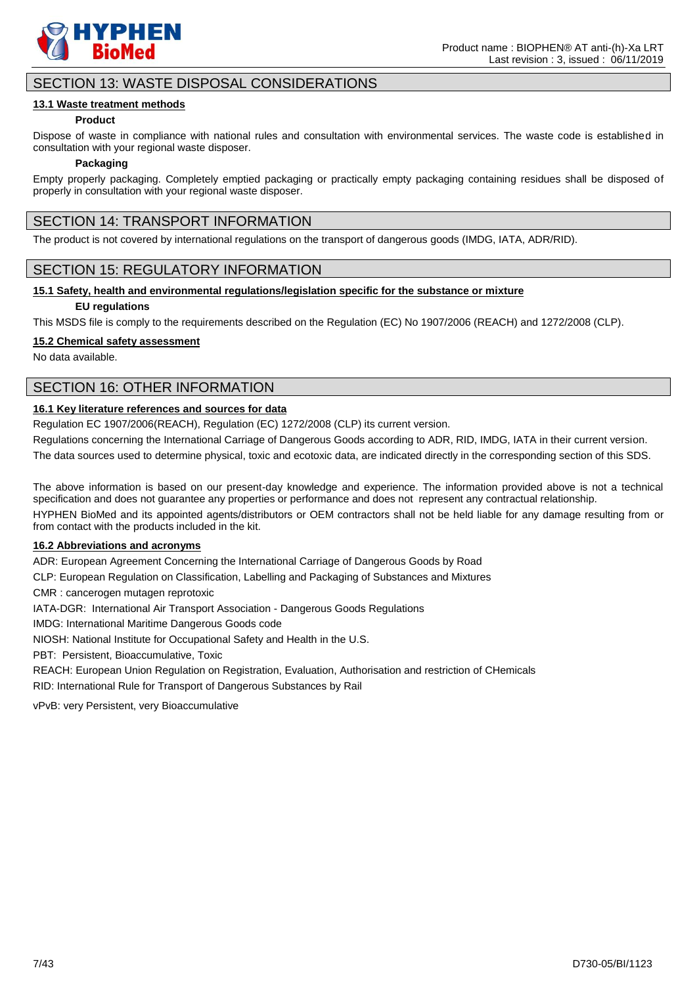

### SECTION 13: WASTE DISPOSAL CONSIDERATIONS

#### **13.1 Waste treatment methods**

#### **Product**

Dispose of waste in compliance with national rules and consultation with environmental services. The waste code is established in consultation with your regional waste disposer.

#### **Packaging**

Empty properly packaging. Completely emptied packaging or practically empty packaging containing residues shall be disposed of properly in consultation with your regional waste disposer.

### SECTION 14: TRANSPORT INFORMATION

The product is not covered by international regulations on the transport of dangerous goods (IMDG, IATA, ADR/RID).

### SECTION 15: REGULATORY INFORMATION

#### **15.1 Safety, health and environmental regulations/legislation specific for the substance or mixture**

#### **EU regulations**

This MSDS file is comply to the requirements described on the Regulation (EC) No 1907/2006 (REACH) and 1272/2008 (CLP).

#### **15.2 Chemical safety assessment**

No data available.

### SECTION 16: OTHER INFORMATION

#### **16.1 Key literature references and sources for data**

Regulation EC 1907/2006(REACH), Regulation (EC) 1272/2008 (CLP) its current version.

Regulations concerning the International Carriage of Dangerous Goods according to ADR, RID, IMDG, IATA in their current version.

The data sources used to determine physical, toxic and ecotoxic data, are indicated directly in the corresponding section of this SDS.

The above information is based on our present-day knowledge and experience. The information provided above is not a technical specification and does not guarantee any properties or performance and does not represent any contractual relationship.

HYPHEN BioMed and its appointed agents/distributors or OEM contractors shall not be held liable for any damage resulting from or from contact with the products included in the kit.

#### **16.2 Abbreviations and acronyms**

ADR: European Agreement Concerning the International Carriage of Dangerous Goods by Road

CLP: European Regulation on Classification, Labelling and Packaging of Substances and Mixtures

CMR : cancerogen mutagen reprotoxic

IATA-DGR: International Air Transport Association - Dangerous Goods Regulations

IMDG: International Maritime Dangerous Goods code

NIOSH: National Institute for Occupational Safety and Health in the U.S.

PBT: Persistent, Bioaccumulative, Toxic

REACH: European Union Regulation on Registration, Evaluation, Authorisation and restriction of CHemicals RID: International Rule for Transport of Dangerous Substances by Rail

vPvB: very Persistent, very Bioaccumulative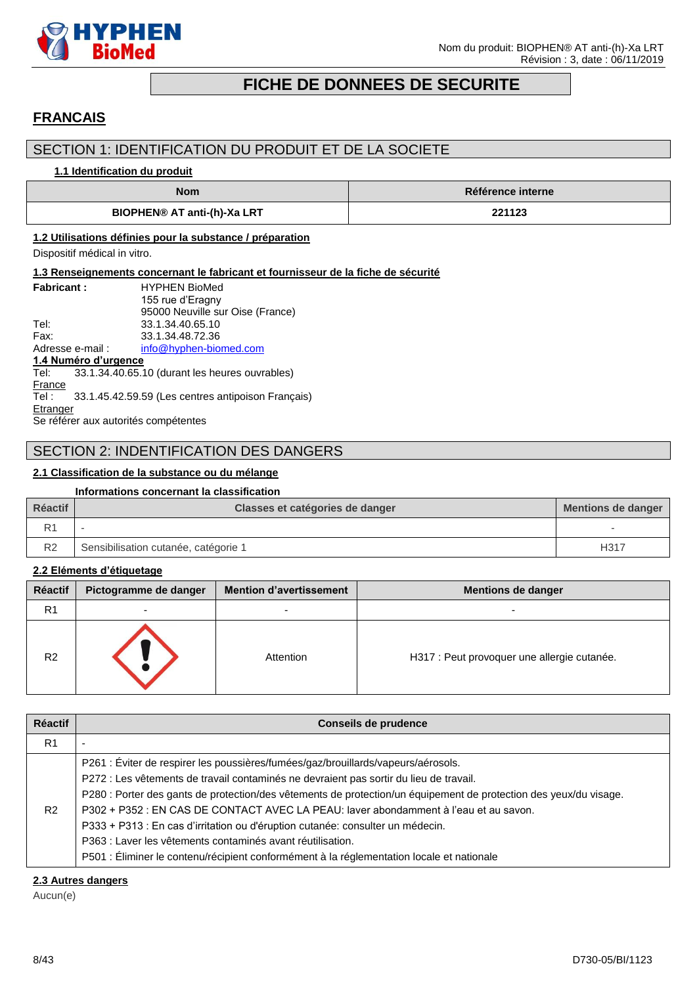

# **FICHE DE DONNEES DE SECURITE**

# <span id="page-7-0"></span>**FRANCAIS**

### SECTION 1: IDENTIFICATION DU PRODUIT ET DE LA SOCIETE

### **1.1 Identification du produit**

| Nom                                | Référence interne |
|------------------------------------|-------------------|
| <b>BIOPHEN® AT anti-(h)-Xa LRT</b> | 221123            |

### **1.2 Utilisations définies pour la substance / préparation**

Dispositif médical in vitro.

#### **1.3 Renseignements concernant le fabricant et fournisseur de la fiche de sécurité**

| <b>Fabricant:</b> |                      | <b>HYPHEN BioMed</b>                               |
|-------------------|----------------------|----------------------------------------------------|
|                   |                      | 155 rue d'Eragny                                   |
|                   |                      | 95000 Neuville sur Oise (France)                   |
| Tel:              |                      | 33.1.34.40.65.10                                   |
| Fax:              |                      | 33.1.34.48.72.36                                   |
|                   | Adresse e-mail:      | info@hyphen-biomed.com                             |
|                   | 1.4 Numéro d'urgence |                                                    |
| Tel:              |                      | 33.1.34.40.65.10 (durant les heures ouvrables)     |
| France            |                      |                                                    |
| Tel :             |                      | 33.1.45.42.59.59 (Les centres antipoison Français) |
| Etranger          |                      |                                                    |
|                   |                      | Se référer aux autorités compétentes               |
|                   |                      |                                                    |

### SECTION 2: INDENTIFICATION DES DANGERS

#### **2.1 Classification de la substance ou du mélange**

#### **Informations concernant la classification**

| <b>Réactif</b> | Classes et catégories de danger      | <b>Mentions de danger</b> |
|----------------|--------------------------------------|---------------------------|
| R1             |                                      |                           |
| R <sub>2</sub> | Sensibilisation cutanée, catégorie 1 | H317                      |

### **2.2 Eléments d'étiquetage**

| Réactif        | Pictogramme de danger | <b>Mention d'avertissement</b> | <b>Mentions de danger</b>                   |
|----------------|-----------------------|--------------------------------|---------------------------------------------|
| R <sub>1</sub> | <b>.</b>              |                                |                                             |
| R <sub>2</sub> |                       | Attention                      | H317 : Peut provoquer une allergie cutanée. |

| <b>Réactif</b> | <b>Conseils de prudence</b>                                                                                                                                                                                                                                                                                                                                                                                                                                                                                                                                                                                                           |
|----------------|---------------------------------------------------------------------------------------------------------------------------------------------------------------------------------------------------------------------------------------------------------------------------------------------------------------------------------------------------------------------------------------------------------------------------------------------------------------------------------------------------------------------------------------------------------------------------------------------------------------------------------------|
| R <sub>1</sub> | $\overline{\phantom{a}}$                                                                                                                                                                                                                                                                                                                                                                                                                                                                                                                                                                                                              |
| R <sub>2</sub> | P261 : Éviter de respirer les poussières/fumées/gaz/brouillards/vapeurs/aérosols.<br>P272 : Les vêtements de travail contaminés ne devraient pas sortir du lieu de travail.<br>P280 : Porter des gants de protection/des vêtements de protection/un équipement de protection des yeux/du visage.<br>P302 + P352 : EN CAS DE CONTACT AVEC LA PEAU: laver abondamment à l'eau et au savon.<br>P333 + P313 : En cas d'irritation ou d'éruption cutanée: consulter un médecin.<br>P363 : Laver les vêtements contaminés avant réutilisation.<br>P501 : Éliminer le contenu/récipient conformément à la réglementation locale et nationale |

#### **2.3 Autres dangers**

Aucun(e)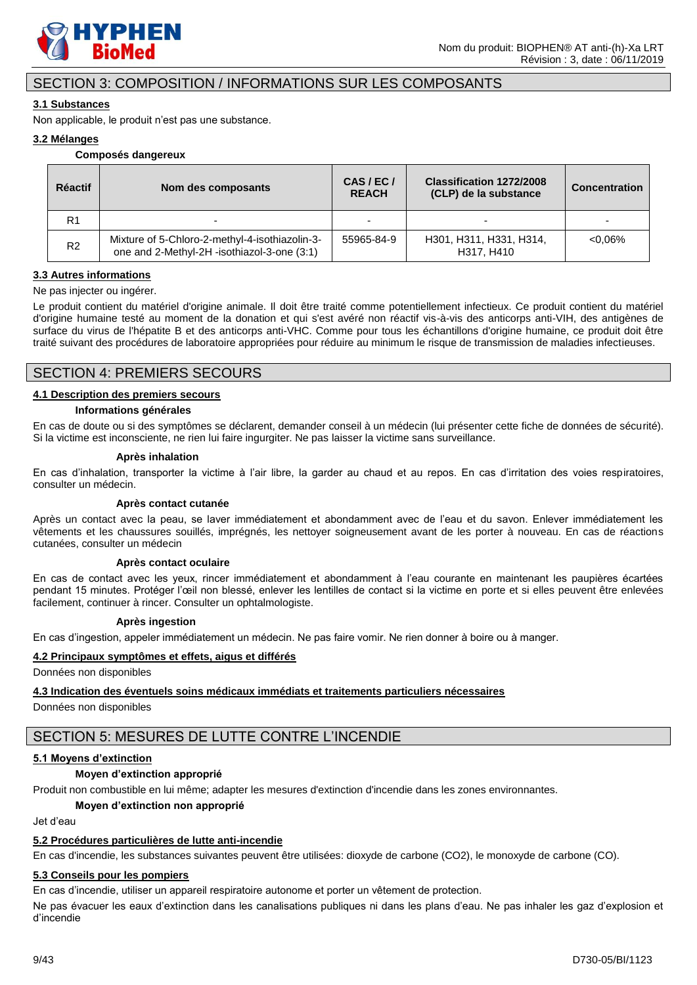

### SECTION 3: COMPOSITION / INFORMATIONS SUR LES COMPOSANTS

#### **3.1 Substances**

Non applicable, le produit n'est pas une substance.

#### **3.2 Mélanges**

#### **Composés dangereux**

| <b>Réactif</b> | Nom des composants                                                                            | CAS/EC/<br><b>REACH</b> | Classification 1272/2008<br>(CLP) de la substance | <b>Concentration</b> |
|----------------|-----------------------------------------------------------------------------------------------|-------------------------|---------------------------------------------------|----------------------|
| R <sub>1</sub> |                                                                                               |                         |                                                   |                      |
| R <sub>2</sub> | Mixture of 5-Chloro-2-methyl-4-isothiazolin-3-<br>one and 2-Methyl-2H -isothiazol-3-one (3:1) | 55965-84-9              | H301, H311, H331, H314,<br>H317, H410             | $< 0.06\%$           |

#### **3.3 Autres informations**

Ne pas injecter ou ingérer.

Le produit contient du matériel d'origine animale. Il doit être traité comme potentiellement infectieux. Ce produit contient du matériel d'origine humaine testé au moment de la donation et qui s'est avéré non réactif vis-à-vis des anticorps anti-VIH, des antigènes de surface du virus de l'hépatite B et des anticorps anti-VHC. Comme pour tous les échantillons d'origine humaine, ce produit doit être traité suivant des procédures de laboratoire appropriées pour réduire au minimum le risque de transmission de maladies infectieuses.

### SECTION 4: PREMIERS SECOURS

#### **4.1 Description des premiers secours**

#### **Informations générales**

En cas de doute ou si des symptômes se déclarent, demander conseil à un médecin (lui présenter cette fiche de données de sécurité). Si la victime est inconsciente, ne rien lui faire ingurgiter. Ne pas laisser la victime sans surveillance.

#### **Après inhalation**

En cas d'inhalation, transporter la victime à l'air libre, la garder au chaud et au repos. En cas d'irritation des voies respiratoires, consulter un médecin.

#### **Après contact cutanée**

Après un contact avec la peau, se laver immédiatement et abondamment avec de l'eau et du savon. Enlever immédiatement les vêtements et les chaussures souillés, imprégnés, les nettoyer soigneusement avant de les porter à nouveau. En cas de réactions cutanées, consulter un médecin

#### **Après contact oculaire**

En cas de contact avec les yeux, rincer immédiatement et abondamment à l'eau courante en maintenant les paupières écartées pendant 15 minutes. Protéger l'œil non blessé, enlever les lentilles de contact si la victime en porte et si elles peuvent être enlevées facilement, continuer à rincer. Consulter un ophtalmologiste.

#### **Après ingestion**

En cas d'ingestion, appeler immédiatement un médecin. Ne pas faire vomir. Ne rien donner à boire ou à manger.

#### **4.2 Principaux symptômes et effets, aigus et différés**

Données non disponibles

### **4.3 Indication des éventuels soins médicaux immédiats et traitements particuliers nécessaires**

Données non disponibles

# SECTION 5: MESURES DE LUTTE CONTRE L'INCENDIE

### **5.1 Moyens d'extinction**

### **Moyen d'extinction approprié**

Produit non combustible en lui même; adapter les mesures d'extinction d'incendie dans les zones environnantes.

### **Moyen d'extinction non approprié**

Jet d'eau

### **5.2 Procédures particulières de lutte anti-incendie**

En cas d'incendie, les substances suivantes peuvent être utilisées: dioxyde de carbone (CO2), le monoxyde de carbone (CO).

### **5.3 Conseils pour les pompiers**

En cas d'incendie, utiliser un appareil respiratoire autonome et porter un vêtement de protection.

Ne pas évacuer les eaux d'extinction dans les canalisations publiques ni dans les plans d'eau. Ne pas inhaler les gaz d'explosion et d'incendie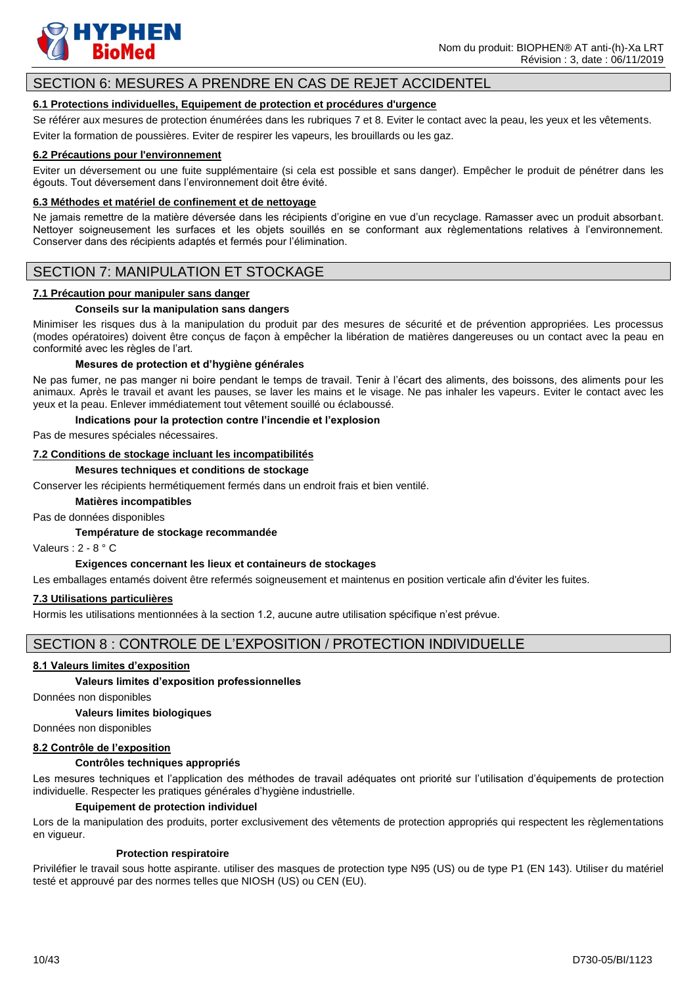

### SECTION 6: MESURES A PRENDRE EN CAS DE REJET ACCIDENTEL

#### **6.1 Protections individuelles, Equipement de protection et procédures d'urgence**

Se référer aux mesures de protection énumérées dans les rubriques 7 et 8. Eviter le contact avec la peau, les yeux et les vêtements. Eviter la formation de poussières. Eviter de respirer les vapeurs, les brouillards ou les gaz.

#### **6.2 Précautions pour l'environnement**

Eviter un déversement ou une fuite supplémentaire (si cela est possible et sans danger). Empêcher le produit de pénétrer dans les égouts. Tout déversement dans l'environnement doit être évité.

#### **6.3 Méthodes et matériel de confinement et de nettoyage**

Ne jamais remettre de la matière déversée dans les récipients d'origine en vue d'un recyclage. Ramasser avec un produit absorbant. Nettoyer soigneusement les surfaces et les objets souillés en se conformant aux règlementations relatives à l'environnement. Conserver dans des récipients adaptés et fermés pour l'élimination.

### SECTION 7: MANIPULATION ET STOCKAGE

#### **7.1 Précaution pour manipuler sans danger**

#### **Conseils sur la manipulation sans dangers**

Minimiser les risques dus à la manipulation du produit par des mesures de sécurité et de prévention appropriées. Les processus (modes opératoires) doivent être conçus de façon à empêcher la libération de matières dangereuses ou un contact avec la peau en conformité avec les règles de l'art.

#### **Mesures de protection et d'hygiène générales**

Ne pas fumer, ne pas manger ni boire pendant le temps de travail. Tenir à l'écart des aliments, des boissons, des aliments pour les animaux. Après le travail et avant les pauses, se laver les mains et le visage. Ne pas inhaler les vapeurs. Eviter le contact avec les yeux et la peau. Enlever immédiatement tout vêtement souillé ou éclaboussé.

#### **Indications pour la protection contre l'incendie et l'explosion**

Pas de mesures spéciales nécessaires.

#### **7.2 Conditions de stockage incluant les incompatibilités**

#### **Mesures techniques et conditions de stockage**

Conserver les récipients hermétiquement fermés dans un endroit frais et bien ventilé.

#### **Matières incompatibles**

Pas de données disponibles

#### **Température de stockage recommandée**

Valeurs : 2 - 8 ° C

#### **Exigences concernant les lieux et containeurs de stockages**

Les emballages entamés doivent être refermés soigneusement et maintenus en position verticale afin d'éviter les fuites.

#### **7.3 Utilisations particulières**

Hormis les utilisations mentionnées à la section 1.2, aucune autre utilisation spécifique n'est prévue.

### SECTION 8 : CONTROLE DE L'EXPOSITION / PROTECTION INDIVIDUELLE

#### **8.1 Valeurs limites d'exposition**

#### **Valeurs limites d'exposition professionnelles**

Données non disponibles

#### **Valeurs limites biologiques**

Données non disponibles

#### **8.2 Contrôle de l'exposition**

#### **Contrôles techniques appropriés**

Les mesures techniques et l'application des méthodes de travail adéquates ont priorité sur l'utilisation d'équipements de protection individuelle. Respecter les pratiques générales d'hygiène industrielle.

#### **Equipement de protection individuel**

Lors de la manipulation des produits, porter exclusivement des vêtements de protection appropriés qui respectent les règlementations en vigueur.

#### **Protection respiratoire**

Priviléfier le travail sous hotte aspirante. utiliser des masques de protection type N95 (US) ou de type P1 (EN 143). Utiliser du matériel testé et approuvé par des normes telles que NIOSH (US) ou CEN (EU).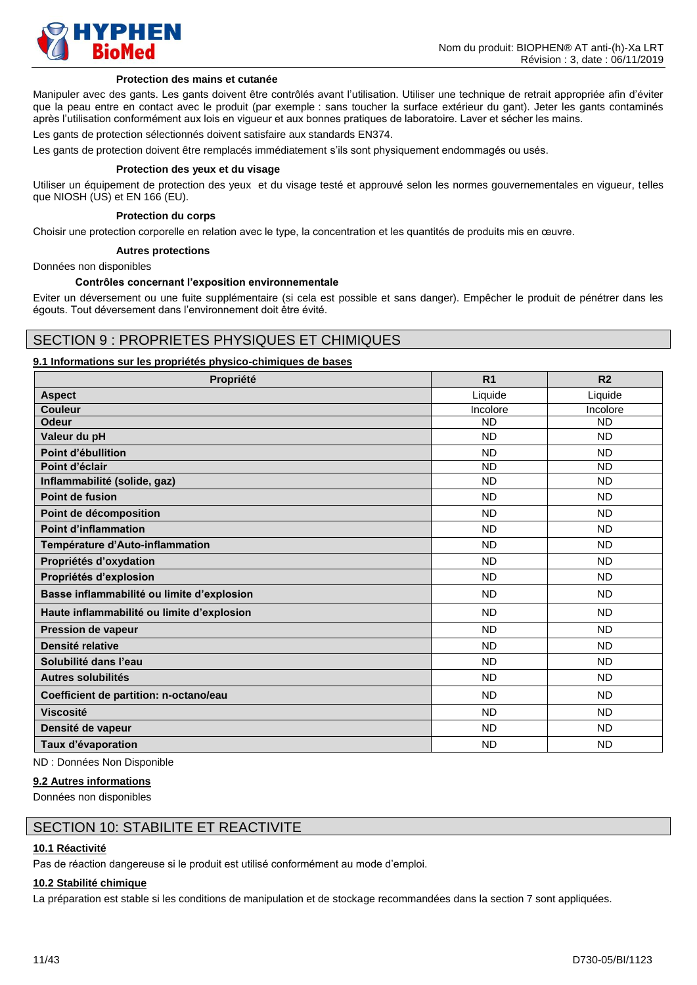

#### **Protection des mains et cutanée**

Manipuler avec des gants. Les gants doivent être contrôlés avant l'utilisation. Utiliser une technique de retrait appropriée afin d'éviter que la peau entre en contact avec le produit (par exemple : sans toucher la surface extérieur du gant). Jeter les gants contaminés après l'utilisation conformément aux lois en vigueur et aux bonnes pratiques de laboratoire. Laver et sécher les mains.

Les gants de protection sélectionnés doivent satisfaire aux standards EN374.

Les gants de protection doivent être remplacés immédiatement s'ils sont physiquement endommagés ou usés.

#### **Protection des yeux et du visage**

Utiliser un équipement de protection des yeux et du visage testé et approuvé selon les normes gouvernementales en vigueur, telles que NIOSH (US) et EN 166 (EU).

#### **Protection du corps**

Choisir une protection corporelle en relation avec le type, la concentration et les quantités de produits mis en œuvre.

#### **Autres protections**

Données non disponibles

#### **Contrôles concernant l'exposition environnementale**

Eviter un déversement ou une fuite supplémentaire (si cela est possible et sans danger). Empêcher le produit de pénétrer dans les égouts. Tout déversement dans l'environnement doit être évité.

### SECTION 9 : PROPRIETES PHYSIQUES ET CHIMIQUES

#### **9.1 Informations sur les propriétés physico-chimiques de bases**

| Propriété                                  | R <sub>1</sub> | R <sub>2</sub> |
|--------------------------------------------|----------------|----------------|
| <b>Aspect</b>                              | Liquide        | Liquide        |
| <b>Couleur</b>                             | Incolore       | Incolore       |
| <b>Odeur</b>                               | <b>ND</b>      | <b>ND</b>      |
| Valeur du pH                               | <b>ND</b>      | <b>ND</b>      |
| Point d'ébullition                         | <b>ND</b>      | <b>ND</b>      |
| Point d'éclair                             | <b>ND</b>      | <b>ND</b>      |
| Inflammabilité (solide, gaz)               | <b>ND</b>      | <b>ND</b>      |
| Point de fusion                            | <b>ND</b>      | <b>ND</b>      |
| Point de décomposition                     | <b>ND</b>      | <b>ND</b>      |
| <b>Point d'inflammation</b>                | <b>ND</b>      | <b>ND</b>      |
| Température d'Auto-inflammation            | <b>ND</b>      | <b>ND</b>      |
| Propriétés d'oxydation                     | <b>ND</b>      | <b>ND</b>      |
| Propriétés d'explosion                     | <b>ND</b>      | <b>ND</b>      |
| Basse inflammabilité ou limite d'explosion | <b>ND</b>      | <b>ND</b>      |
| Haute inflammabilité ou limite d'explosion | <b>ND</b>      | <b>ND</b>      |
| Pression de vapeur                         | <b>ND</b>      | <b>ND</b>      |
| Densité relative                           | <b>ND</b>      | <b>ND</b>      |
| Solubilité dans l'eau                      | <b>ND</b>      | <b>ND</b>      |
| <b>Autres solubilités</b>                  | <b>ND</b>      | <b>ND</b>      |
| Coefficient de partition: n-octano/eau     | <b>ND</b>      | <b>ND</b>      |
| <b>Viscosité</b>                           | <b>ND</b>      | <b>ND</b>      |
| Densité de vapeur                          | <b>ND</b>      | <b>ND</b>      |
| Taux d'évaporation                         | <b>ND</b>      | <b>ND</b>      |

ND : Données Non Disponible

#### **9.2 Autres informations**

Données non disponibles

### SECTION 10: STABILITE ET REACTIVITE

#### **10.1 Réactivité**

Pas de réaction dangereuse si le produit est utilisé conformément au mode d'emploi.

#### **10.2 Stabilité chimique**

La préparation est stable si les conditions de manipulation et de stockage recommandées dans la section 7 sont appliquées.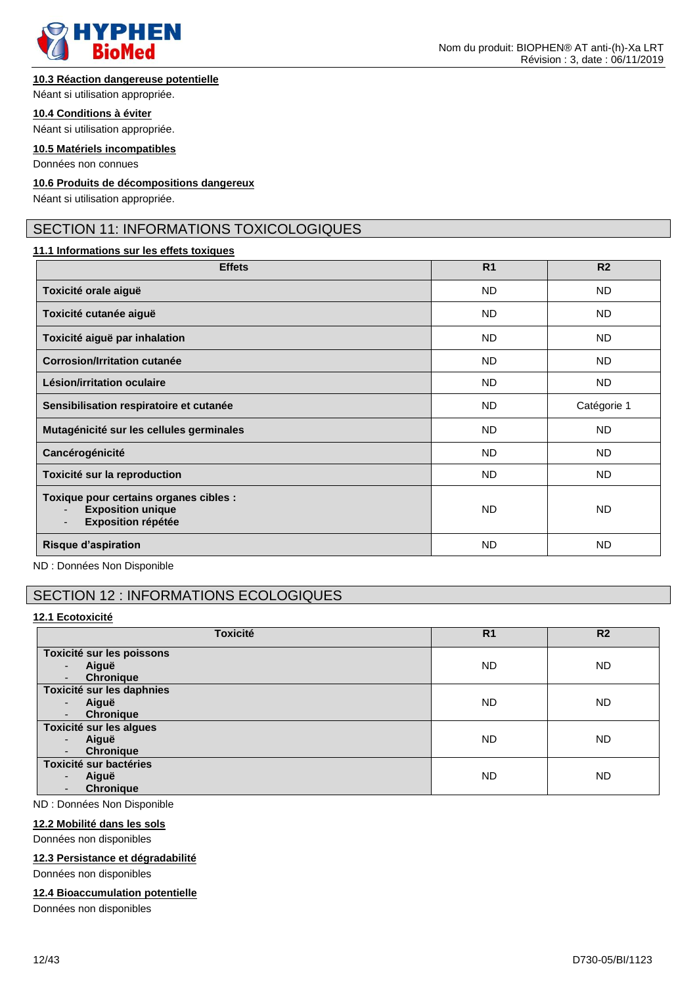

#### **10.3 Réaction dangereuse potentielle**

#### **10.4 Conditions à éviter**

Néant si utilisation appropriée.

#### **10.5 Matériels incompatibles**

Données non connues

#### **10.6 Produits de décompositions dangereux**

Néant si utilisation appropriée.

### SECTION 11: INFORMATIONS TOXICOLOGIQUES

#### **11.1 Informations sur les effets toxiques**

| <b>Effets</b>                                                                                                               | R <sub>1</sub> | R <sub>2</sub> |
|-----------------------------------------------------------------------------------------------------------------------------|----------------|----------------|
| Toxicité orale aiguë                                                                                                        | <b>ND</b>      | <b>ND</b>      |
| Toxicité cutanée aiguë                                                                                                      | ND.            | ND.            |
| Toxicité aiguë par inhalation                                                                                               | <b>ND</b>      | ND.            |
| <b>Corrosion/Irritation cutanée</b>                                                                                         | <b>ND</b>      | <b>ND</b>      |
| Lésion/irritation oculaire                                                                                                  | <b>ND</b>      | <b>ND</b>      |
| Sensibilisation respiratoire et cutanée                                                                                     | <b>ND</b>      | Catégorie 1    |
| Mutagénicité sur les cellules germinales                                                                                    | <b>ND</b>      | <b>ND</b>      |
| Cancérogénicité                                                                                                             | <b>ND</b>      | <b>ND</b>      |
| Toxicité sur la reproduction                                                                                                | <b>ND</b>      | <b>ND</b>      |
| Toxique pour certains organes cibles :<br><b>Exposition unique</b><br><b>Exposition répétée</b><br>$\overline{\phantom{a}}$ | <b>ND</b>      | <b>ND</b>      |
| Risque d'aspiration                                                                                                         | <b>ND</b>      | <b>ND</b>      |

ND : Données Non Disponible

### SECTION 12 : INFORMATIONS ECOLOGIQUES

#### **12.1 Ecotoxicité**

| <b>Toxicité</b>                                                                   | R <sub>1</sub> | R <sub>2</sub> |
|-----------------------------------------------------------------------------------|----------------|----------------|
| Toxicité sur les poissons                                                         |                |                |
| Aiguë<br>$\overline{\phantom{a}}$<br><b>Chronique</b><br>$\overline{\phantom{a}}$ | <b>ND</b>      | <b>ND</b>      |
| Toxicité sur les daphnies                                                         |                |                |
| Aiguë<br>$\overline{\phantom{a}}$                                                 | <b>ND</b>      | <b>ND</b>      |
| <b>Chronique</b><br>$\overline{\phantom{a}}$                                      |                |                |
| Toxicité sur les algues<br>Aiguë<br>$\overline{\phantom{a}}$                      | <b>ND</b>      | <b>ND</b>      |
| <b>Chronique</b><br>$\blacksquare$                                                |                |                |
| Toxicité sur bactéries                                                            |                |                |
| Aiguë<br><b>Chronique</b>                                                         | <b>ND</b>      | <b>ND</b>      |

ND : Données Non Disponible

#### **12.2 Mobilité dans les sols**

Données non disponibles

#### **12.3 Persistance et dégradabilité**

Données non disponibles

#### **12.4 Bioaccumulation potentielle**

Données non disponibles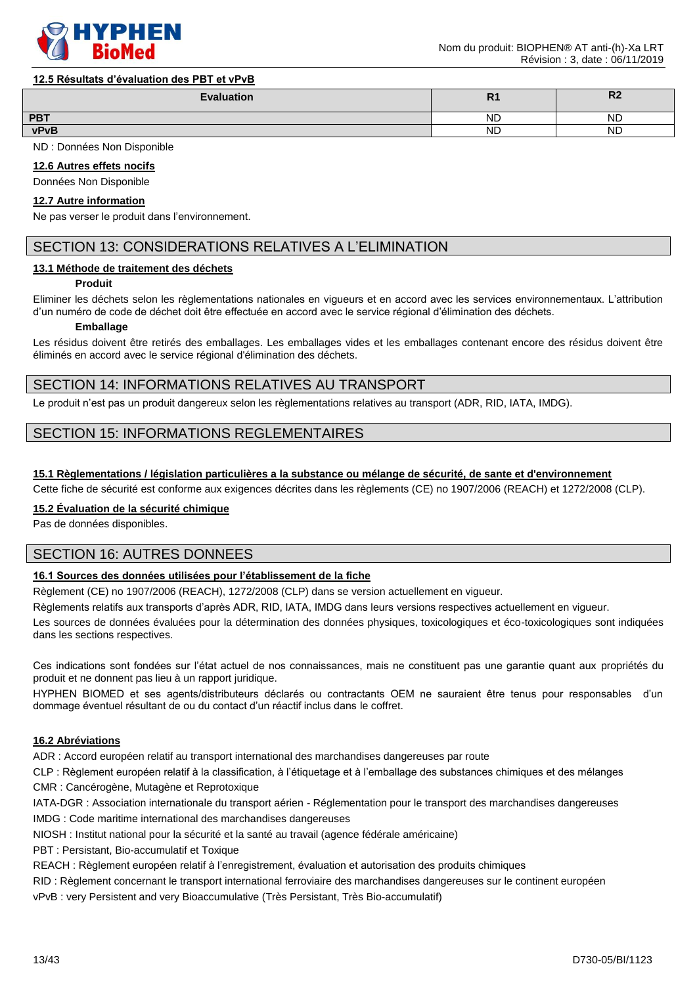

#### **12.5 Résultats d'évaluation des PBT et vPvB**

| <b>Evaluation</b> | D.<br>.   | D <sup>e</sup><br>n4 |
|-------------------|-----------|----------------------|
| <b>PBT</b>        | <b>ND</b> | <b>ND</b>            |
| vPvB              | <b>ND</b> | ΝD                   |

ND : Données Non Disponible

#### **12.6 Autres effets nocifs**

Données Non Disponible

### **12.7 Autre information**

Ne pas verser le produit dans l'environnement.

### SECTION 13: CONSIDERATIONS RELATIVES A L'ELIMINATION

#### **13.1 Méthode de traitement des déchets**

#### **Produit**

Eliminer les déchets selon les règlementations nationales en vigueurs et en accord avec les services environnementaux. L'attribution d'un numéro de code de déchet doit être effectuée en accord avec le service régional d'élimination des déchets.

#### **Emballage**

Les résidus doivent être retirés des emballages. Les emballages vides et les emballages contenant encore des résidus doivent être éliminés en accord avec le service régional d'élimination des déchets.

#### SECTION 14: INFORMATIONS RELATIVES AU TRANSPORT

Le produit n'est pas un produit dangereux selon les règlementations relatives au transport (ADR, RID, IATA, IMDG).

### SECTION 15: INFORMATIONS REGLEMENTAIRES

#### **15.1 Règlementations / législation particulières a la substance ou mélange de sécurité, de sante et d'environnement**

Cette fiche de sécurité est conforme aux exigences décrites dans les règlements (CE) no 1907/2006 (REACH) et 1272/2008 (CLP).

### **15.2 Évaluation de la sécurité chimique**

Pas de données disponibles.

### SECTION 16: AUTRES DONNEES

### **16.1 Sources des données utilisées pour l'établissement de la fiche**

Règlement (CE) no 1907/2006 (REACH), 1272/2008 (CLP) dans se version actuellement en vigueur.

Règlements relatifs aux transports d'après ADR, RID, IATA, IMDG dans leurs versions respectives actuellement en vigueur.

Les sources de données évaluées pour la détermination des données physiques, toxicologiques et éco-toxicologiques sont indiquées dans les sections respectives.

Ces indications sont fondées sur l'état actuel de nos connaissances, mais ne constituent pas une garantie quant aux propriétés du produit et ne donnent pas lieu à un rapport juridique.

HYPHEN BIOMED et ses agents/distributeurs déclarés ou contractants OEM ne sauraient être tenus pour responsables d'un dommage éventuel résultant de ou du contact d'un réactif inclus dans le coffret.

#### **16.2 Abréviations**

ADR : Accord européen relatif au transport international des marchandises dangereuses par route

CLP : Règlement européen relatif à la classification, à l'étiquetage et à l'emballage des substances chimiques et des mélanges CMR : Cancérogène, Mutagène et Reprotoxique

IATA-DGR : Association internationale du transport aérien - Réglementation pour le transport des marchandises dangereuses

IMDG : Code maritime international des marchandises dangereuses

NIOSH : Institut national pour la sécurité et la santé au travail (agence fédérale américaine)

PBT : Persistant, Bio-accumulatif et Toxique

REACH : Règlement européen relatif à l'enregistrement, évaluation et autorisation des produits chimiques

RID : Règlement concernant le transport international ferroviaire des marchandises dangereuses sur le continent européen

vPvB : very Persistent and very Bioaccumulative (Très Persistant, Très Bio-accumulatif)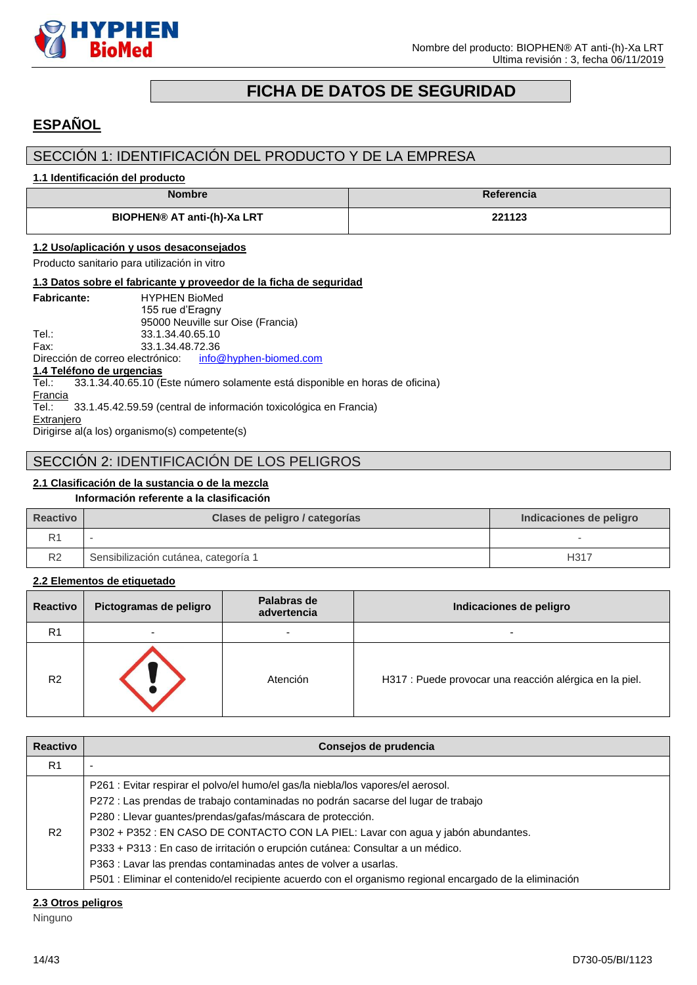

# **FICHA DE DATOS DE SEGURIDAD**

# <span id="page-13-0"></span>**ESPAÑOL**

### SECCIÓN 1: IDENTIFICACIÓN DEL PRODUCTO Y DE LA EMPRESA

#### **1.1 Identificación del producto**

| <b>Nombre</b>                      | <b>Referencia</b> |
|------------------------------------|-------------------|
| <b>BIOPHEN® AT anti-(h)-Xa LRT</b> | 221123            |

### **1.2 Uso/aplicación y usos desaconsejados**

Producto sanitario para utilización in vitro

#### **1.3 Datos sobre el fabricante y proveedor de la ficha de seguridad**

| <b>Fabricante:</b>        | <b>HYPHEN BioMed</b>                                                               |  |  |
|---------------------------|------------------------------------------------------------------------------------|--|--|
|                           | 155 rue d'Eragny                                                                   |  |  |
|                           | 95000 Neuville sur Oise (Francia)                                                  |  |  |
| Tel.:                     | 33.1.34.40.65.10                                                                   |  |  |
| Fax:                      | 33.1.34.48.72.36                                                                   |  |  |
|                           | Dirección de correo electrónico: info@hyphen-biomed.com                            |  |  |
| 1.4 Teléfono de urgencias |                                                                                    |  |  |
|                           | Tel.: 33.1.34.40.65.10 (Este número solamente está disponible en horas de oficina) |  |  |
| Francia                   |                                                                                    |  |  |
| Tel.∶                     | 33.1.45.42.59.59 (central de información toxicológica en Francia)                  |  |  |
| Extranjero                |                                                                                    |  |  |
|                           | Dirigirse al(a los) organismo(s) competente(s)                                     |  |  |

### SECCIÓN 2: IDENTIFICACIÓN DE LOS PELIGROS

### **2.1 Clasificación de la sustancia o de la mezcla**

#### **Información referente a la clasificación**

| <b>Reactivo</b> | Clases de peligro / categorías       | Indicaciones de peligro |
|-----------------|--------------------------------------|-------------------------|
|                 |                                      | -                       |
| R <sub>2</sub>  | Sensibilización cutánea, categoría 1 | H317                    |

#### **2.2 Elementos de etiquetado**

| <b>Reactivo</b> | Pictogramas de peligro   | Palabras de<br>advertencia | Indicaciones de peligro                                 |
|-----------------|--------------------------|----------------------------|---------------------------------------------------------|
| R <sub>1</sub>  | $\overline{\phantom{0}}$ | $\overline{\phantom{0}}$   | $\overline{\phantom{a}}$                                |
| R <sub>2</sub>  |                          | Atención                   | H317 : Puede provocar una reacción alérgica en la piel. |

| <b>Reactivo</b> | Consejos de prudencia                                                                                                                                                                                                                                                                                                                                                                                                                                                                                                                                                                      |
|-----------------|--------------------------------------------------------------------------------------------------------------------------------------------------------------------------------------------------------------------------------------------------------------------------------------------------------------------------------------------------------------------------------------------------------------------------------------------------------------------------------------------------------------------------------------------------------------------------------------------|
| R <sub>1</sub>  | -                                                                                                                                                                                                                                                                                                                                                                                                                                                                                                                                                                                          |
| R <sub>2</sub>  | P261 : Evitar respirar el polvo/el humo/el gas/la niebla/los vapores/el aerosol.<br>P272 : Las prendas de trabajo contaminadas no podrán sacarse del lugar de trabajo<br>P280 : Llevar guantes/prendas/gafas/máscara de protección.<br>P302 + P352 : EN CASO DE CONTACTO CON LA PIEL: Lavar con agua y jabón abundantes.<br>P333 + P313 : En caso de irritación o erupción cutánea: Consultar a un médico.<br>P363 : Lavar las prendas contaminadas antes de volver a usarlas.<br>P501 : Eliminar el contenido/el recipiente acuerdo con el organismo regional encargado de la eliminación |

#### **2.3 Otros peligros**

Ninguno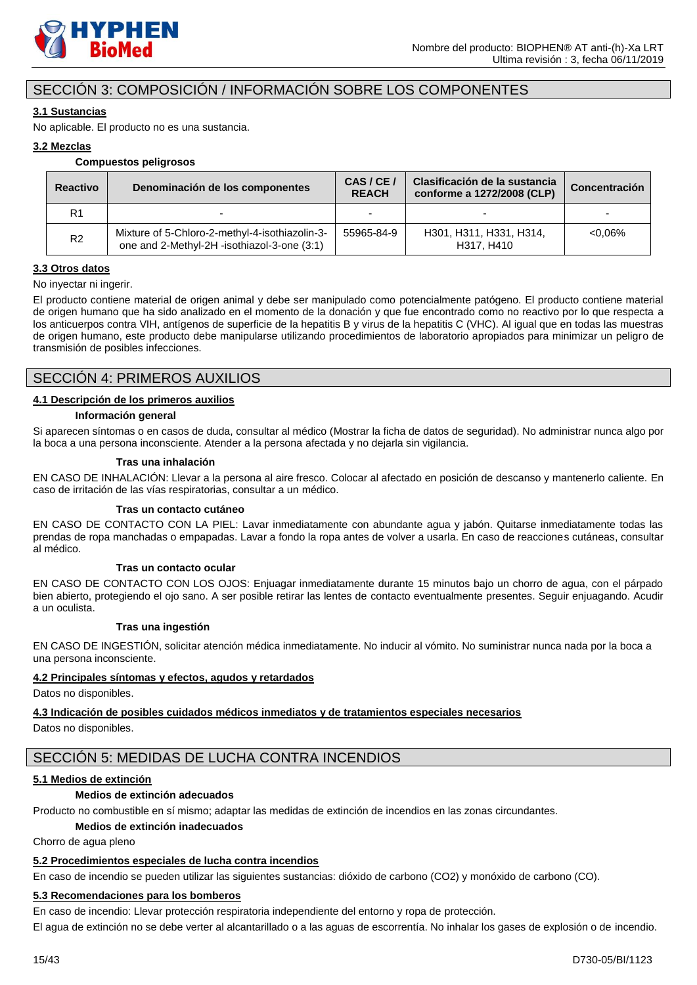

### SECCIÓN 3: COMPOSICIÓN / INFORMACIÓN SOBRE LOS COMPONENTES

### **3.1 Sustancias**

No aplicable. El producto no es una sustancia.

#### **3.2 Mezclas**

**Compuestos peligrosos**

| <b>Reactivo</b> | Denominación de los componentes                                                               | CAS/CE/<br><b>REACH</b> | Clasificación de la sustancia<br>conforme a 1272/2008 (CLP) | <b>Concentración</b> |
|-----------------|-----------------------------------------------------------------------------------------------|-------------------------|-------------------------------------------------------------|----------------------|
| R <sub>1</sub>  |                                                                                               |                         |                                                             |                      |
| R <sub>2</sub>  | Mixture of 5-Chloro-2-methyl-4-isothiazolin-3-<br>one and 2-Methyl-2H -isothiazol-3-one (3:1) | 55965-84-9              | H301, H311, H331, H314,<br>H317, H410                       | $< 0.06\%$           |

#### **3.3 Otros datos**

No inyectar ni ingerir.

El producto contiene material de origen animal y debe ser manipulado como potencialmente patógeno. El producto contiene material de origen humano que ha sido analizado en el momento de la donación y que fue encontrado como no reactivo por lo que respecta a los anticuerpos contra VIH, antígenos de superficie de la hepatitis B y virus de la hepatitis C (VHC). Al igual que en todas las muestras de origen humano, este producto debe manipularse utilizando procedimientos de laboratorio apropiados para minimizar un peligro de transmisión de posibles infecciones.

### SECCIÓN 4: PRIMEROS AUXILIOS

#### **4.1 Descripción de los primeros auxilios**

#### **Información general**

Si aparecen síntomas o en casos de duda, consultar al médico (Mostrar la ficha de datos de seguridad). No administrar nunca algo por la boca a una persona inconsciente. Atender a la persona afectada y no dejarla sin vigilancia.

#### **Tras una inhalación**

EN CASO DE INHALACIÓN: Llevar a la persona al aire fresco. Colocar al afectado en posición de descanso y mantenerlo caliente. En caso de irritación de las vías respiratorias, consultar a un médico.

#### **Tras un contacto cutáneo**

EN CASO DE CONTACTO CON LA PIEL: Lavar inmediatamente con abundante agua y jabón. Quitarse inmediatamente todas las prendas de ropa manchadas o empapadas. Lavar a fondo la ropa antes de volver a usarla. En caso de reacciones cutáneas, consultar al médico.

#### **Tras un contacto ocular**

EN CASO DE CONTACTO CON LOS OJOS: Enjuagar inmediatamente durante 15 minutos bajo un chorro de agua, con el párpado bien abierto, protegiendo el ojo sano. A ser posible retirar las lentes de contacto eventualmente presentes. Seguir enjuagando. Acudir a un oculista.

#### **Tras una ingestión**

EN CASO DE INGESTIÓN, solicitar atención médica inmediatamente. No inducir al vómito. No suministrar nunca nada por la boca a una persona inconsciente.

#### **4.2 Principales síntomas y efectos, agudos y retardados**

Datos no disponibles.

#### **4.3 Indicación de posibles cuidados médicos inmediatos y de tratamientos especiales necesarios**

Datos no disponibles.

### SECCIÓN 5: MEDIDAS DE LUCHA CONTRA INCENDIOS

### **5.1 Medios de extinción**

#### **Medios de extinción adecuados**

Producto no combustible en sí mismo; adaptar las medidas de extinción de incendios en las zonas circundantes.

#### **Medios de extinción inadecuados**

Chorro de agua pleno

#### **5.2 Procedimientos especiales de lucha contra incendios**

En caso de incendio se pueden utilizar las siguientes sustancias: dióxido de carbono (CO2) y monóxido de carbono (CO).

#### **5.3 Recomendaciones para los bomberos**

En caso de incendio: Llevar protección respiratoria independiente del entorno y ropa de protección.

El agua de extinción no se debe verter al alcantarillado o a las aguas de escorrentía. No inhalar los gases de explosión o de incendio.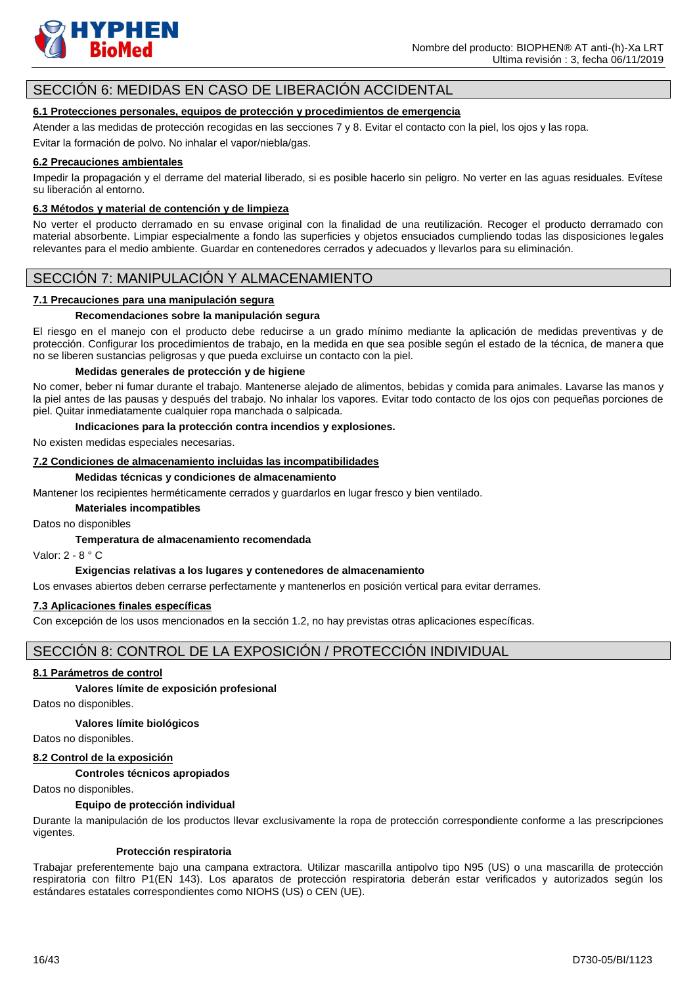

### SECCIÓN 6: MEDIDAS EN CASO DE LIBERACIÓN ACCIDENTAL

#### **6.1 Protecciones personales, equipos de protección y procedimientos de emergencia**

Atender a las medidas de protección recogidas en las secciones 7 y 8. Evitar el contacto con la piel, los ojos y las ropa. Evitar la formación de polvo. No inhalar el vapor/niebla/gas.

#### **6.2 Precauciones ambientales**

Impedir la propagación y el derrame del material liberado, si es posible hacerlo sin peligro. No verter en las aguas residuales. Evítese su liberación al entorno.

#### **6.3 Métodos y material de contención y de limpieza**

No verter el producto derramado en su envase original con la finalidad de una reutilización. Recoger el producto derramado con material absorbente. Limpiar especialmente a fondo las superficies y objetos ensuciados cumpliendo todas las disposiciones legales relevantes para el medio ambiente. Guardar en contenedores cerrados y adecuados y llevarlos para su eliminación.

### SECCIÓN 7: MANIPULACIÓN Y ALMACENAMIENTO

#### **7.1 Precauciones para una manipulación segura**

#### **Recomendaciones sobre la manipulación segura**

El riesgo en el manejo con el producto debe reducirse a un grado mínimo mediante la aplicación de medidas preventivas y de protección. Configurar los procedimientos de trabajo, en la medida en que sea posible según el estado de la técnica, de manera que no se liberen sustancias peligrosas y que pueda excluirse un contacto con la piel.

#### **Medidas generales de protección y de higiene**

No comer, beber ni fumar durante el trabajo. Mantenerse alejado de alimentos, bebidas y comida para animales. Lavarse las manos y la piel antes de las pausas y después del trabajo. No inhalar los vapores. Evitar todo contacto de los ojos con pequeñas porciones de piel. Quitar inmediatamente cualquier ropa manchada o salpicada.

#### **Indicaciones para la protección contra incendios y explosiones.**

No existen medidas especiales necesarias.

#### **7.2 Condiciones de almacenamiento incluidas las incompatibilidades**

#### **Medidas técnicas y condiciones de almacenamiento**

Mantener los recipientes herméticamente cerrados y guardarlos en lugar fresco y bien ventilado.

**Materiales incompatibles**

#### Datos no disponibles

#### **Temperatura de almacenamiento recomendada**

Valor: 2 - 8 ° C

#### **Exigencias relativas a los lugares y contenedores de almacenamiento**

Los envases abiertos deben cerrarse perfectamente y mantenerlos en posición vertical para evitar derrames.

#### **7.3 Aplicaciones finales específicas**

Con excepción de los usos mencionados en la sección 1.2, no hay previstas otras aplicaciones específicas.

### SECCIÓN 8: CONTROL DE LA EXPOSICIÓN / PROTECCIÓN INDIVIDUAL

#### **8.1 Parámetros de control**

### **Valores límite de exposición profesional**

Datos no disponibles.

#### **Valores límite biológicos**

Datos no disponibles.

#### **8.2 Control de la exposición**

#### **Controles técnicos apropiados**

Datos no disponibles.

#### **Equipo de protección individual**

Durante la manipulación de los productos llevar exclusivamente la ropa de protección correspondiente conforme a las prescripciones vigentes.

#### **Protección respiratoria**

Trabajar preferentemente bajo una campana extractora. Utilizar mascarilla antipolvo tipo N95 (US) o una mascarilla de protección respiratoria con filtro P1(EN 143). Los aparatos de protección respiratoria deberán estar verificados y autorizados según los estándares estatales correspondientes como NIOHS (US) o CEN (UE).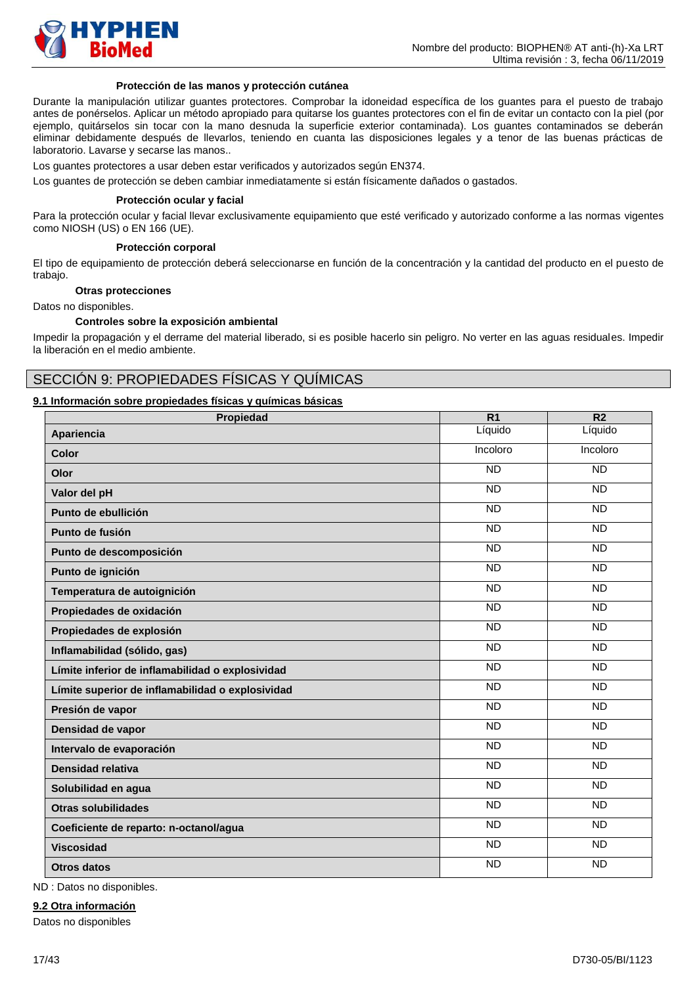

#### **Protección de las manos y protección cutánea**

Durante la manipulación utilizar guantes protectores. Comprobar la idoneidad específica de los guantes para el puesto de trabajo antes de ponérselos. Aplicar un método apropiado para quitarse los guantes protectores con el fin de evitar un contacto con la piel (por ejemplo, quitárselos sin tocar con la mano desnuda la superficie exterior contaminada). Los guantes contaminados se deberán eliminar debidamente después de llevarlos, teniendo en cuanta las disposiciones legales y a tenor de las buenas prácticas de laboratorio. Lavarse y secarse las manos..

Los guantes protectores a usar deben estar verificados y autorizados según EN374.

Los guantes de protección se deben cambiar inmediatamente si están físicamente dañados o gastados.

#### **Protección ocular y facial**

Para la protección ocular y facial llevar exclusivamente equipamiento que esté verificado y autorizado conforme a las normas vigentes como NIOSH (US) o EN 166 (UE).

#### **Protección corporal**

El tipo de equipamiento de protección deberá seleccionarse en función de la concentración y la cantidad del producto en el puesto de trabajo.

#### **Otras protecciones**

Datos no disponibles.

#### **Controles sobre la exposición ambiental**

Impedir la propagación y el derrame del material liberado, si es posible hacerlo sin peligro. No verter en las aguas residuales. Impedir la liberación en el medio ambiente.

### SECCIÓN 9: PROPIEDADES FÍSICAS Y QUÍMICAS

#### **9.1 Información sobre propiedades físicas y químicas básicas**

| Propiedad                                        | R <sub>1</sub>  | R <sub>2</sub>  |
|--------------------------------------------------|-----------------|-----------------|
| Apariencia                                       | Líquido         | Líquido         |
| Color                                            | Incoloro        | Incoloro        |
| Olor                                             | $\overline{ND}$ | $\overline{ND}$ |
| Valor del pH                                     | <b>ND</b>       | <b>ND</b>       |
| Punto de ebullición                              | $\overline{ND}$ | <b>ND</b>       |
| Punto de fusión                                  | $\overline{ND}$ | <b>ND</b>       |
| Punto de descomposición                          | <b>ND</b>       | N <sub>D</sub>  |
| Punto de ignición                                | <b>ND</b>       | <b>ND</b>       |
| Temperatura de autoignición                      | $\overline{ND}$ | <b>ND</b>       |
| Propiedades de oxidación                         | $\overline{ND}$ | $\overline{ND}$ |
| Propiedades de explosión                         | <b>ND</b>       | <b>ND</b>       |
| Inflamabilidad (sólido, gas)                     | <b>ND</b>       | <b>ND</b>       |
| Límite inferior de inflamabilidad o explosividad | $\overline{ND}$ | <b>ND</b>       |
| Límite superior de inflamabilidad o explosividad | <b>ND</b>       | <b>ND</b>       |
| Presión de vapor                                 | <b>ND</b>       | <b>ND</b>       |
| Densidad de vapor                                | <b>ND</b>       | <b>ND</b>       |
| Intervalo de evaporación                         | $\overline{ND}$ | $\overline{ND}$ |
| <b>Densidad relativa</b>                         | <b>ND</b>       | <b>ND</b>       |
| Solubilidad en agua                              | <b>ND</b>       | <b>ND</b>       |
| <b>Otras solubilidades</b>                       | $\overline{ND}$ | <b>ND</b>       |
| Coeficiente de reparto: n-octanol/agua           | <b>ND</b>       | <b>ND</b>       |
| <b>Viscosidad</b>                                | <b>ND</b>       | <b>ND</b>       |
| <b>Otros datos</b>                               | <b>ND</b>       | <b>ND</b>       |

ND : Datos no disponibles.

#### **9.2 Otra información**

Datos no disponibles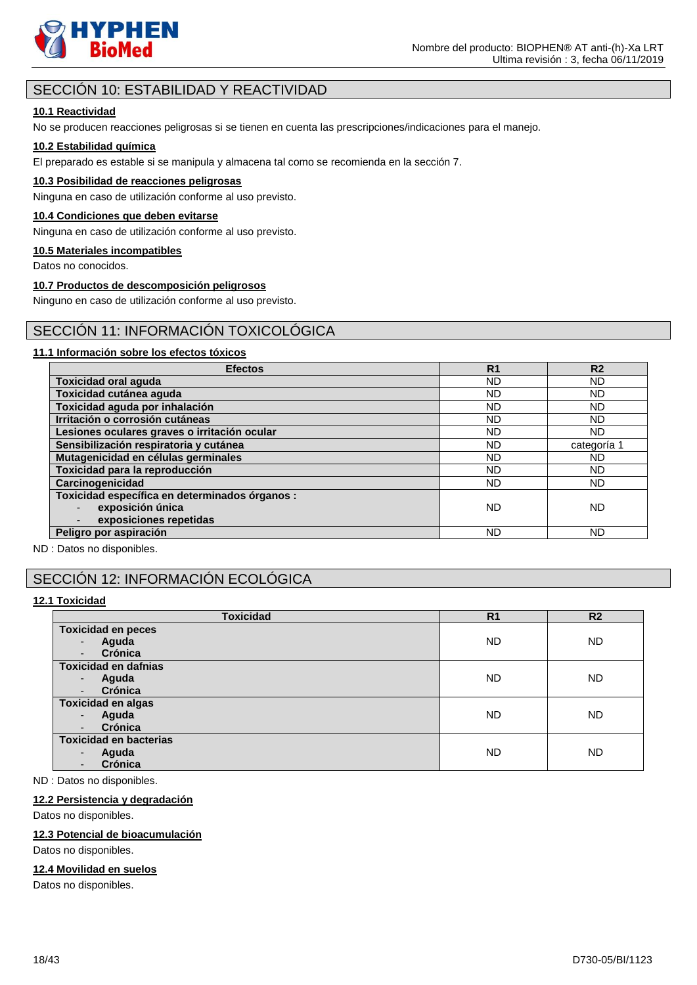

### SECCIÓN 10: ESTABILIDAD Y REACTIVIDAD

### **10.1 Reactividad**

No se producen reacciones peligrosas si se tienen en cuenta las prescripciones/indicaciones para el manejo.

### **10.2 Estabilidad química**

El preparado es estable si se manipula y almacena tal como se recomienda en la sección 7.

#### **10.3 Posibilidad de reacciones peligrosas**

Ninguna en caso de utilización conforme al uso previsto.

#### **10.4 Condiciones que deben evitarse**

Ninguna en caso de utilización conforme al uso previsto.

#### **10.5 Materiales incompatibles**

Datos no conocidos.

#### **10.7 Productos de descomposición peligrosos**

Ninguno en caso de utilización conforme al uso previsto.

### SECCIÓN 11: INFORMACIÓN TOXICOLÓGICA

### **11.1 Información sobre los efectos tóxicos**

| <b>Efectos</b>                                                                               | R <sub>1</sub> | R <sub>2</sub> |
|----------------------------------------------------------------------------------------------|----------------|----------------|
| <b>Toxicidad oral aguda</b>                                                                  | ND             | ND             |
| Toxicidad cutánea aguda                                                                      | <b>ND</b>      | ND             |
| Toxicidad aguda por inhalación                                                               | ND             | ND             |
| Irritación o corrosión cutáneas                                                              | ND.            | ND             |
| Lesiones oculares graves o irritación ocular                                                 | ND             | ND             |
| Sensibilización respiratoria y cutánea                                                       | <b>ND</b>      | categoría 1    |
| Mutagenicidad en células germinales                                                          | ND.            | <b>ND</b>      |
| Toxicidad para la reproducción                                                               | ND.            | ND             |
| Carcinogenicidad                                                                             | <b>ND</b>      | ND             |
| Toxicidad específica en determinados órganos :<br>exposición única<br>exposiciones repetidas | <b>ND</b>      | ND             |
| Peligro por aspiración                                                                       | ND.            | ND             |

ND : Datos no disponibles.

# SECCIÓN 12: INFORMACIÓN ECOLÓGICA

#### **12.1 Toxicidad**

| <b>Toxicidad</b>                    | R <sub>1</sub> | R <sub>2</sub> |
|-------------------------------------|----------------|----------------|
| <b>Toxicidad en peces</b>           |                |                |
| Aguda<br>$\overline{\phantom{a}}$   | <b>ND</b>      | <b>ND</b>      |
| Crónica<br>٠                        |                |                |
| <b>Toxicidad en dafnias</b>         |                |                |
| Aguda<br>$\overline{\phantom{a}}$   | <b>ND</b>      | <b>ND</b>      |
| Crónica<br>$\overline{\phantom{a}}$ |                |                |
| <b>Toxicidad en algas</b>           |                |                |
| Aguda<br>$\overline{\phantom{a}}$   | <b>ND</b>      | <b>ND</b>      |
| Crónica<br>٠                        |                |                |
| <b>Toxicidad en bacterias</b>       |                |                |
| Aguda<br>$\overline{\phantom{a}}$   | <b>ND</b>      | <b>ND</b>      |
| <b>Crónica</b>                      |                |                |

ND : Datos no disponibles.

#### **12.2 Persistencia y degradación**

Datos no disponibles.

#### **12.3 Potencial de bioacumulación**

Datos no disponibles.

#### **12.4 Movilidad en suelos**

Datos no disponibles.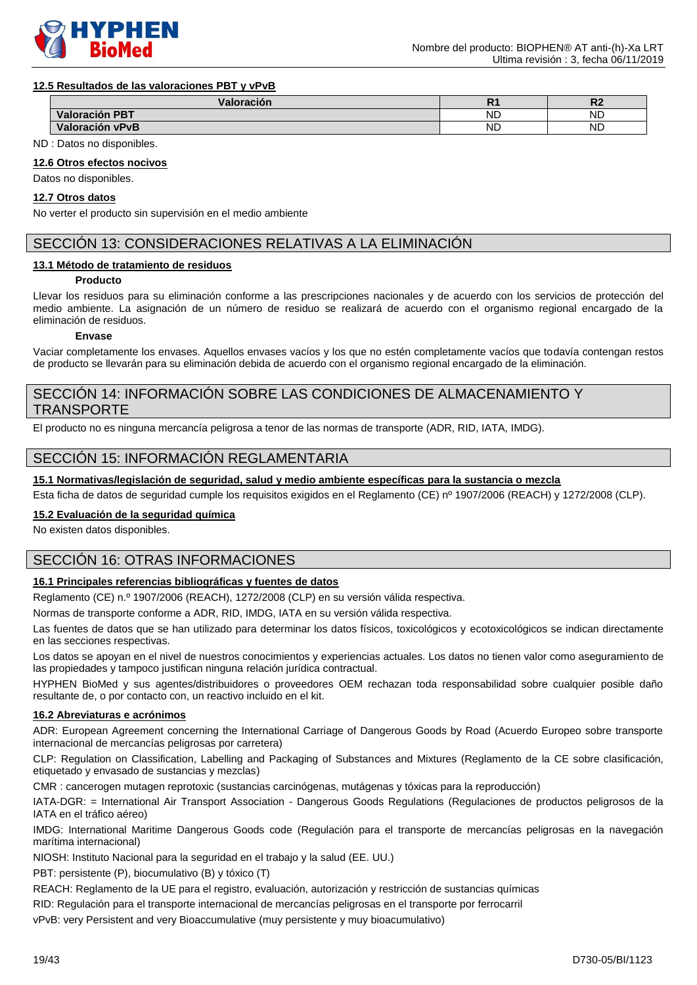

#### **12.5 Resultados de las valoraciones PBT y vPvB**

| Valoración            | . .       | D'<br>RZ |
|-----------------------|-----------|----------|
| <b>Valoración PBT</b> | <b>ND</b> | ND       |
| Valoración vPvB       | <b>ND</b> | ND       |

ND : Datos no disponibles.

#### **12.6 Otros efectos nocivos**

Datos no disponibles.

### **12.7 Otros datos**

No verter el producto sin supervisión en el medio ambiente

### SECCIÓN 13: CONSIDERACIONES RELATIVAS A LA ELIMINACIÓN

#### **13.1 Método de tratamiento de residuos**

#### **Producto**

Llevar los residuos para su eliminación conforme a las prescripciones nacionales y de acuerdo con los servicios de protección del medio ambiente. La asignación de un número de residuo se realizará de acuerdo con el organismo regional encargado de la eliminación de residuos.

#### **Envase**

Vaciar completamente los envases. Aquellos envases vacíos y los que no estén completamente vacíos que todavía contengan restos de producto se llevarán para su eliminación debida de acuerdo con el organismo regional encargado de la eliminación.

### SECCIÓN 14: INFORMACIÓN SOBRE LAS CONDICIONES DE ALMACENAMIENTO Y **TRANSPORTE**

El producto no es ninguna mercancía peligrosa a tenor de las normas de transporte (ADR, RID, IATA, IMDG).

### SECCIÓN 15: INFORMACIÓN REGLAMENTARIA

#### **15.1 Normativas/legislación de seguridad, salud y medio ambiente específicas para la sustancia o mezcla**

Esta ficha de datos de seguridad cumple los requisitos exigidos en el Reglamento (CE) nº 1907/2006 (REACH) y 1272/2008 (CLP).

#### **15.2 Evaluación de la seguridad química**

No existen datos disponibles.

### SECCIÓN 16: OTRAS INFORMACIONES

### **16.1 Principales referencias bibliográficas y fuentes de datos**

Reglamento (CE) n.º 1907/2006 (REACH), 1272/2008 (CLP) en su versión válida respectiva.

Normas de transporte conforme a ADR, RID, IMDG, IATA en su versión válida respectiva.

Las fuentes de datos que se han utilizado para determinar los datos físicos, toxicológicos y ecotoxicológicos se indican directamente en las secciones respectivas.

Los datos se apoyan en el nivel de nuestros conocimientos y experiencias actuales. Los datos no tienen valor como aseguramiento de las propiedades y tampoco justifican ninguna relación jurídica contractual.

HYPHEN BioMed y sus agentes/distribuidores o proveedores OEM rechazan toda responsabilidad sobre cualquier posible daño resultante de, o por contacto con, un reactivo incluido en el kit.

#### **16.2 Abreviaturas e acrónimos**

ADR: European Agreement concerning the International Carriage of Dangerous Goods by Road (Acuerdo Europeo sobre transporte internacional de mercancías peligrosas por carretera)

CLP: Regulation on Classification, Labelling and Packaging of Substances and Mixtures (Reglamento de la CE sobre clasificación, etiquetado y envasado de sustancias y mezclas)

CMR : cancerogen mutagen reprotoxic (sustancias carcinógenas, mutágenas y tóxicas para la reproducción)

IATA-DGR: = International Air Transport Association - Dangerous Goods Regulations (Regulaciones de productos peligrosos de la IATA en el tráfico aéreo)

IMDG: International Maritime Dangerous Goods code (Regulación para el transporte de mercancías peligrosas en la navegación marítima internacional)

NIOSH: Instituto Nacional para la seguridad en el trabajo y la salud (EE. UU.)

PBT: persistente (P), biocumulativo (B) y tóxico (T)

REACH: Reglamento de la UE para el registro, evaluación, autorización y restricción de sustancias químicas

RID: Regulación para el transporte internacional de mercancías peligrosas en el transporte por ferrocarril

vPvB: very Persistent and very Bioaccumulative (muy persistente y muy bioacumulativo)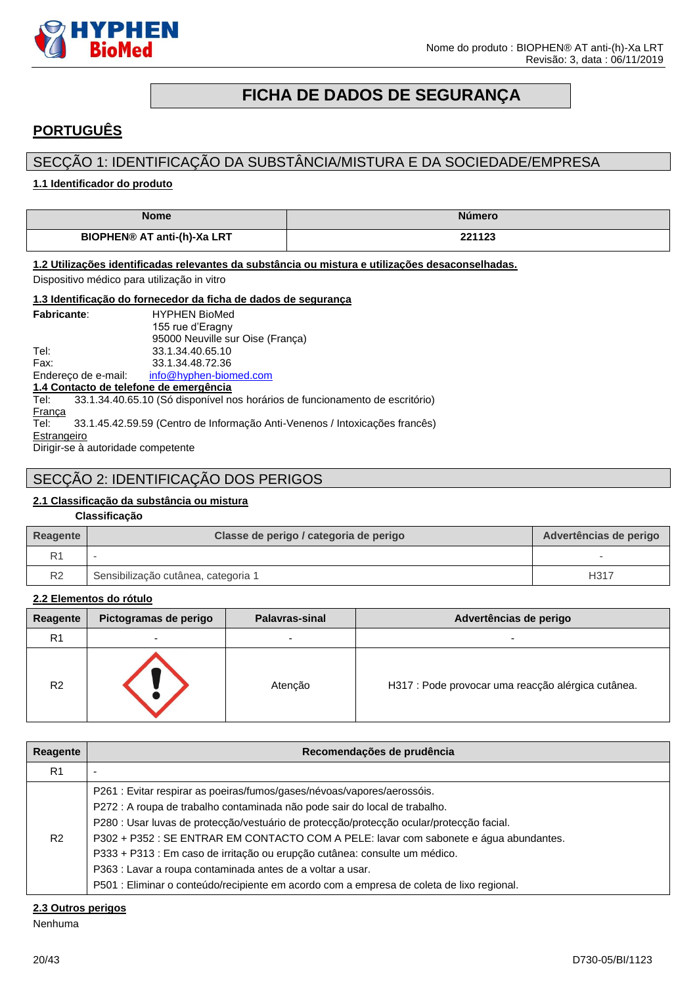

# **FICHA DE DADOS DE SEGURANÇA**

# <span id="page-19-0"></span>**PORTUGUÊS**

# SECÇÃO 1: IDENTIFICAÇÃO DA SUBSTÂNCIA/MISTURA E DA SOCIEDADE/EMPRESA

#### **1.1 Identificador do produto**

| <b>Nome</b>                        | <b>Número</b> |
|------------------------------------|---------------|
| <b>BIOPHEN® AT anti-(h)-Xa LRT</b> | 221123        |

#### **1.2 Utilizações identificadas relevantes da substância ou mistura e utilizações desaconselhadas.**

Dispositivo médico para utilização in vitro

| 1.3 Identificação do fornecedor da ficha de dados de segurança |                                                                              |  |  |  |
|----------------------------------------------------------------|------------------------------------------------------------------------------|--|--|--|
| <b>Fabricante:</b>                                             | <b>HYPHEN BioMed</b>                                                         |  |  |  |
|                                                                | 155 rue d'Eragny                                                             |  |  |  |
|                                                                | 95000 Neuville sur Oise (França)                                             |  |  |  |
| Tel:                                                           | 33.1.34.40.65.10                                                             |  |  |  |
| Fax:                                                           | 33.1.34.48.72.36                                                             |  |  |  |
|                                                                | Endereço de e-mail: info@hyphen-biomed.com                                   |  |  |  |
|                                                                | 1.4 Contacto de telefone de emergência                                       |  |  |  |
| Tel:                                                           | 33.1.34.40.65.10 (Só disponível nos horários de funcionamento de escritório) |  |  |  |
| França                                                         |                                                                              |  |  |  |
| Tel:                                                           | 33.1.45.42.59.59 (Centro de Informação Anti-Venenos / Intoxicações francês)  |  |  |  |
| Estrangeiro                                                    |                                                                              |  |  |  |
|                                                                | Dirigir-se à autoridade competente                                           |  |  |  |

# SECÇÃO 2: IDENTIFICAÇÃO DOS PERIGOS

### **2.1 Classificação da substância ou mistura**

#### **Classificação**

| Reagente       | Classe de perigo / categoria de perigo | Advertências de perigo |
|----------------|----------------------------------------|------------------------|
|                |                                        |                        |
| R <sub>2</sub> | Sensibilização cutânea, categoria 1    | H317                   |

#### **2.2 Elementos do rótulo**

| Reagente       | Pictogramas de perigo    | Palavras-sinal           | Advertências de perigo                             |
|----------------|--------------------------|--------------------------|----------------------------------------------------|
| R <sub>1</sub> | $\overline{\phantom{0}}$ | $\overline{\phantom{0}}$ | $\overline{\phantom{a}}$                           |
| R <sub>2</sub> |                          | Atenção                  | H317 : Pode provocar uma reacção alérgica cutânea. |

| Reagente       | Recomendações de prudência                                                                                                                                                                                                                                                                                                                                                                                                                                                                                                                                                          |
|----------------|-------------------------------------------------------------------------------------------------------------------------------------------------------------------------------------------------------------------------------------------------------------------------------------------------------------------------------------------------------------------------------------------------------------------------------------------------------------------------------------------------------------------------------------------------------------------------------------|
| R <sub>1</sub> |                                                                                                                                                                                                                                                                                                                                                                                                                                                                                                                                                                                     |
| R <sub>2</sub> | P261 : Evitar respirar as poeiras/fumos/gases/névoas/vapores/aerossóis.<br>P272 : A roupa de trabalho contaminada não pode sair do local de trabalho.<br>P280 : Usar luvas de protecção/vestuário de protecção/protecção ocular/protecção facial.<br>P302 + P352 : SE ENTRAR EM CONTACTO COM A PELE: lavar com sabonete e água abundantes.<br>P333 + P313 : Em caso de irritação ou erupção cutânea: consulte um médico.<br>P363 : Lavar a roupa contaminada antes de a voltar a usar.<br>P501 : Eliminar o conteúdo/recipiente em acordo com a empresa de coleta de lixo regional. |

#### **2.3 Outros perigos**

Nenhuma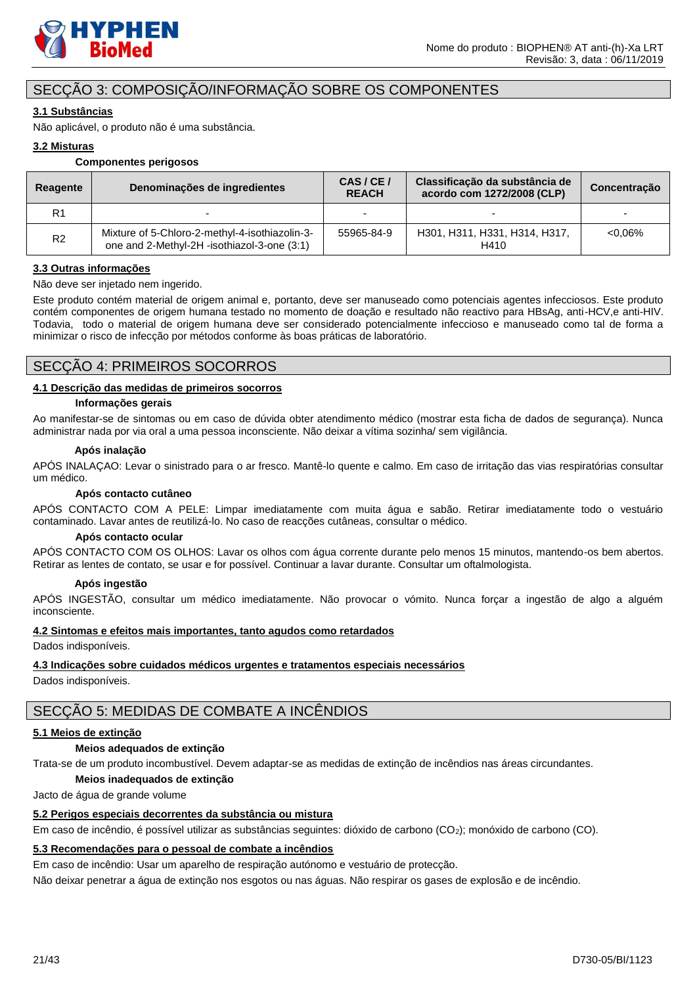

### SECÇÃO 3: COMPOSIÇÃO/INFORMAÇÃO SOBRE OS COMPONENTES

### **3.1 Substâncias**

Não aplicável, o produto não é uma substância.

#### **3.2 Misturas**

#### **Componentes perigosos**

| Reagente       | Denominações de ingredientes                                                                  | CAS/CE/<br><b>REACH</b> | Classificação da substância de<br>acordo com 1272/2008 (CLP) | <b>Concentração</b> |
|----------------|-----------------------------------------------------------------------------------------------|-------------------------|--------------------------------------------------------------|---------------------|
| R1             |                                                                                               |                         |                                                              |                     |
| R <sub>2</sub> | Mixture of 5-Chloro-2-methyl-4-isothiazolin-3-<br>one and 2-Methyl-2H -isothiazol-3-one (3:1) | 55965-84-9              | H301, H311, H331, H314, H317,<br>H410                        | $< 0.06\%$          |

#### **3.3 Outras informações**

Não deve ser injetado nem ingerido.

Este produto contém material de origem animal e, portanto, deve ser manuseado como potenciais agentes infecciosos. Este produto contém componentes de origem humana testado no momento de doação e resultado não reactivo para HBsAg, anti-HCV,e anti-HIV. Todavia, todo o material de origem humana deve ser considerado potencialmente infeccioso e manuseado como tal de forma a minimizar o risco de infecção por métodos conforme às boas práticas de laboratório.

### SECÇÃO 4: PRIMEIROS SOCORROS

#### **4.1 Descrição das medidas de primeiros socorros**

#### **Informações gerais**

Ao manifestar-se de sintomas ou em caso de dúvida obter atendimento médico (mostrar esta ficha de dados de segurança). Nunca administrar nada por via oral a uma pessoa inconsciente. Não deixar a vítima sozinha/ sem vigilância.

#### **Após inalação**

APÓS INALAÇAO: Levar o sinistrado para o ar fresco. Mantê-lo quente e calmo. Em caso de irritação das vias respiratórias consultar um médico.

#### **Após contacto cutâneo**

APÓS CONTACTO COM A PELE: Limpar imediatamente com muita água e sabão. Retirar imediatamente todo o vestuário contaminado. Lavar antes de reutilizá-lo. No caso de reacções cutâneas, consultar o médico.

#### **Após contacto ocular**

APÓS CONTACTO COM OS OLHOS: Lavar os olhos com água corrente durante pelo menos 15 minutos, mantendo-os bem abertos. Retirar as lentes de contato, se usar e for possível. Continuar a lavar durante. Consultar um oftalmologista.

#### **Após ingestão**

APÓS INGESTÃO, consultar um médico imediatamente. Não provocar o vómito. Nunca forçar a ingestão de algo a alguém inconsciente.

#### **4.2 Sintomas e efeitos mais importantes, tanto agudos como retardados**

Dados indisponíveis.

#### **4.3 Indicações sobre cuidados médicos urgentes e tratamentos especiais necessários**

Dados indisponíveis.

# SECÇÃO 5: MEDIDAS DE COMBATE A INCÊNDIOS

### **5.1 Meios de extinção**

### **Meios adequados de extinção**

Trata-se de um produto incombustível. Devem adaptar-se as medidas de extinção de incêndios nas áreas circundantes.

### **Meios inadequados de extinção**

Jacto de água de grande volume

### **5.2 Perigos especiais decorrentes da substância ou mistura**

Em caso de incêndio, é possível utilizar as substâncias seguintes: dióxido de carbono (CO2); monóxido de carbono (CO).

### **5.3 Recomendações para o pessoal de combate a incêndios**

Em caso de incêndio: Usar um aparelho de respiração autónomo e vestuário de protecção.

Não deixar penetrar a água de extinção nos esgotos ou nas águas. Não respirar os gases de explosão e de incêndio.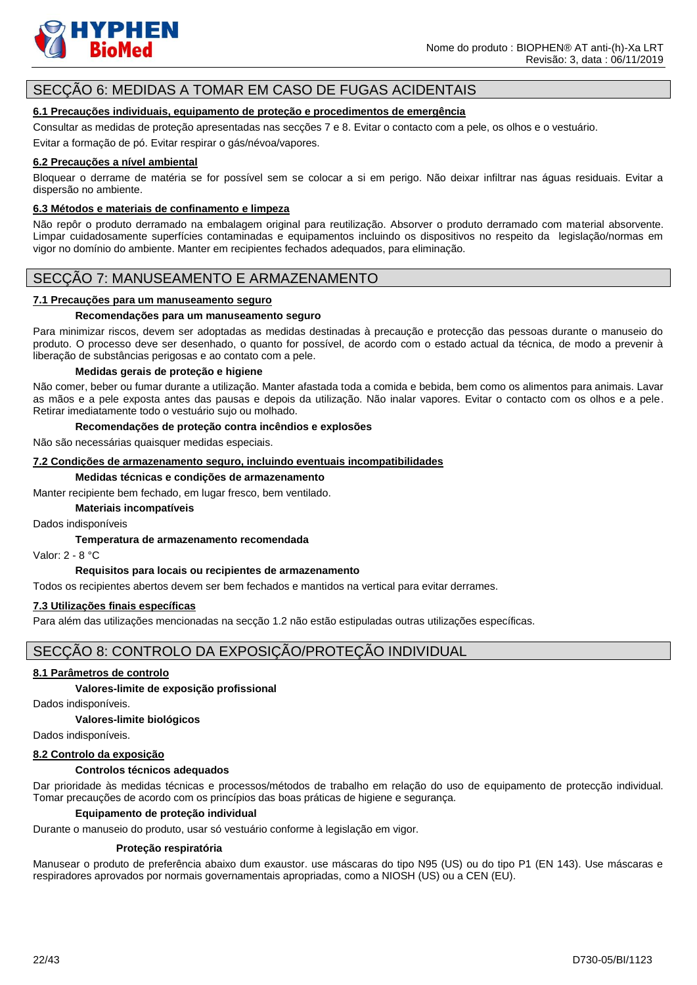

### SECÇÃO 6: MEDIDAS A TOMAR EM CASO DE FUGAS ACIDENTAIS

#### **6.1 Precauções individuais, equipamento de proteção e procedimentos de emergência**

Consultar as medidas de proteção apresentadas nas secções 7 e 8. Evitar o contacto com a pele, os olhos e o vestuário.

Evitar a formação de pó. Evitar respirar o gás/névoa/vapores.

#### **6.2 Precauções a nível ambiental**

Bloquear o derrame de matéria se for possível sem se colocar a si em perigo. Não deixar infiltrar nas águas residuais. Evitar a dispersão no ambiente.

#### **6.3 Métodos e materiais de confinamento e limpeza**

Não repôr o produto derramado na embalagem original para reutilização. Absorver o produto derramado com material absorvente. Limpar cuidadosamente superfícies contaminadas e equipamentos incluindo os dispositivos no respeito da legislação/normas em vigor no domínio do ambiente. Manter em recipientes fechados adequados, para eliminação.

### SECÇÃO 7: MANUSEAMENTO E ARMAZENAMENTO

#### **7.1 Precauções para um manuseamento seguro**

#### **Recomendações para um manuseamento seguro**

Para minimizar riscos, devem ser adoptadas as medidas destinadas à precaução e protecção das pessoas durante o manuseio do produto. O processo deve ser desenhado, o quanto for possível, de acordo com o estado actual da técnica, de modo a prevenir à liberação de substâncias perigosas e ao contato com a pele.

#### **Medidas gerais de proteção e higiene**

Não comer, beber ou fumar durante a utilização. Manter afastada toda a comida e bebida, bem como os alimentos para animais. Lavar as mãos e a pele exposta antes das pausas e depois da utilização. Não inalar vapores. Evitar o contacto com os olhos e a pele. Retirar imediatamente todo o vestuário sujo ou molhado.

#### **Recomendações de proteção contra incêndios e explosões**

Não são necessárias quaisquer medidas especiais.

#### **7.2 Condições de armazenamento seguro, incluindo eventuais incompatibilidades**

### **Medidas técnicas e condições de armazenamento**

Manter recipiente bem fechado, em lugar fresco, bem ventilado.

**Materiais incompatíveis**

Dados indisponíveis

#### **Temperatura de armazenamento recomendada**

Valor: 2 - 8 °C

#### **Requisitos para locais ou recipientes de armazenamento**

Todos os recipientes abertos devem ser bem fechados e mantidos na vertical para evitar derrames.

#### **7.3 Utilizações finais específicas**

Para além das utilizações mencionadas na secção 1.2 não estão estipuladas outras utilizações específicas.

### SECÇÃO 8: CONTROLO DA EXPOSIÇÃO/PROTEÇÃO INDIVIDUAL

#### **8.1 Parâmetros de controlo**

#### **Valores-limite de exposição profissional**

Dados indisponíveis.

**Valores-limite biológicos** 

Dados indisponíveis.

#### **8.2 Controlo da exposição**

#### **Controlos técnicos adequados**

Dar prioridade às medidas técnicas e processos/métodos de trabalho em relação do uso de equipamento de protecção individual. Tomar precauções de acordo com os princípios das boas práticas de higiene e segurança.

#### **Equipamento de proteção individual**

Durante o manuseio do produto, usar só vestuário conforme à legislação em vigor.

#### **Proteção respiratória**

Manusear o produto de preferência abaixo dum exaustor. use máscaras do tipo N95 (US) ou do tipo P1 (EN 143). Use máscaras e respiradores aprovados por normais governamentais apropriadas, como a NIOSH (US) ou a CEN (EU).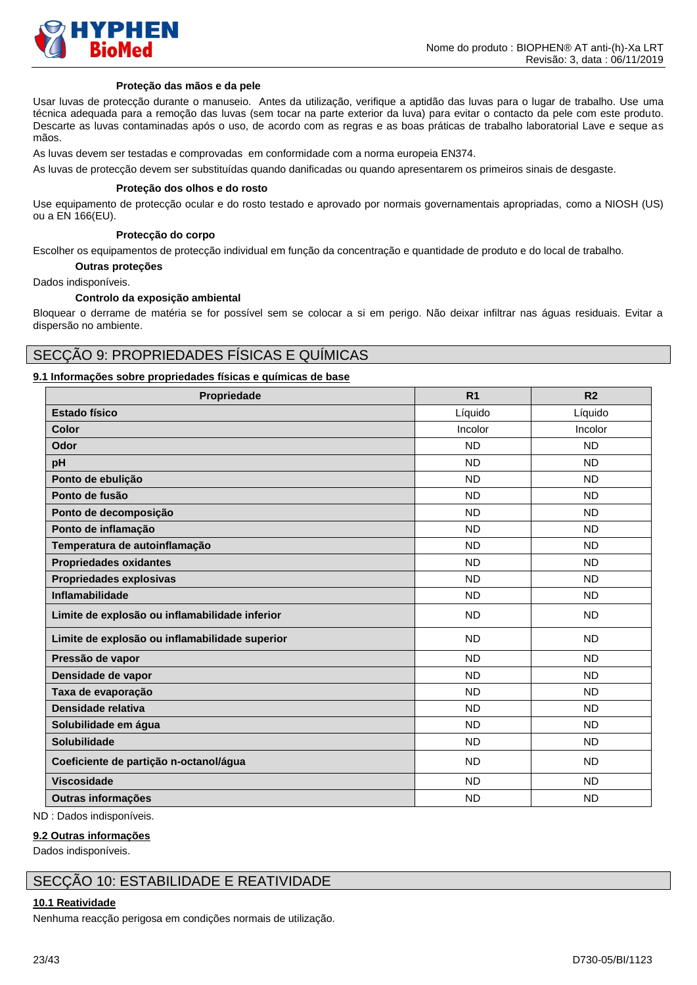

#### **Proteção das mãos e da pele**

Usar luvas de protecção durante o manuseio. Antes da utilização, verifique a aptidão das luvas para o lugar de trabalho. Use uma técnica adequada para a remoção das luvas (sem tocar na parte exterior da luva) para evitar o contacto da pele com este produto. Descarte as luvas contaminadas após o uso, de acordo com as regras e as boas práticas de trabalho laboratorial Lave e seque as mãos.

As luvas devem ser testadas e comprovadas em conformidade com a norma europeia EN374.

As luvas de protecção devem ser substituídas quando danificadas ou quando apresentarem os primeiros sinais de desgaste.

#### **Proteção dos olhos e do rosto**

Use equipamento de protecção ocular e do rosto testado e aprovado por normais governamentais apropriadas, como a NIOSH (US) ou a EN 166(EU).

#### **Protecção do corpo**

Escolher os equipamentos de protecção individual em função da concentração e quantidade de produto e do local de trabalho.

**Outras proteções**

Dados indisponíveis.

#### **Controlo da exposição ambiental**

Bloquear o derrame de matéria se for possível sem se colocar a si em perigo. Não deixar infiltrar nas águas residuais. Evitar a dispersão no ambiente.

### SECÇÃO 9: PROPRIEDADES FÍSICAS E QUÍMICAS

### **9.1 Informações sobre propriedades físicas e químicas de base**

| Propriedade                                    | R <sub>1</sub> | R <sub>2</sub> |
|------------------------------------------------|----------------|----------------|
| Estado físico                                  | Líquido        | Líquido        |
| Color                                          | Incolor        | Incolor        |
| Odor                                           | <b>ND</b>      | <b>ND</b>      |
| pH                                             | <b>ND</b>      | <b>ND</b>      |
| Ponto de ebulição                              | <b>ND</b>      | <b>ND</b>      |
| Ponto de fusão                                 | <b>ND</b>      | <b>ND</b>      |
| Ponto de decomposição                          | <b>ND</b>      | <b>ND</b>      |
| Ponto de inflamação                            | <b>ND</b>      | <b>ND</b>      |
| Temperatura de autoinflamação                  | <b>ND</b>      | <b>ND</b>      |
| <b>Propriedades oxidantes</b>                  | <b>ND</b>      | <b>ND</b>      |
| Propriedades explosivas                        | <b>ND</b>      | <b>ND</b>      |
| Inflamabilidade                                | <b>ND</b>      | <b>ND</b>      |
| Limite de explosão ou inflamabilidade inferior | <b>ND</b>      | <b>ND</b>      |
| Limite de explosão ou inflamabilidade superior | <b>ND</b>      | <b>ND</b>      |
| Pressão de vapor                               | <b>ND</b>      | <b>ND</b>      |
| Densidade de vapor                             | <b>ND</b>      | <b>ND</b>      |
| Taxa de evaporação                             | <b>ND</b>      | <b>ND</b>      |
| Densidade relativa                             | <b>ND</b>      | <b>ND</b>      |
| Solubilidade em água                           | <b>ND</b>      | <b>ND</b>      |
| Solubilidade                                   | <b>ND</b>      | <b>ND</b>      |
| Coeficiente de partição n-octanol/água         | <b>ND</b>      | <b>ND</b>      |
| <b>Viscosidade</b>                             | <b>ND</b>      | <b>ND</b>      |
| <b>Outras informações</b>                      | <b>ND</b>      | <b>ND</b>      |

ND : Dados indisponíveis.

#### **9.2 Outras informações**

Dados indisponíveis.

### SECÇÃO 10: ESTABILIDADE E REATIVIDADE

#### **10.1 Reatividade**

Nenhuma reacção perigosa em condições normais de utilização.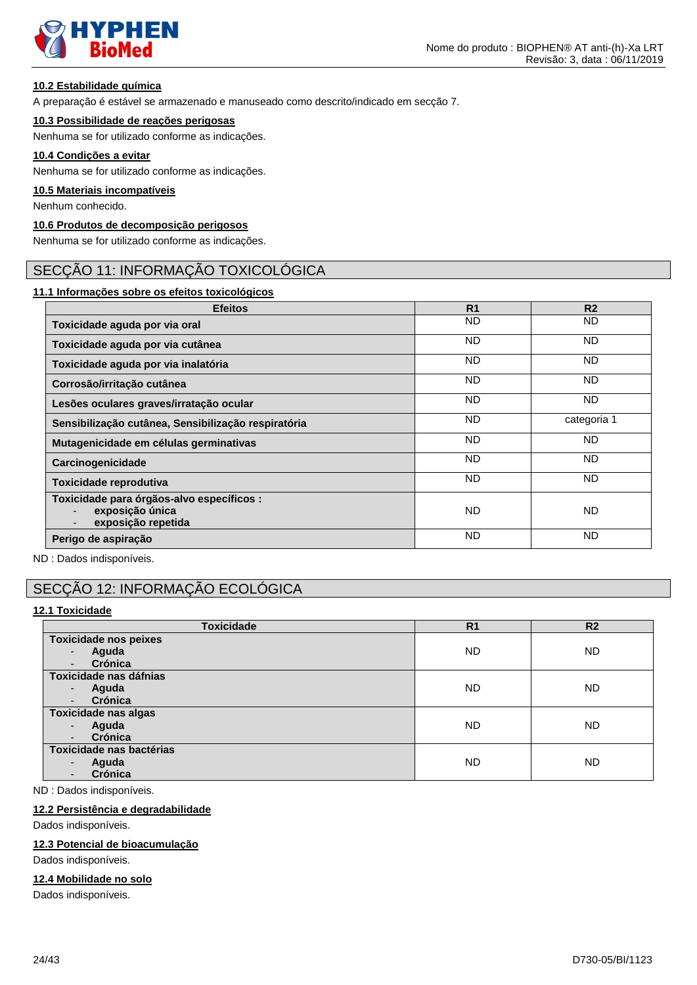

#### **10.2 Estabilidade química**

A preparação é estável se armazenado e manuseado como descrito/indicado em secção 7.

### **10.3 Possibilidade de reações perigosas**

Nenhuma se for utilizado conforme as indicações.

#### **10.4 Condições a evitar**

Nenhuma se for utilizado conforme as indicações.

### **10.5 Materiais incompatíveis**

Nenhum conhecido.

### **10.6 Produtos de decomposição perigosos**

Nenhuma se for utilizado conforme as indicações.

### SECÇÃO 11: INFORMAÇÃO TOXICOLÓGICA

### **11.1 Informações sobre os efeitos toxicológicos**

| <b>Efeitos</b>                                                                     | R <sub>1</sub> | R <sub>2</sub> |
|------------------------------------------------------------------------------------|----------------|----------------|
| Toxicidade aguda por via oral                                                      | <b>ND</b>      | <b>ND</b>      |
| Toxicidade aguda por via cutânea                                                   | <b>ND</b>      | <b>ND</b>      |
| Toxicidade aguda por via inalatória                                                | <b>ND</b>      | <b>ND</b>      |
| Corrosão/irritação cutânea                                                         | <b>ND</b>      | <b>ND</b>      |
| Lesões oculares graves/irratação ocular                                            | <b>ND</b>      | <b>ND</b>      |
| Sensibilização cutânea, Sensibilização respiratória                                | <b>ND</b>      | categoria 1    |
| Mutagenicidade em células germinativas                                             | <b>ND</b>      | <b>ND</b>      |
| Carcinogenicidade                                                                  | <b>ND</b>      | <b>ND</b>      |
| Toxicidade reprodutiva                                                             | <b>ND</b>      | <b>ND</b>      |
| Toxicidade para órgãos-alvo específicos :<br>exposição única<br>exposição repetida | <b>ND</b>      | <b>ND</b>      |
| Perigo de aspiração                                                                | <b>ND</b>      | <b>ND</b>      |

ND : Dados indisponíveis.

# SECÇÃO 12: INFORMAÇÃO ECOLÓGICA

### **12.1 Toxicidade**

| <b>Toxicidade</b>                   | R <sub>1</sub> | R <sub>2</sub> |
|-------------------------------------|----------------|----------------|
| <b>Toxicidade nos peixes</b>        |                |                |
| Aguda<br>$\blacksquare$             | <b>ND</b>      | <b>ND</b>      |
| Crónica<br>$\overline{\phantom{0}}$ |                |                |
| Toxicidade nas dáfnias              |                |                |
| Aguda<br>٠                          | <b>ND</b>      | <b>ND</b>      |
| Crónica                             |                |                |
| <b>Toxicidade nas algas</b>         |                |                |
| Aguda                               | <b>ND</b>      | <b>ND</b>      |
| Crónica                             |                |                |
| Toxicidade nas bactérias            |                |                |
| Aguda                               | <b>ND</b>      | <b>ND</b>      |
| Crónica                             |                |                |

ND : Dados indisponíveis.

### **12.2 Persistência e degradabilidade**

Dados indisponíveis.

#### **12.3 Potencial de bioacumulação**

Dados indisponíveis.

#### **12.4 Mobilidade no solo**

Dados indisponíveis.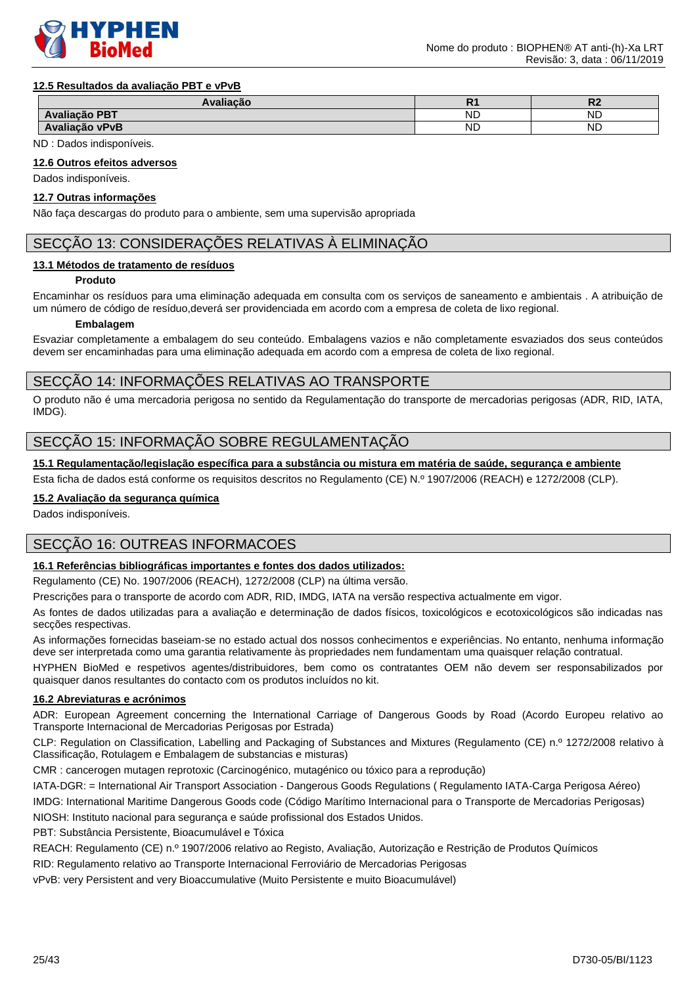

#### **12.5 Resultados da avaliação PBT e vPvB**

| Avaliação                 | D.<br>. . | D.<br>.   |
|---------------------------|-----------|-----------|
| PBT <i>د</i><br>Avaliação | <b>ND</b> | <b>ND</b> |
| Avaliação<br><b>vPvB</b>  | <b>ND</b> | <b>ND</b> |

ND : Dados indisponíveis.

#### **12.6 Outros efeitos adversos**

Dados indisponíveis.

#### **12.7 Outras informações**

Não faça descargas do produto para o ambiente, sem uma supervisão apropriada

### SECÇÃO 13: CONSIDERAÇÕES RELATIVAS À ELIMINAÇÃO

#### **13.1 Métodos de tratamento de resíduos**

#### **Produto**

Encaminhar os resíduos para uma eliminação adequada em consulta com os serviços de saneamento e ambientais . A atribuição de um número de código de resíduo,deverá ser providenciada em acordo com a empresa de coleta de lixo regional.

#### **Embalagem**

Esvaziar completamente a embalagem do seu conteúdo. Embalagens vazios e não completamente esvaziados dos seus conteúdos devem ser encaminhadas para uma eliminação adequada em acordo com a empresa de coleta de lixo regional.

### SECÇÃO 14: INFORMAÇÕES RELATIVAS AO TRANSPORTE

O produto não é uma mercadoria perigosa no sentido da Regulamentação do transporte de mercadorias perigosas (ADR, RID, IATA, IMDG).

### SECÇÃO 15: INFORMAÇÃO SOBRE REGULAMENTAÇÃO

#### **15.1 Regulamentação/legislação específica para a substância ou mistura em matéria de saúde, segurança e ambiente**

Esta ficha de dados está conforme os requisitos descritos no Regulamento (CE) N.º 1907/2006 (REACH) e 1272/2008 (CLP).

#### **15.2 Avaliação da segurança química**

Dados indisponíveis.

#### SECÇÃO 16: OUTREAS INFORMACOES

#### **16.1 Referências bibliográficas importantes e fontes dos dados utilizados:**

Regulamento (CE) No. 1907/2006 (REACH), 1272/2008 (CLP) na última versão.

Prescrições para o transporte de acordo com ADR, RID, IMDG, IATA na versão respectiva actualmente em vigor.

As fontes de dados utilizadas para a avaliação e determinação de dados físicos, toxicológicos e ecotoxicológicos são indicadas nas secções respectivas.

As informações fornecidas baseiam-se no estado actual dos nossos conhecimentos e experiências. No entanto, nenhuma informação deve ser interpretada como uma garantia relativamente às propriedades nem fundamentam uma quaisquer relação contratual.

HYPHEN BioMed e respetivos agentes/distribuidores, bem como os contratantes OEM não devem ser responsabilizados por quaisquer danos resultantes do contacto com os produtos incluídos no kit.

#### **16.2 Abreviaturas e acrónimos**

ADR: European Agreement concerning the International Carriage of Dangerous Goods by Road (Acordo Europeu relativo ao Transporte Internacional de Mercadorias Perigosas por Estrada)

CLP: Regulation on Classification, Labelling and Packaging of Substances and Mixtures (Regulamento (CE) n.º 1272/2008 relativo à Classificação, Rotulagem e Embalagem de substancias e misturas)

CMR : cancerogen mutagen reprotoxic (Carcinogénico, mutagénico ou tóxico para a reprodução)

IATA-DGR: = International Air Transport Association - Dangerous Goods Regulations ( Regulamento IATA-Carga Perigosa Aéreo)

IMDG: International Maritime Dangerous Goods code (Código Marítimo Internacional para o Transporte de Mercadorias Perigosas)

NIOSH: Instituto nacional para segurança e saúde profissional dos Estados Unidos.

PBT: Substância Persistente, Bioacumulável e Tóxica

REACH: Regulamento (CE) n.º 1907/2006 relativo ao Registo, Avaliação, Autorização e Restrição de Produtos Químicos

RID: Regulamento relativo ao Transporte Internacional Ferroviário de Mercadorias Perigosas

vPvB: very Persistent and very Bioaccumulative (Muito Persistente e muito Bioacumulável)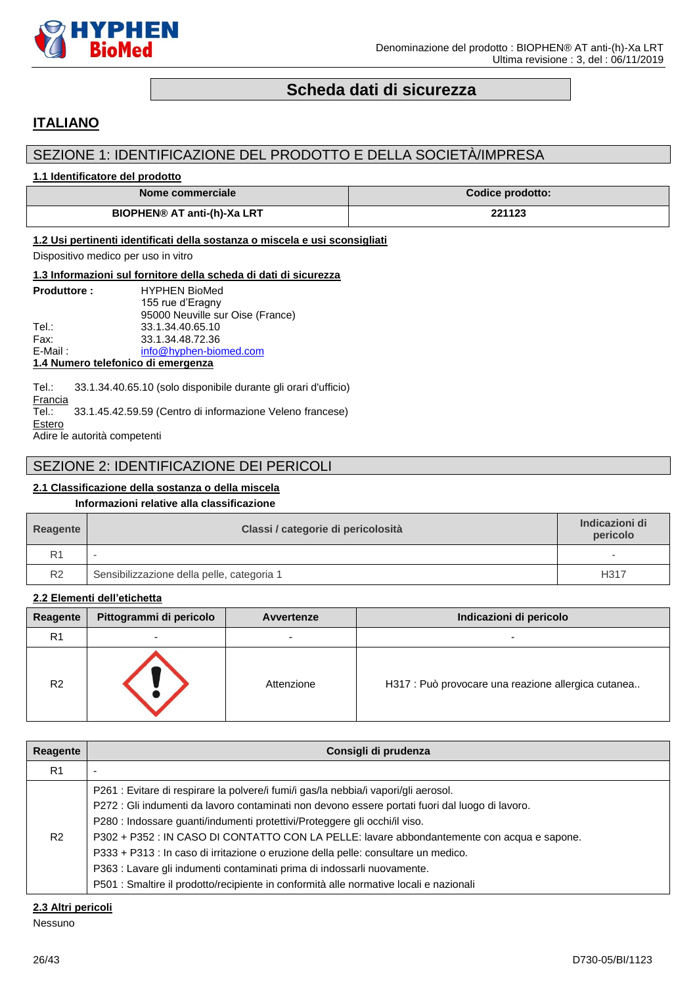

# **Scheda dati di sicurezza**

# <span id="page-25-0"></span>**ITALIANO**

### SEZIONE 1: IDENTIFICAZIONE DEL PRODOTTO E DELLA SOCIETÀ/IMPRESA

#### **1.1 Identificatore del prodotto**

| Nome commerciale                   | Codice prodotto: |
|------------------------------------|------------------|
| <b>BIOPHEN® AT anti-(h)-Xa LRT</b> | 221123           |

#### **1.2 Usi pertinenti identificati della sostanza o miscela e usi sconsigliati**

Dispositivo medico per uso in vitro

#### **1.3 Informazioni sul fornitore della scheda di dati di sicurezza**

| <b>Produttore:</b>                 | <b>HYPHEN BioMed</b>             |  |
|------------------------------------|----------------------------------|--|
|                                    | 155 rue d'Eragny                 |  |
|                                    | 95000 Neuville sur Oise (France) |  |
| Tel∴                               | 33.1.34.40.65.10                 |  |
| Fax:                               | 33.1.34.48.72.36                 |  |
| E-Mail:                            | info@hyphen-biomed.com           |  |
| 1.4 Numero telefonico di emergenza |                                  |  |

Tel.: 33.1.34.40.65.10 (solo disponibile durante gli orari d'ufficio) **Francia** Tel.: 33.1.45.42.59.59 (Centro di informazione Veleno francese) Estero

Adire le autorità competenti

### SEZIONE 2: IDENTIFICAZIONE DEI PERICOLI

### **2.1 Classificazione della sostanza o della miscela**

#### **Informazioni relative alla classificazione**

| Reagente       | Classi / categorie di pericolosità         | Indicazioni di<br>pericolo |
|----------------|--------------------------------------------|----------------------------|
| R <sub>1</sub> |                                            | $\sim$                     |
| R <sub>2</sub> | Sensibilizzazione della pelle, categoria 1 | H317                       |

#### **2.2 Elementi dell'etichetta**

| <b>Reagente</b> | Pittogrammi di pericolo | Avvertenze               | Indicazioni di pericolo                             |
|-----------------|-------------------------|--------------------------|-----------------------------------------------------|
| R <sub>1</sub>  | -                       | $\overline{\phantom{0}}$ | $\overline{\phantom{0}}$                            |
| R <sub>2</sub>  |                         | Attenzione               | H317 : Può provocare una reazione allergica cutanea |

| Reagente       | Consigli di prudenza                                                                                                                                                                                                                                                                                                                                                                                                                                                                                                                                                                                                          |
|----------------|-------------------------------------------------------------------------------------------------------------------------------------------------------------------------------------------------------------------------------------------------------------------------------------------------------------------------------------------------------------------------------------------------------------------------------------------------------------------------------------------------------------------------------------------------------------------------------------------------------------------------------|
| R <sub>1</sub> |                                                                                                                                                                                                                                                                                                                                                                                                                                                                                                                                                                                                                               |
| R <sub>2</sub> | P261 : Evitare di respirare la polvere/i fumi/i gas/la nebbia/i vapori/gli aerosol.<br>P272 : Gli indumenti da lavoro contaminati non devono essere portati fuori dal luogo di lavoro.<br>P280 : Indossare guanti/indumenti protettivi/Proteggere gli occhi/il viso.<br>P302 + P352 : IN CASO DI CONTATTO CON LA PELLE: lavare abbondantemente con acqua e sapone.<br>P333 + P313 : In caso di irritazione o eruzione della pelle: consultare un medico.<br>P363 : Lavare gli indumenti contaminati prima di indossarli nuovamente.<br>P501 : Smaltire il prodotto/recipiente in conformità alle normative locali e nazionali |

### **2.3 Altri pericoli**

Nessuno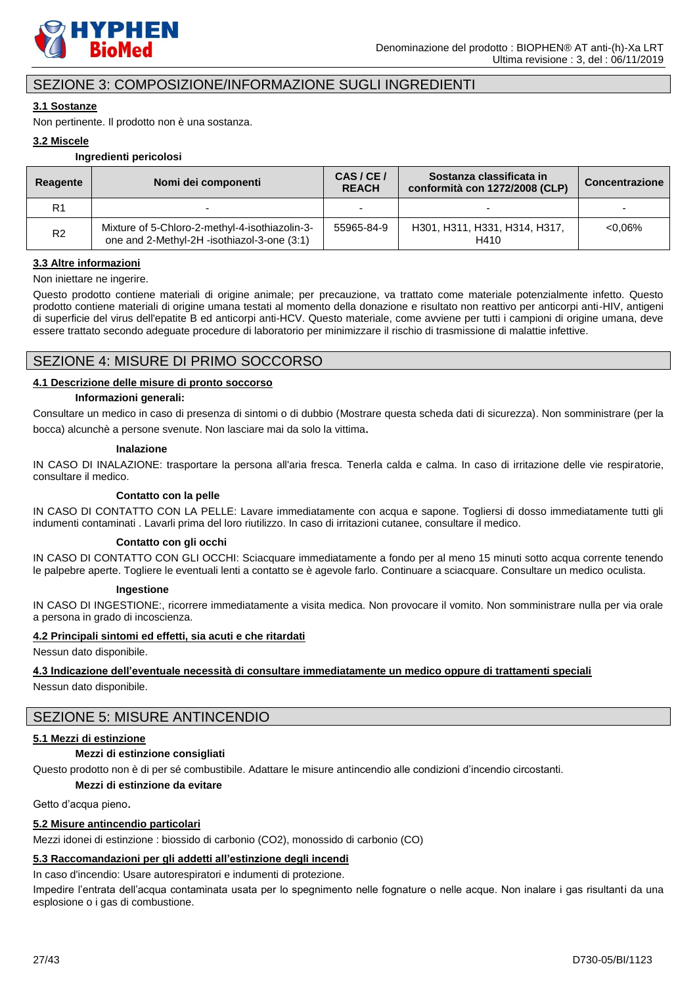

### SEZIONE 3: COMPOSIZIONE/INFORMAZIONE SUGLI INGREDIENTI

#### **3.1 Sostanze**

Non pertinente. Il prodotto non è una sostanza.

#### **3.2 Miscele**

#### **Ingredienti pericolosi**

| Reagente       | Nomi dei componenti                                                                           | CAS/CE/<br><b>REACH</b>  | Sostanza classificata in<br>conformità con 1272/2008 (CLP) | <b>Concentrazione</b>    |
|----------------|-----------------------------------------------------------------------------------------------|--------------------------|------------------------------------------------------------|--------------------------|
| R1             | -                                                                                             | $\overline{\phantom{0}}$ |                                                            | $\overline{\phantom{a}}$ |
| R <sub>2</sub> | Mixture of 5-Chloro-2-methyl-4-isothiazolin-3-<br>one and 2-Methyl-2H -isothiazol-3-one (3:1) | 55965-84-9               | H301, H311, H331, H314, H317,<br>H410                      | $< 0.06\%$               |

#### **3.3 Altre informazioni**

Non iniettare ne ingerire.

Questo prodotto contiene materiali di origine animale; per precauzione, va trattato come materiale potenzialmente infetto. Questo prodotto contiene materiali di origine umana testati al momento della donazione e risultato non reattivo per anticorpi anti-HIV, antigeni di superficie del virus dell'epatite B ed anticorpi anti-HCV. Questo materiale, come avviene per tutti i campioni di origine umana, deve essere trattato secondo adeguate procedure di laboratorio per minimizzare il rischio di trasmissione di malattie infettive.

### SEZIONE 4: MISURE DI PRIMO SOCCORSO

#### **4.1 Descrizione delle misure di pronto soccorso**

#### **Informazioni generali:**

Consultare un medico in caso di presenza di sintomi o di dubbio (Mostrare questa scheda dati di sicurezza). Non somministrare (per la bocca) alcunchè a persone svenute. Non lasciare mai da solo la vittima.

#### **Inalazione**

IN CASO DI INALAZIONE: trasportare la persona all'aria fresca. Tenerla calda e calma. In caso di irritazione delle vie respiratorie, consultare il medico.

#### **Contatto con la pelle**

IN CASO DI CONTATTO CON LA PELLE: Lavare immediatamente con acqua e sapone. Togliersi di dosso immediatamente tutti gli indumenti contaminati . Lavarli prima del loro riutilizzo. In caso di irritazioni cutanee, consultare il medico.

#### **Contatto con gli occhi**

IN CASO DI CONTATTO CON GLI OCCHI: Sciacquare immediatamente a fondo per al meno 15 minuti sotto acqua corrente tenendo le palpebre aperte. Togliere le eventuali lenti a contatto se è agevole farlo. Continuare a sciacquare. Consultare un medico oculista.

#### **Ingestione**

IN CASO DI INGESTIONE:, ricorrere immediatamente a visita medica. Non provocare il vomito. Non somministrare nulla per via orale a persona in grado di incoscienza.

#### **4.2 Principali sintomi ed effetti, sia acuti e che ritardati**

Nessun dato disponibile.

#### **4.3 Indicazione dell'eventuale necessità di consultare immediatamente un medico oppure di trattamenti speciali**

Nessun dato disponibile.

### SEZIONE 5: MISURE ANTINCENDIO

#### **5.1 Mezzi di estinzione**

#### **Mezzi di estinzione consigliati**

Questo prodotto non è di per sé combustibile. Adattare le misure antincendio alle condizioni d'incendio circostanti.

#### **Mezzi di estinzione da evitare**

Getto d'acqua pieno.

#### **5.2 Misure antincendio particolari**

Mezzi idonei di estinzione : biossido di carbonio (CO2), monossido di carbonio (CO)

### **5.3 Raccomandazioni per gli addetti all'estinzione degli incendi**

In caso d'incendio: Usare autorespiratori e indumenti di protezione.

Impedire l'entrata dell'acqua contaminata usata per lo spegnimento nelle fognature o nelle acque. Non inalare i gas risultanti da una esplosione o i gas di combustione.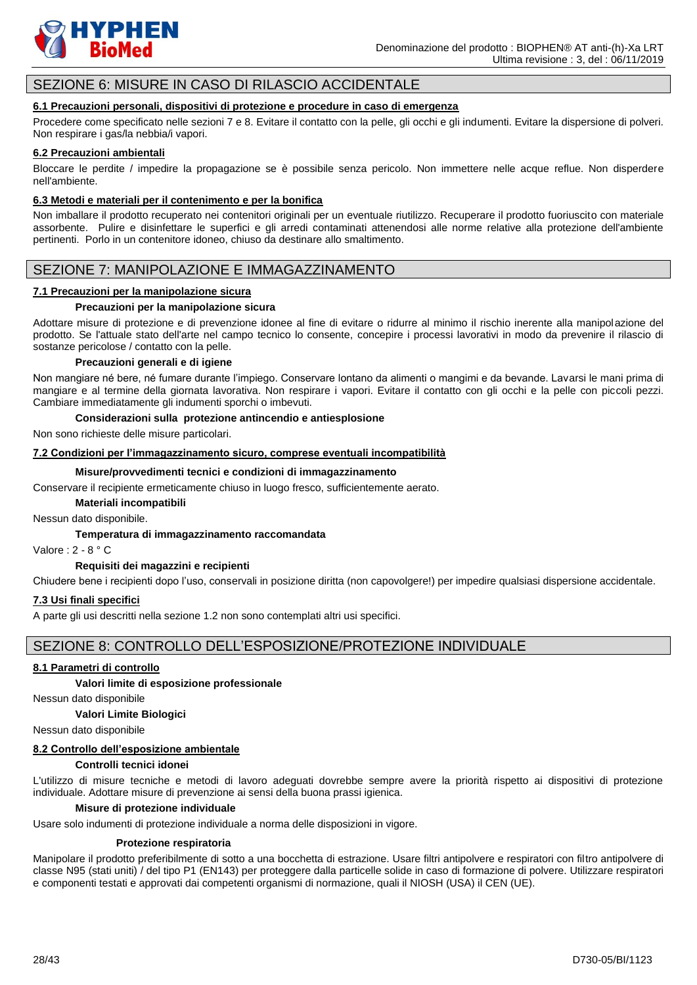

# SEZIONE 6: MISURE IN CASO DI RILASCIO ACCIDENTALE

### **6.1 Precauzioni personali, dispositivi di protezione e procedure in caso di emergenza**

Procedere come specificato nelle sezioni 7 e 8. Evitare il contatto con la pelle, gli occhi e gli indumenti. Evitare la dispersione di polveri. Non respirare i gas/la nebbia/i vapori.

#### **6.2 Precauzioni ambientali**

Bloccare le perdite / impedire la propagazione se è possibile senza pericolo. Non immettere nelle acque reflue. Non disperdere nell'ambiente.

### **6.3 Metodi e materiali per il contenimento e per la bonifica**

Non imballare il prodotto recuperato nei contenitori originali per un eventuale riutilizzo. Recuperare il prodotto fuoriuscito con materiale assorbente. Pulire e disinfettare le superfici e gli arredi contaminati attenendosi alle norme relative alla protezione dell'ambiente pertinenti. Porlo in un contenitore idoneo, chiuso da destinare allo smaltimento.

### SEZIONE 7: MANIPOLAZIONE E IMMAGAZZINAMENTO

#### **7.1 Precauzioni per la manipolazione sicura**

#### **Precauzioni per la manipolazione sicura**

Adottare misure di protezione e di prevenzione idonee al fine di evitare o ridurre al minimo il rischio inerente alla manipolazione del prodotto. Se l'attuale stato dell'arte nel campo tecnico lo consente, concepire i processi lavorativi in modo da prevenire il rilascio di sostanze pericolose / contatto con la pelle.

#### **Precauzioni generali e di igiene**

Non mangiare né bere, né fumare durante l'impiego. Conservare lontano da alimenti o mangimi e da bevande. Lavarsi le mani prima di mangiare e al termine della giornata lavorativa. Non respirare i vapori. Evitare il contatto con gli occhi e la pelle con piccoli pezzi. Cambiare immediatamente gli indumenti sporchi o imbevuti.

#### **Considerazioni sulla protezione antincendio e antiesplosione**

Non sono richieste delle misure particolari.

#### **7.2 Condizioni per l'immagazzinamento sicuro, comprese eventuali incompatibilità**

#### **Misure/provvedimenti tecnici e condizioni di immagazzinamento**

Conservare il recipiente ermeticamente chiuso in luogo fresco, sufficientemente aerato.

#### **Materiali incompatibili**

Nessun dato disponibile.

#### **Temperatura di immagazzinamento raccomandata**

Valore : 2 - 8 ° C

#### **Requisiti dei magazzini e recipienti**

Chiudere bene i recipienti dopo l'uso, conservali in posizione diritta (non capovolgere!) per impedire qualsiasi dispersione accidentale.

#### **7.3 Usi finali specifici**

A parte gli usi descritti nella sezione 1.2 non sono contemplati altri usi specifici.

### SEZIONE 8: CONTROLLO DELL'ESPOSIZIONE/PROTEZIONE INDIVIDUALE

#### **8.1 Parametri di controllo**

#### **Valori limite di esposizione professionale**

Nessun dato disponibile

#### **Valori Limite Biologici**

Nessun dato disponibile

#### **8.2 Controllo dell'esposizione ambientale**

#### **Controlli tecnici idonei**

L'utilizzo di misure tecniche e metodi di lavoro adeguati dovrebbe sempre avere la priorità rispetto ai dispositivi di protezione individuale. Adottare misure di prevenzione ai sensi della buona prassi igienica.

#### **Misure di protezione individuale**

Usare solo indumenti di protezione individuale a norma delle disposizioni in vigore.

### **Protezione respiratoria**

Manipolare il prodotto preferibilmente di sotto a una bocchetta di estrazione. Usare filtri antipolvere e respiratori con filtro antipolvere di classe N95 (stati uniti) / del tipo P1 (EN143) per proteggere dalla particelle solide in caso di formazione di polvere. Utilizzare respiratori e componenti testati e approvati dai competenti organismi di normazione, quali il NIOSH (USA) il CEN (UE).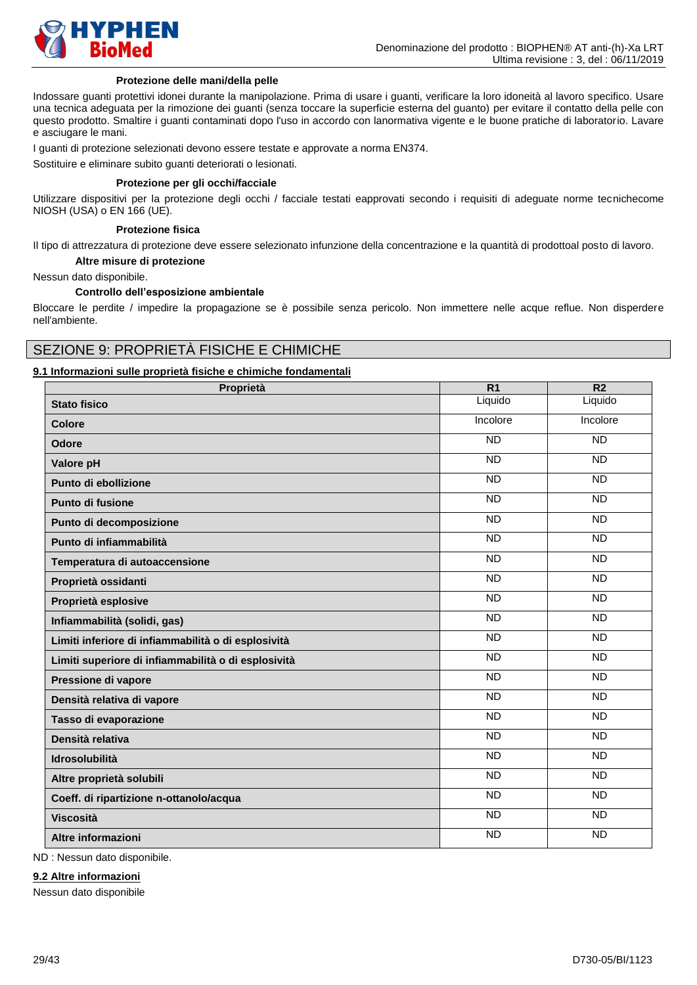

#### **Protezione delle mani/della pelle**

Indossare guanti protettivi idonei durante la manipolazione. Prima di usare i guanti, verificare la loro idoneità al lavoro specifico. Usare una tecnica adeguata per la rimozione dei guanti (senza toccare la superficie esterna del guanto) per evitare il contatto della pelle con questo prodotto. Smaltire i guanti contaminati dopo l'uso in accordo con lanormativa vigente e le buone pratiche di laboratorio. Lavare e asciugare le mani.

I guanti di protezione selezionati devono essere testate e approvate a norma EN374.

Sostituire e eliminare subito guanti deteriorati o lesionati.

#### **Protezione per gli occhi/facciale**

Utilizzare dispositivi per la protezione degli occhi / facciale testati eapprovati secondo i requisiti di adeguate norme tecnichecome NIOSH (USA) o EN 166 (UE).

#### **Protezione fisica**

Il tipo di attrezzatura di protezione deve essere selezionato infunzione della concentrazione e la quantità di prodottoal posto di lavoro.

**Altre misure di protezione**

Nessun dato disponibile.

#### **Controllo dell'esposizione ambientale**

Bloccare le perdite / impedire la propagazione se è possibile senza pericolo. Non immettere nelle acque reflue. Non disperdere nell'ambiente.

### SEZIONE 9: PROPRIETÀ FISICHE E CHIMICHE

#### **9.1 Informazioni sulle proprietà fisiche e chimiche fondamentali**

| Proprietà                                           | R <sub>1</sub>  | R <sub>2</sub>  |
|-----------------------------------------------------|-----------------|-----------------|
| <b>Stato fisico</b>                                 | Liquido         | Liquido         |
| Colore                                              | Incolore        | Incolore        |
| Odore                                               | <b>ND</b>       | <b>ND</b>       |
| Valore pH                                           | <b>ND</b>       | <b>ND</b>       |
| Punto di ebollizione                                | <b>ND</b>       | <b>ND</b>       |
| Punto di fusione                                    | $\overline{ND}$ | $\overline{ND}$ |
| Punto di decomposizione                             | <b>ND</b>       | <b>ND</b>       |
| Punto di infiammabilità                             | <b>ND</b>       | <b>ND</b>       |
| Temperatura di autoaccensione                       | $\overline{ND}$ | $\overline{ND}$ |
| Proprietà ossidanti                                 | $\overline{ND}$ | <b>ND</b>       |
| Proprietà esplosive                                 | <b>ND</b>       | <b>ND</b>       |
| Infiammabilità (solidi, gas)                        | <b>ND</b>       | <b>ND</b>       |
| Limiti inferiore di infiammabilità o di esplosività | $\overline{ND}$ | $\overline{ND}$ |
| Limiti superiore di infiammabilità o di esplosività | <b>ND</b>       | <b>ND</b>       |
| Pressione di vapore                                 | <b>ND</b>       | <b>ND</b>       |
| Densità relativa di vapore                          | $\overline{ND}$ | <b>ND</b>       |
| Tasso di evaporazione                               | <b>ND</b>       | $\overline{ND}$ |
| Densità relativa                                    | <b>ND</b>       | <b>ND</b>       |
| Idrosolubilità                                      | <b>ND</b>       | <b>ND</b>       |
| Altre proprietà solubili                            | <b>ND</b>       | <b>ND</b>       |
| Coeff. di ripartizione n-ottanolo/acqua             | ND              | $\overline{ND}$ |
| <b>Viscosità</b>                                    | <b>ND</b>       | <b>ND</b>       |
| Altre informazioni                                  | <b>ND</b>       | <b>ND</b>       |

ND : Nessun dato disponibile.

#### **9.2 Altre informazioni**

Nessun dato disponibile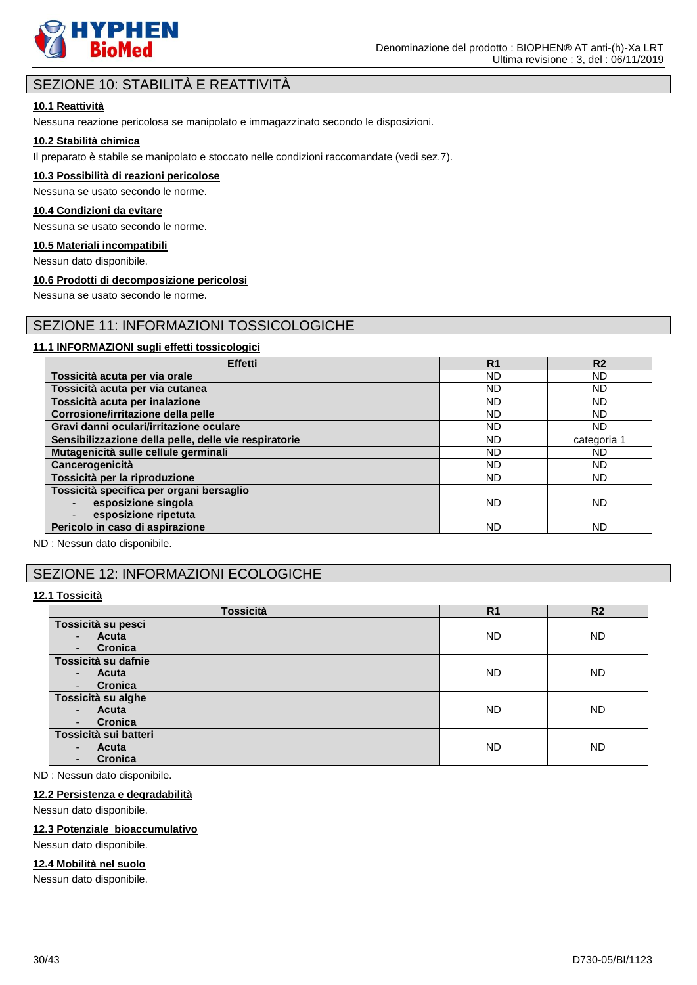

# SEZIONE 10: STABILITÀ E REATTIVITÀ

#### **10.1 Reattività**

Nessuna reazione pericolosa se manipolato e immagazzinato secondo le disposizioni.

### **10.2 Stabilità chimica**

Il preparato è stabile se manipolato e stoccato nelle condizioni raccomandate (vedi sez.7).

#### **10.3 Possibilità di reazioni pericolose**

Nessuna se usato secondo le norme.

#### **10.4 Condizioni da evitare**

Nessuna se usato secondo le norme.

#### **10.5 Materiali incompatibili**

Nessun dato disponibile.

#### **10.6 Prodotti di decomposizione pericolosi**

Nessuna se usato secondo le norme.

### SEZIONE 11: INFORMAZIONI TOSSICOLOGICHE

#### **11.1 INFORMAZIONI sugli effetti tossicologici**

| <b>Effetti</b>                                        | R <sub>1</sub> | R <sub>2</sub> |
|-------------------------------------------------------|----------------|----------------|
| Tossicità acuta per via orale                         | <b>ND</b>      | <b>ND</b>      |
| Tossicità acuta per via cutanea                       | <b>ND</b>      | <b>ND</b>      |
| Tossicità acuta per inalazione                        | ND             | ND             |
| Corrosione/irritazione della pelle                    | ND             | ND             |
| Gravi danni oculari/irritazione oculare               | ND             | ND             |
| Sensibilizzazione della pelle, delle vie respiratorie | <b>ND</b>      | categoria 1    |
| Mutagenicità sulle cellule germinali                  | <b>ND</b>      | ND.            |
| Cancerogenicità                                       | ND             | ND             |
| Tossicità per la riproduzione                         | ND             | ND.            |
| Tossicità specifica per organi bersaglio              |                |                |
| esposizione singola                                   | ND             | <b>ND</b>      |
| esposizione ripetuta                                  |                |                |
| Pericolo in caso di aspirazione                       | <b>ND</b>      | ND             |

ND : Nessun dato disponibile.

### SEZIONE 12: INFORMAZIONI ECOLOGICHE

#### **12.1 Tossicità**

| <b>Tossicità</b>                           | R <sub>1</sub> | R <sub>2</sub> |
|--------------------------------------------|----------------|----------------|
| Tossicità su pesci                         |                |                |
| Acuta<br>$\sim$                            | <b>ND</b>      | <b>ND</b>      |
| Cronica<br>$\overline{\phantom{a}}$        |                |                |
| Tossicità su dafnie                        |                |                |
| Acuta<br>$\sim$                            | <b>ND</b>      | <b>ND</b>      |
| Cronica<br>$\sim$                          |                |                |
| Tossicità su alghe                         |                |                |
| Acuta<br>$\overline{\phantom{a}}$          | <b>ND</b>      | <b>ND</b>      |
| Cronica<br>$\overline{\phantom{a}}$        |                |                |
| Tossicità sui batteri                      |                |                |
| Acuta<br>$\sim$                            | <b>ND</b>      | <b>ND</b>      |
| <b>Cronica</b><br>$\overline{\phantom{a}}$ |                |                |

ND : Nessun dato disponibile.

#### **12.2 Persistenza e degradabilità**

Nessun dato disponibile.

#### **12.3 Potenziale bioaccumulativo**

Nessun dato disponibile.

#### **12.4 Mobilità nel suolo**

Nessun dato disponibile.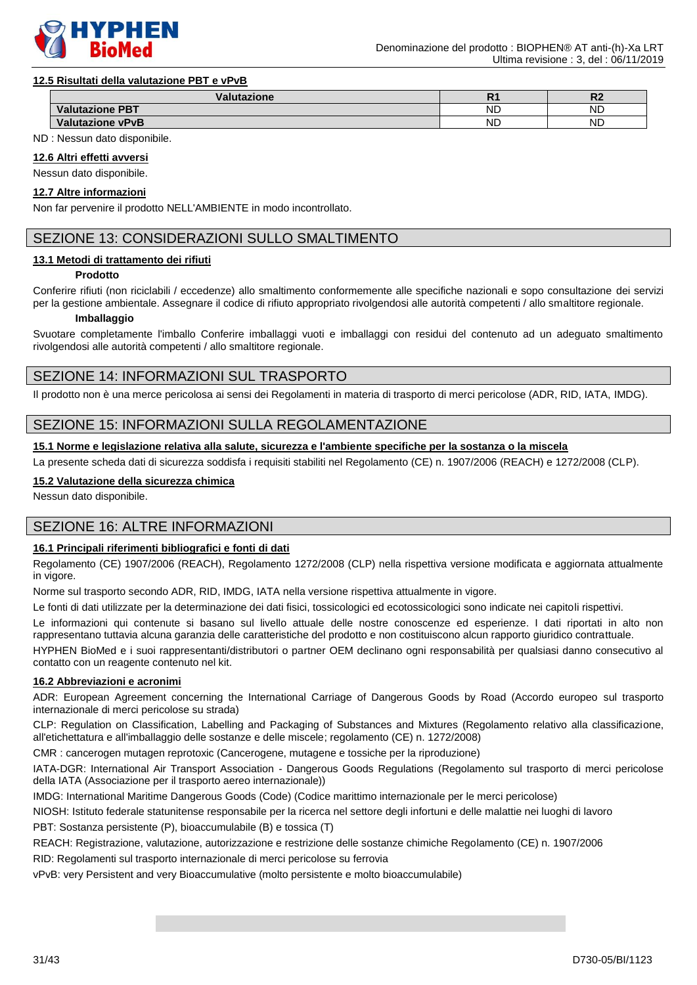

#### **12.5 Risultati della valutazione PBT e vPvB**

| Valutazione                    | . .       | D <sup>4</sup><br>1 \ Z |
|--------------------------------|-----------|-------------------------|
| PBT!<br>Valutazione <b>F</b> . | <b>ND</b> | ND                      |
| <b>Valutazione vPvB</b>        | <b>ND</b> | ND                      |

ND : Nessun dato disponibile.

#### **12.6 Altri effetti avversi**

Nessun dato disponibile.

#### **12.7 Altre informazioni**

Non far pervenire il prodotto NELL'AMBIENTE in modo incontrollato.

### SEZIONE 13: CONSIDERAZIONI SULLO SMALTIMENTO

#### **13.1 Metodi di trattamento dei rifiuti**

#### **Prodotto**

Conferire rifiuti (non riciclabili / eccedenze) allo smaltimento conformemente alle specifiche nazionali e sopo consultazione dei servizi per la gestione ambientale. Assegnare il codice di rifiuto appropriato rivolgendosi alle autorità competenti / allo smaltitore regionale.

#### **Imballaggio**

Svuotare completamente l'imballo Conferire imballaggi vuoti e imballaggi con residui del contenuto ad un adeguato smaltimento rivolgendosi alle autorità competenti / allo smaltitore regionale.

### SEZIONE 14: INFORMAZIONI SUL TRASPORTO

Il prodotto non è una merce pericolosa ai sensi dei Regolamenti in materia di trasporto di merci pericolose (ADR, RID, IATA, IMDG).

### SEZIONE 15: INFORMAZIONI SULLA REGOLAMENTAZIONE

#### **15.1 Norme e legislazione relativa alla salute, sicurezza e l'ambiente specifiche per la sostanza o la miscela**

La presente scheda dati di sicurezza soddisfa i requisiti stabiliti nel Regolamento (CE) n. 1907/2006 (REACH) e 1272/2008 (CLP).

#### **15.2 Valutazione della sicurezza chimica**

Nessun dato disponibile.

### SEZIONE 16: ALTRE INFORMAZIONI

### **16.1 Principali riferimenti bibliografici e fonti di dati**

Regolamento (CE) 1907/2006 (REACH), Regolamento 1272/2008 (CLP) nella rispettiva versione modificata e aggiornata attualmente in vigore.

Norme sul trasporto secondo ADR, RID, IMDG, IATA nella versione rispettiva attualmente in vigore.

Le fonti di dati utilizzate per la determinazione dei dati fisici, tossicologici ed ecotossicologici sono indicate nei capitoli rispettivi.

Le informazioni qui contenute si basano sul livello attuale delle nostre conoscenze ed esperienze. I dati riportati in alto non rappresentano tuttavia alcuna garanzia delle caratteristiche del prodotto e non costituiscono alcun rapporto giuridico contrattuale.

HYPHEN BioMed e i suoi rappresentanti/distributori o partner OEM declinano ogni responsabilità per qualsiasi danno consecutivo al contatto con un reagente contenuto nel kit.

#### **16.2 Abbreviazioni e acronimi**

ADR: European Agreement concerning the International Carriage of Dangerous Goods by Road (Accordo europeo sul trasporto internazionale di merci pericolose su strada)

CLP: Regulation on Classification, Labelling and Packaging of Substances and Mixtures (Regolamento relativo alla classificazione, all'etichettatura e all'imballaggio delle sostanze e delle miscele; regolamento (CE) n. 1272/2008)

CMR : cancerogen mutagen reprotoxic (Cancerogene, mutagene e tossiche per la riproduzione)

IATA-DGR: International Air Transport Association - Dangerous Goods Regulations (Regolamento sul trasporto di merci pericolose della IATA (Associazione per il trasporto aereo internazionale))

IMDG: International Maritime Dangerous Goods (Code) (Codice marittimo internazionale per le merci pericolose)

NIOSH: Istituto federale statunitense responsabile per la ricerca nel settore degli infortuni e delle malattie nei luoghi di lavoro PBT: Sostanza persistente (P), bioaccumulabile (B) e tossica (T)

REACH: Registrazione, valutazione, autorizzazione e restrizione delle sostanze chimiche Regolamento (CE) n. 1907/2006

RID: Regolamenti sul trasporto internazionale di merci pericolose su ferrovia

vPvB: very Persistent and very Bioaccumulative (molto persistente e molto bioaccumulabile)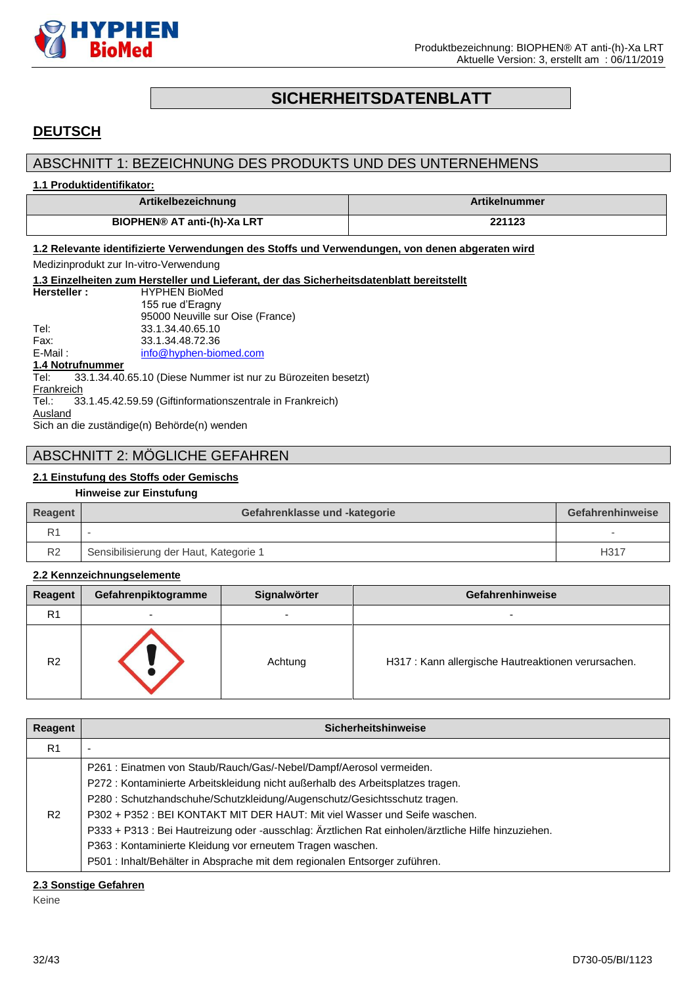

# **SICHERHEITSDATENBLATT**

# <span id="page-31-0"></span>**DEUTSCH**

### ABSCHNITT 1: BEZEICHNUNG DES PRODUKTS UND DES UNTERNEHMENS

#### **1.1 Produktidentifikator:**

| Artikelbezeichnung                 | <b>Artikelnummer</b> |
|------------------------------------|----------------------|
| <b>BIOPHEN® AT anti-(h)-Xa LRT</b> | 221123               |

# **1.2 Relevante identifizierte Verwendungen des Stoffs und Verwendungen, von denen abgeraten wird**

Medizinprodukt zur In-vitro-Verwendung

|                  | 1.3 Einzelheiten zum Hersteller und Lieferant, der das Sicherheitsdatenblatt bereitstellt |
|------------------|-------------------------------------------------------------------------------------------|
| Hersteller:      | <b>HYPHEN BioMed</b>                                                                      |
|                  | 155 rue d'Eragny                                                                          |
|                  | 95000 Neuville sur Oise (France)                                                          |
| Tel:             | 33.1.34.40.65.10                                                                          |
| Fax:             | 33.1.34.48.72.36                                                                          |
| E-Mail:          | info@hyphen-biomed.com                                                                    |
| 1.4 Notrufnummer |                                                                                           |
| Tel:             | 33.1.34.40.65.10 (Diese Nummer ist nur zu Bürozeiten besetzt)                             |
| Frankreich       |                                                                                           |
| Tel.:            | 33.1.45.42.59.59 (Giftinformationszentrale in Frankreich)                                 |
| Ausland          |                                                                                           |
|                  | Sich an die zuständige(n) Behörde(n) wenden                                               |

# ABSCHNITT 2: MÖGLICHE GEFAHREN

### **2.1 Einstufung des Stoffs oder Gemischs**

### **Hinweise zur Einstufung**

| Reagent        | Gefahrenklasse und -kategorie          | Gefahrenhinweise |
|----------------|----------------------------------------|------------------|
| R.             |                                        |                  |
| R <sub>2</sub> | Sensibilisierung der Haut, Kategorie 1 | H317             |

#### **2.2 Kennzeichnungselemente**

| Reagent        | Gefahrenpiktogramme      | Signalwörter | Gefahrenhinweise                                    |
|----------------|--------------------------|--------------|-----------------------------------------------------|
| R <sub>1</sub> | $\overline{\phantom{0}}$ | -            | $\overline{\phantom{0}}$                            |
| R <sub>2</sub> |                          | Achtung      | H317 : Kann allergische Hautreaktionen verursachen. |

| Reagent        | <b>Sicherheitshinweise</b>                                                                                                                                                                                                                                                                                                                                                                                                                                                                                                                                          |
|----------------|---------------------------------------------------------------------------------------------------------------------------------------------------------------------------------------------------------------------------------------------------------------------------------------------------------------------------------------------------------------------------------------------------------------------------------------------------------------------------------------------------------------------------------------------------------------------|
| R <sub>1</sub> |                                                                                                                                                                                                                                                                                                                                                                                                                                                                                                                                                                     |
| R <sub>2</sub> | P261 : Einatmen von Staub/Rauch/Gas/-Nebel/Dampf/Aerosol vermeiden.<br>P272 : Kontaminierte Arbeitskleidung nicht außerhalb des Arbeitsplatzes tragen.<br>P280: Schutzhandschuhe/Schutzkleidung/Augenschutz/Gesichtsschutz tragen.<br>P302 + P352 : BEI KONTAKT MIT DER HAUT: Mit viel Wasser und Seife waschen.<br>P333 + P313 : Bei Hautreizung oder -ausschlag: Ärztlichen Rat einholen/ärztliche Hilfe hinzuziehen.<br>P363 : Kontaminierte Kleidung vor erneutem Tragen waschen.<br>P501 : Inhalt/Behälter in Absprache mit dem regionalen Entsorger zuführen. |

#### **2.3 Sonstige Gefahren**

Keine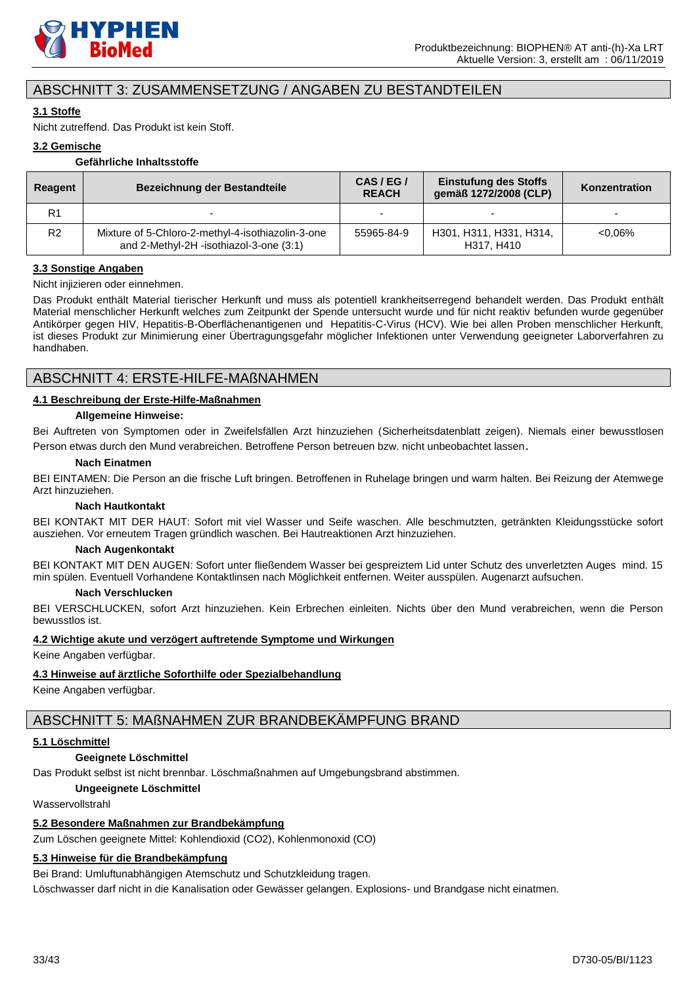

### ABSCHNITT 3: ZUSAMMENSETZUNG / ANGABEN ZU BESTANDTEILEN

### **3.1 Stoffe**

Nicht zutreffend. Das Produkt ist kein Stoff.

#### **3.2 Gemische**

#### **Gefährliche Inhaltsstoffe**

| Reagent        | Bezeichnung der Bestandteile                                                                 | CAS/EG/<br><b>REACH</b> | <b>Einstufung des Stoffs</b><br>gemäß 1272/2008 (CLP) | Konzentration |
|----------------|----------------------------------------------------------------------------------------------|-------------------------|-------------------------------------------------------|---------------|
| R <sub>1</sub> |                                                                                              |                         |                                                       |               |
| R <sub>2</sub> | Mixture of 5-Chloro-2-methyl-4-isothiazolin-3-one<br>and 2-Methyl-2H -isothiazol-3-one (3:1) | 55965-84-9              | H301, H311, H331, H314,<br>H317, H410                 | $<0.06\%$     |

#### **3.3 Sonstige Angaben**

#### Nicht injizieren oder einnehmen.

Das Produkt enthält Material tierischer Herkunft und muss als potentiell krankheitserregend behandelt werden. Das Produkt enthält Material menschlicher Herkunft welches zum Zeitpunkt der Spende untersucht wurde und für nicht reaktiv befunden wurde gegenüber Antikörper gegen HIV, Hepatitis-B-Oberflächenantigenen und Hepatitis-C-Virus (HCV). Wie bei allen Proben menschlicher Herkunft, ist dieses Produkt zur Minimierung einer Übertragungsgefahr möglicher Infektionen unter Verwendung geeigneter Laborverfahren zu handhaben.

### ABSCHNITT 4: ERSTE-HILFE-MAßNAHMEN

#### **4.1 Beschreibung der Erste-Hilfe-Maßnahmen**

#### **Allgemeine Hinweise:**

Bei Auftreten von Symptomen oder in Zweifelsfällen Arzt hinzuziehen (Sicherheitsdatenblatt zeigen). Niemals einer bewusstlosen Person etwas durch den Mund verabreichen. Betroffene Person betreuen bzw. nicht unbeobachtet lassen.

#### **Nach Einatmen**

BEI EINTAMEN: Die Person an die frische Luft bringen. Betroffenen in Ruhelage bringen und warm halten. Bei Reizung der Atemwege Arzt hinzuziehen.

#### **Nach Hautkontakt**

BEI KONTAKT MIT DER HAUT: Sofort mit viel Wasser und Seife waschen. Alle beschmutzten, getränkten Kleidungsstücke sofort ausziehen. Vor erneutem Tragen gründlich waschen. Bei Hautreaktionen Arzt hinzuziehen.

#### **Nach Augenkontakt**

BEI KONTAKT MIT DEN AUGEN: Sofort unter fließendem Wasser bei gespreiztem Lid unter Schutz des unverletzten Auges mind. 15 min spülen. Eventuell Vorhandene Kontaktlinsen nach Möglichkeit entfernen. Weiter ausspülen. Augenarzt aufsuchen.

#### **Nach Verschlucken**

BEI VERSCHLUCKEN, sofort Arzt hinzuziehen. Kein Erbrechen einleiten. Nichts über den Mund verabreichen, wenn die Person bewusstlos ist.

#### **4.2 Wichtige akute und verzögert auftretende Symptome und Wirkungen**

Keine Angaben verfügbar.

#### **4.3 Hinweise auf ärztliche Soforthilfe oder Spezialbehandlung**

Keine Angaben verfügbar.

# ABSCHNITT 5: MAßNAHMEN ZUR BRANDBEKÄMPFUNG BRAND

#### **5.1 Löschmittel**

#### **Geeignete Löschmittel**

Das Produkt selbst ist nicht brennbar. Löschmaßnahmen auf Umgebungsbrand abstimmen.

#### **Ungeeignete Löschmittel**

#### Wasservollstrahl

#### **5.2 Besondere Maßnahmen zur Brandbekämpfung**

Zum Löschen geeignete Mittel: Kohlendioxid (CO2), Kohlenmonoxid (CO)

#### **5.3 Hinweise für die Brandbekämpfung**

Bei Brand: Umluftunabhängigen Atemschutz und Schutzkleidung tragen.

Löschwasser darf nicht in die Kanalisation oder Gewässer gelangen. Explosions- und Brandgase nicht einatmen.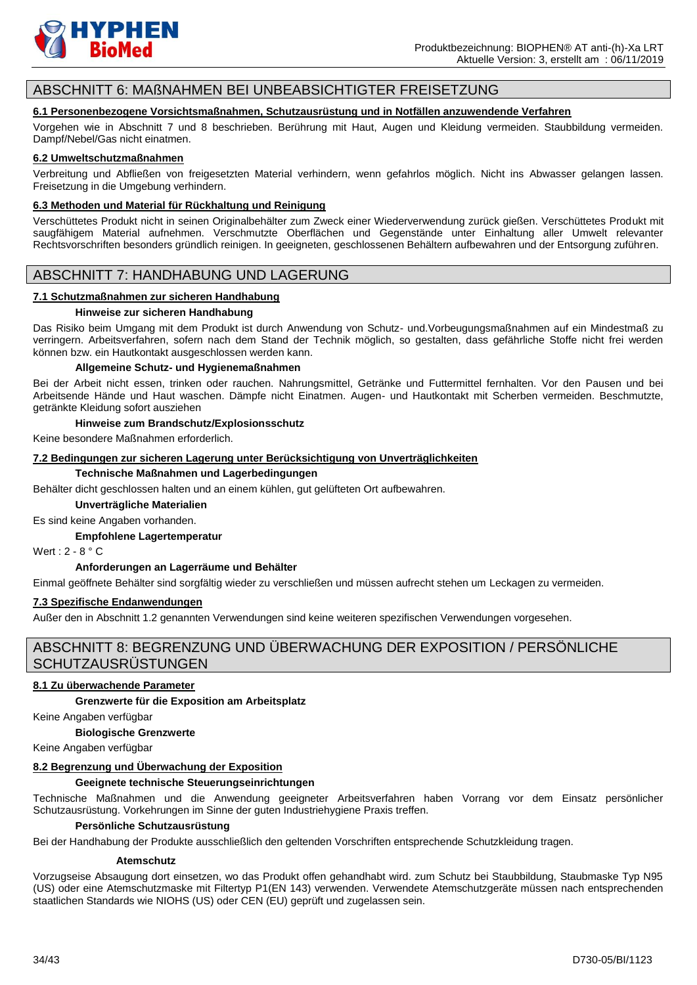

### ABSCHNITT 6: MAßNAHMEN BEI UNBEABSICHTIGTER FREISETZUNG

### **6.1 Personenbezogene Vorsichtsmaßnahmen, Schutzausrüstung und in Notfällen anzuwendende Verfahren**

Vorgehen wie in Abschnitt 7 und 8 beschrieben. Berührung mit Haut, Augen und Kleidung vermeiden. Staubbildung vermeiden. Dampf/Nebel/Gas nicht einatmen.

#### **6.2 Umweltschutzmaßnahmen**

Verbreitung und Abfließen von freigesetzten Material verhindern, wenn gefahrlos möglich. Nicht ins Abwasser gelangen lassen. Freisetzung in die Umgebung verhindern.

#### **6.3 Methoden und Material für Rückhaltung und Reinigung**

Verschüttetes Produkt nicht in seinen Originalbehälter zum Zweck einer Wiederverwendung zurück gießen. Verschüttetes Produkt mit saugfähigem Material aufnehmen. Verschmutzte Oberflächen und Gegenstände unter Einhaltung aller Umwelt relevanter Rechtsvorschriften besonders gründlich reinigen. In geeigneten, geschlossenen Behältern aufbewahren und der Entsorgung zuführen.

### ABSCHNITT 7: HANDHABUNG UND LAGERUNG

#### **7.1 Schutzmaßnahmen zur sicheren Handhabung**

#### **Hinweise zur sicheren Handhabung**

Das Risiko beim Umgang mit dem Produkt ist durch Anwendung von Schutz- und.Vorbeugungsmaßnahmen auf ein Mindestmaß zu verringern. Arbeitsverfahren, sofern nach dem Stand der Technik möglich, so gestalten, dass gefährliche Stoffe nicht frei werden können bzw. ein Hautkontakt ausgeschlossen werden kann.

#### **Allgemeine Schutz- und Hygienemaßnahmen**

Bei der Arbeit nicht essen, trinken oder rauchen. Nahrungsmittel, Getränke und Futtermittel fernhalten. Vor den Pausen und bei Arbeitsende Hände und Haut waschen. Dämpfe nicht Einatmen. Augen- und Hautkontakt mit Scherben vermeiden. Beschmutzte, getränkte Kleidung sofort ausziehen

#### **Hinweise zum Brandschutz/Explosionsschutz**

Keine besondere Maßnahmen erforderlich.

#### **7.2 Bedingungen zur sicheren Lagerung unter Berücksichtigung von Unverträglichkeiten**

#### **Technische Maßnahmen und Lagerbedingungen**

Behälter dicht geschlossen halten und an einem kühlen, gut gelüfteten Ort aufbewahren.

#### **Unverträgliche Materialien**

Es sind keine Angaben vorhanden.

#### **Empfohlene Lagertemperatur**

Wert : 2 - 8 ° C

#### **Anforderungen an Lagerräume und Behälter**

Einmal geöffnete Behälter sind sorgfältig wieder zu verschließen und müssen aufrecht stehen um Leckagen zu vermeiden.

#### **7.3 Spezifische Endanwendungen**

Außer den in Abschnitt 1.2 genannten Verwendungen sind keine weiteren spezifischen Verwendungen vorgesehen.

### ABSCHNITT 8: BEGRENZUNG UND ÜBERWACHUNG DER EXPOSITION / PERSÖNLICHE **SCHUTZAUSRÜSTUNGEN**

#### **8.1 Zu überwachende Parameter**

#### **Grenzwerte für die Exposition am Arbeitsplatz**

Keine Angaben verfügbar

#### **Biologische Grenzwerte**

Keine Angaben verfügbar

#### **8.2 Begrenzung und Überwachung der Exposition**

#### **Geeignete technische Steuerungseinrichtungen**

Technische Maßnahmen und die Anwendung geeigneter Arbeitsverfahren haben Vorrang vor dem Einsatz persönlicher Schutzausrüstung. Vorkehrungen im Sinne der guten Industriehygiene Praxis treffen.

#### **Persönliche Schutzausrüstung**

Bei der Handhabung der Produkte ausschließlich den geltenden Vorschriften entsprechende Schutzkleidung tragen.

#### **Atemschutz**

Vorzugseise Absaugung dort einsetzen, wo das Produkt offen gehandhabt wird. zum Schutz bei Staubbildung, Staubmaske Typ N95 (US) oder eine Atemschutzmaske mit Filtertyp P1(EN 143) verwenden. Verwendete Atemschutzgeräte müssen nach entsprechenden staatlichen Standards wie NIOHS (US) oder CEN (EU) geprüft und zugelassen sein.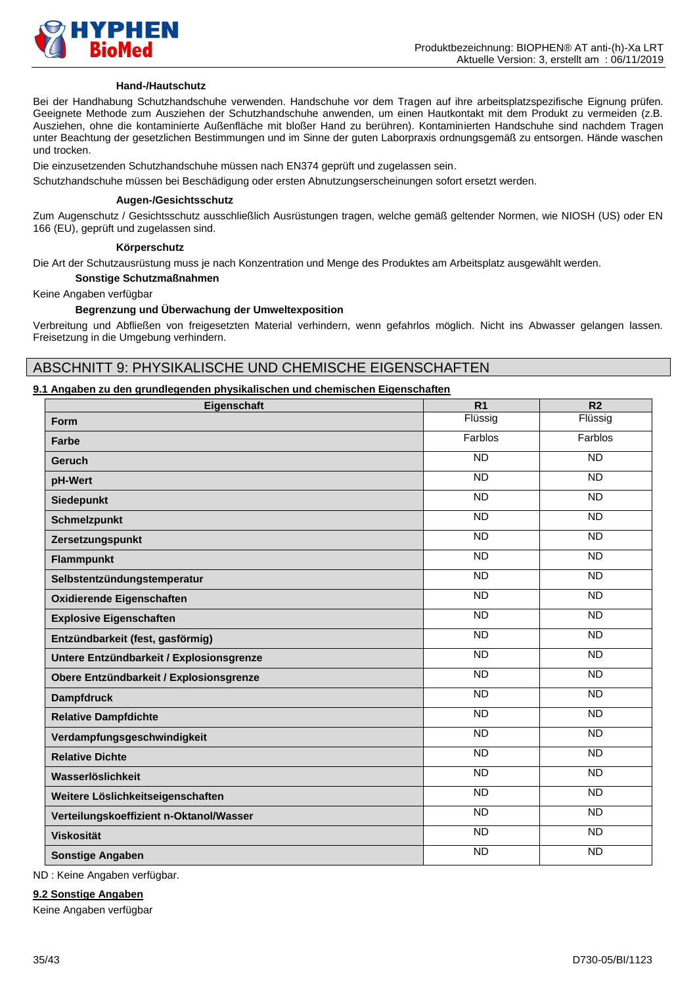

#### **Hand-/Hautschutz**

Bei der Handhabung Schutzhandschuhe verwenden. Handschuhe vor dem Tragen auf ihre arbeitsplatzspezifische Eignung prüfen. Geeignete Methode zum Ausziehen der Schutzhandschuhe anwenden, um einen Hautkontakt mit dem Produkt zu vermeiden (z.B. Ausziehen, ohne die kontaminierte Außenfläche mit bloßer Hand zu berühren). Kontaminierten Handschuhe sind nachdem Tragen unter Beachtung der gesetzlichen Bestimmungen und im Sinne der guten Laborpraxis ordnungsgemäß zu entsorgen. Hände waschen und trocken.

Die einzusetzenden Schutzhandschuhe müssen nach EN374 geprüft und zugelassen sein.

Schutzhandschuhe müssen bei Beschädigung oder ersten Abnutzungserscheinungen sofort ersetzt werden.

#### **Augen-/Gesichtsschutz**

Zum Augenschutz / Gesichtsschutz ausschließlich Ausrüstungen tragen, welche gemäß geltender Normen, wie NIOSH (US) oder EN 166 (EU), geprüft und zugelassen sind.

#### **Körperschutz**

Die Art der Schutzausrüstung muss je nach Konzentration und Menge des Produktes am Arbeitsplatz ausgewählt werden.

#### **Sonstige Schutzmaßnahmen**

Keine Angaben verfügbar

#### **Begrenzung und Überwachung der Umweltexposition**

Verbreitung und Abfließen von freigesetzten Material verhindern, wenn gefahrlos möglich. Nicht ins Abwasser gelangen lassen. Freisetzung in die Umgebung verhindern.

### ABSCHNITT 9: PHYSIKALISCHE UND CHEMISCHE EIGENSCHAFTEN

#### **9.1 Angaben zu den grundlegenden physikalischen und chemischen Eigenschaften**

| Eigenschaft                              | $\overline{R1}$ | $\overline{R2}$ |
|------------------------------------------|-----------------|-----------------|
| Form                                     | Flüssig         | Flüssig         |
| <b>Farbe</b>                             | Farblos         | Farblos         |
| Geruch                                   | <b>ND</b>       | <b>ND</b>       |
| pH-Wert                                  | <b>ND</b>       | <b>ND</b>       |
| Siedepunkt                               | <b>ND</b>       | <b>ND</b>       |
| <b>Schmelzpunkt</b>                      | <b>ND</b>       | <b>ND</b>       |
| Zersetzungspunkt                         | $\overline{ND}$ | <b>ND</b>       |
| <b>Flammpunkt</b>                        | <b>ND</b>       | <b>ND</b>       |
| Selbstentzündungstemperatur              | <b>ND</b>       | <b>ND</b>       |
| <b>Oxidierende Eigenschaften</b>         | <b>ND</b>       | <b>ND</b>       |
| <b>Explosive Eigenschaften</b>           | $\overline{ND}$ | <b>ND</b>       |
| Entzündbarkeit (fest, gasförmig)         | <b>ND</b>       | <b>ND</b>       |
| Untere Entzündbarkeit / Explosionsgrenze | $\overline{ND}$ | $\overline{ND}$ |
| Obere Entzündbarkeit / Explosionsgrenze  | $\overline{ND}$ | $\overline{ND}$ |
| <b>Dampfdruck</b>                        | $\overline{ND}$ | <b>ND</b>       |
| <b>Relative Dampfdichte</b>              | <b>ND</b>       | <b>ND</b>       |
| Verdampfungsgeschwindigkeit              | <b>ND</b>       | <b>ND</b>       |
| <b>Relative Dichte</b>                   | <b>ND</b>       | <b>ND</b>       |
| Wasserlöslichkeit                        | <b>ND</b>       | <b>ND</b>       |
| Weitere Löslichkeitseigenschaften        | $\overline{ND}$ | <b>ND</b>       |
| Verteilungskoeffizient n-Oktanol/Wasser  | $\overline{ND}$ | $\overline{ND}$ |
| <b>Viskosität</b>                        | <b>ND</b>       | <b>ND</b>       |
| <b>Sonstige Angaben</b>                  | <b>ND</b>       | <b>ND</b>       |

ND : Keine Angaben verfügbar.

#### **9.2 Sonstige Angaben**

Keine Angaben verfügbar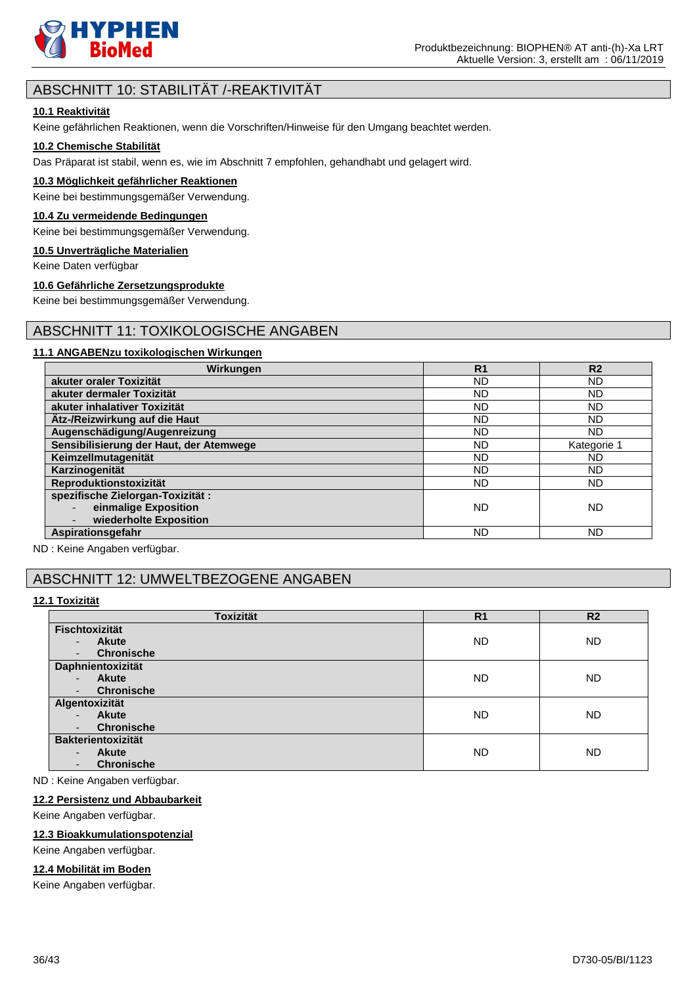

### ABSCHNITT 10: STABILITÄT /-REAKTIVITÄT

### **10.1 Reaktivität**

Keine gefährlichen Reaktionen, wenn die Vorschriften/Hinweise für den Umgang beachtet werden.

#### **10.2 Chemische Stabilität**

Das Präparat ist stabil, wenn es, wie im Abschnitt 7 empfohlen, gehandhabt und gelagert wird.

#### **10.3 Möglichkeit gefährlicher Reaktionen**

Keine bei bestimmungsgemäßer Verwendung.

#### **10.4 Zu vermeidende Bedingungen**

Keine bei bestimmungsgemäßer Verwendung.

#### **10.5 Unverträgliche Materialien**

Keine Daten verfügbar

#### **10.6 Gefährliche Zersetzungsprodukte**

Keine bei bestimmungsgemäßer Verwendung.

### ABSCHNITT 11: TOXIKOLOGISCHE ANGABEN

### **11.1 ANGABENzu toxikologischen Wirkungen**

| Wirkungen                                        | R <sub>1</sub> | R <sub>2</sub> |
|--------------------------------------------------|----------------|----------------|
| akuter oraler Toxizität                          | <b>ND</b>      | <b>ND</b>      |
| akuter dermaler Toxizität                        | ND             | ND             |
| akuter inhalativer Toxizität                     | <b>ND</b>      | <b>ND</b>      |
| Ätz-/Reizwirkung auf die Haut                    | <b>ND</b>      | <b>ND</b>      |
| Augenschädigung/Augenreizung                     | <b>ND</b>      | <b>ND</b>      |
| Sensibilisierung der Haut, der Atemwege          | <b>ND</b>      | Kategorie 1    |
| Keimzellmutagenität                              | <b>ND</b>      | <b>ND</b>      |
| Karzinogenität                                   | <b>ND</b>      | <b>ND</b>      |
| Reproduktionstoxizität                           | <b>ND</b>      | <b>ND</b>      |
| spezifische Zielorgan-Toxizität:                 |                |                |
| einmalige Exposition<br>$\overline{\phantom{0}}$ | <b>ND</b>      | <b>ND</b>      |
| wiederholte Exposition                           |                |                |
| Aspirationsgefahr                                | <b>ND</b>      | <b>ND</b>      |

ND : Keine Angaben verfügbar.

### ABSCHNITT 12: UMWELTBEZOGENE ANGABEN

#### **12.1 Toxizität**

| <b>Toxizität</b>                              | R <sub>1</sub> | R <sub>2</sub> |
|-----------------------------------------------|----------------|----------------|
| Fischtoxizität                                |                |                |
| <b>Akute</b><br>۰.                            | <b>ND</b>      | <b>ND</b>      |
| <b>Chronische</b><br>٠                        |                |                |
| Daphnientoxizität                             |                |                |
| <b>Akute</b><br>$\overline{\phantom{0}}$      | <b>ND</b>      | <b>ND</b>      |
| <b>Chronische</b><br>٠                        |                |                |
| Algentoxizität                                |                |                |
| <b>Akute</b><br>$\overline{a}$                | <b>ND</b>      | <b>ND</b>      |
| <b>Chronische</b><br>٠                        |                |                |
| <b>Bakterientoxizität</b>                     |                |                |
| <b>Akute</b><br>٠                             | <b>ND</b>      | <b>ND</b>      |
| <b>Chronische</b><br>$\overline{\phantom{0}}$ |                |                |

ND : Keine Angaben verfügbar.

#### **12.2 Persistenz und Abbaubarkeit**

Keine Angaben verfügbar.

#### **12.3 Bioakkumulationspotenzial**

Keine Angaben verfügbar.

#### **12.4 Mobilität im Boden**

Keine Angaben verfügbar.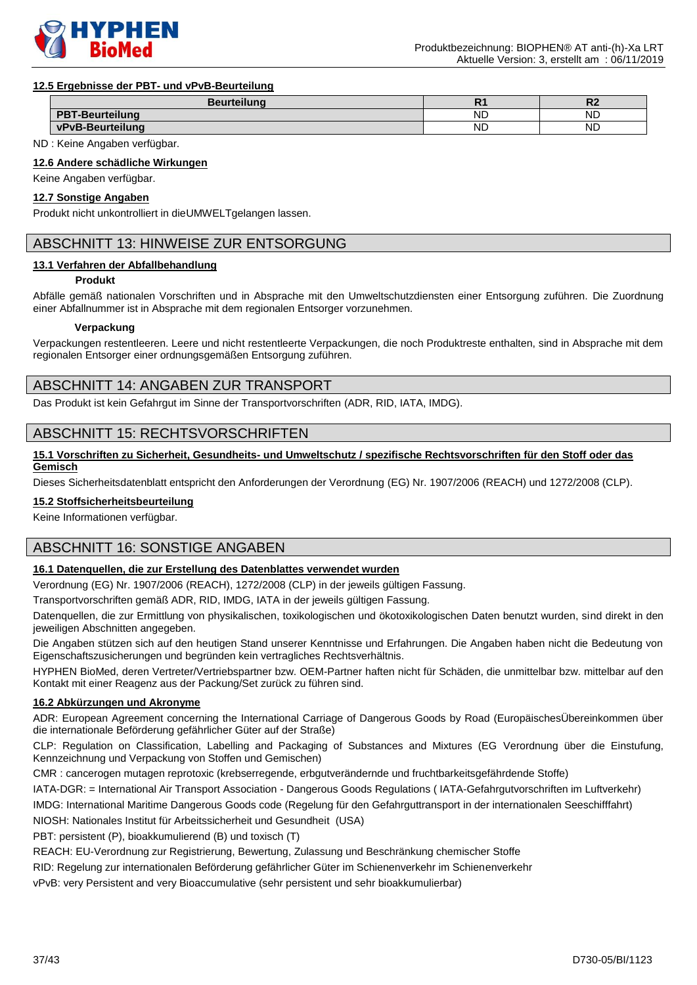

#### **12.5 Ergebnisse der PBT- und vPvB-Beurteilung**

| <b>Beurteilung</b>     | D.<br>''' | D'<br>W   |
|------------------------|-----------|-----------|
| <b>PBT-Beurteilung</b> | <b>ND</b> | <b>ND</b> |
| vPvB-Beurteilung       | <b>ND</b> | <b>ND</b> |

ND : Keine Angaben verfügbar.

#### **12.6 Andere schädliche Wirkungen**

Keine Angaben verfügbar.

#### **12.7 Sonstige Angaben**

Produkt nicht unkontrolliert in dieUMWELTgelangen lassen.

### ABSCHNITT 13: HINWEISE ZUR ENTSORGUNG

#### **13.1 Verfahren der Abfallbehandlung**

#### **Produkt**

Abfälle gemäß nationalen Vorschriften und in Absprache mit den Umweltschutzdiensten einer Entsorgung zuführen. Die Zuordnung einer Abfallnummer ist in Absprache mit dem regionalen Entsorger vorzunehmen.

#### **Verpackung**

Verpackungen restentleeren. Leere und nicht restentleerte Verpackungen, die noch Produktreste enthalten, sind in Absprache mit dem regionalen Entsorger einer ordnungsgemäßen Entsorgung zuführen.

### ABSCHNITT 14: ANGABEN ZUR TRANSPORT

Das Produkt ist kein Gefahrgut im Sinne der Transportvorschriften (ADR, RID, IATA, IMDG).

### ABSCHNITT 15: RECHTSVORSCHRIFTEN

#### **15.1 Vorschriften zu Sicherheit, Gesundheits- und Umweltschutz / spezifische Rechtsvorschriften für den Stoff oder das Gemisch**

Dieses Sicherheitsdatenblatt entspricht den Anforderungen der Verordnung (EG) Nr. 1907/2006 (REACH) und 1272/2008 (CLP).

#### **15.2 Stoffsicherheitsbeurteilung**

Keine Informationen verfügbar.

#### ABSCHNITT 16: SONSTIGE ANGABEN

#### **16.1 Datenquellen, die zur Erstellung des Datenblattes verwendet wurden**

Verordnung (EG) Nr. 1907/2006 (REACH), 1272/2008 (CLP) in der jeweils gültigen Fassung.

Transportvorschriften gemäß ADR, RID, IMDG, IATA in der jeweils gültigen Fassung.

Datenquellen, die zur Ermittlung von physikalischen, toxikologischen und ökotoxikologischen Daten benutzt wurden, sind direkt in den jeweiligen Abschnitten angegeben.

Die Angaben stützen sich auf den heutigen Stand unserer Kenntnisse und Erfahrungen. Die Angaben haben nicht die Bedeutung von Eigenschaftszusicherungen und begründen kein vertragliches Rechtsverhältnis.

HYPHEN BioMed, deren Vertreter/Vertriebspartner bzw. OEM-Partner haften nicht für Schäden, die unmittelbar bzw. mittelbar auf den Kontakt mit einer Reagenz aus der Packung/Set zurück zu führen sind.

#### **16.2 Abkürzungen und Akronyme**

ADR: European Agreement concerning the International Carriage of Dangerous Goods by Road (EuropäischesÜbereinkommen über die internationale Beförderung gefährlicher Güter auf der Straße)

CLP: Regulation on Classification, Labelling and Packaging of Substances and Mixtures (EG Verordnung über die Einstufung, Kennzeichnung und Verpackung von Stoffen und Gemischen)

CMR : cancerogen mutagen reprotoxic (krebserregende, erbgutverändernde und fruchtbarkeitsgefährdende Stoffe)

IATA-DGR: = International Air Transport Association - Dangerous Goods Regulations ( IATA-Gefahrgutvorschriften im Luftverkehr)

IMDG: International Maritime Dangerous Goods code (Regelung für den Gefahrguttransport in der internationalen Seeschifffahrt)

NIOSH: Nationales Institut für Arbeitssicherheit und Gesundheit (USA)

PBT: persistent (P), bioakkumulierend (B) und toxisch (T)

REACH: EU-Verordnung zur Registrierung, Bewertung, Zulassung und Beschränkung chemischer Stoffe

RID: Regelung zur internationalen Beförderung gefährlicher Güter im Schienenverkehr im Schienenverkehr

vPvB: very Persistent and very Bioaccumulative (sehr persistent und sehr bioakkumulierbar)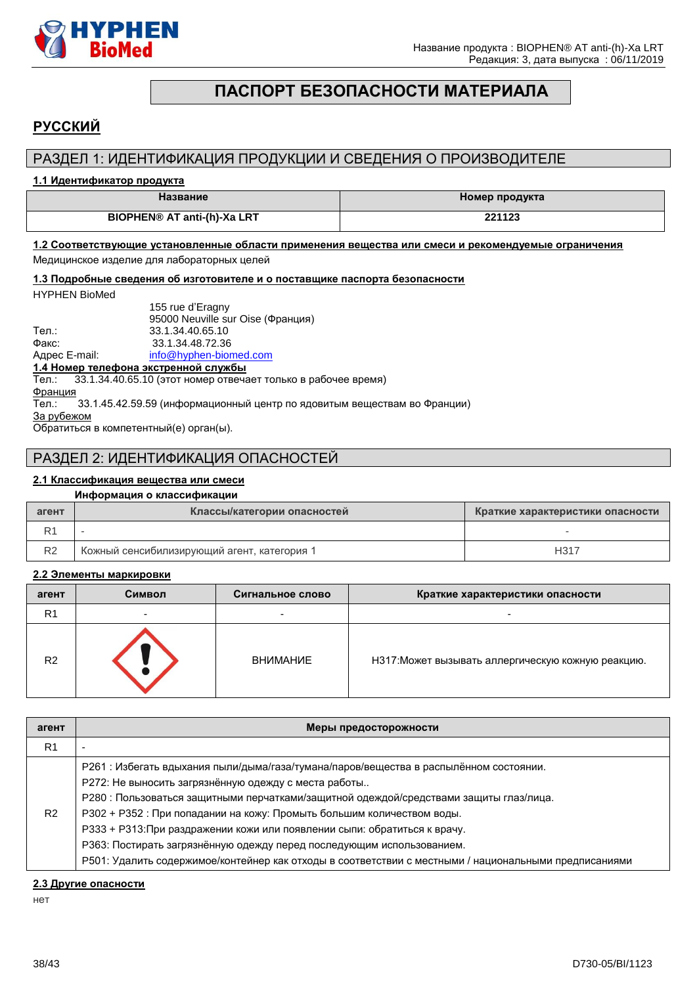

# **ПАСПОРТ БЕЗОПАСНОСТИ МАТЕРИАЛА**

# <span id="page-37-0"></span>**РУССКИЙ**

### РАЗДЕЛ 1: ИДЕНТИФИКАЦИЯ ПРОДУКЦИИ И СВЕДЕНИЯ О ПРОИЗВОДИТЕЛЕ

#### **1.1 Идентификатор продукта**

| Название                           | Номер продукта |  |
|------------------------------------|----------------|--|
| <b>BIOPHEN® AT anti-(h)-Xa LRT</b> | 221123         |  |

# **1.2 Соответствующие установленные области применения вещества или смеси и рекомендуемые ограничения**

Медицинское изделие для лабораторных целей

#### **1.3 Подробные сведения об изготовителе и о поставщике паспорта безопасности**

HYPHEN BioMed

|               |                                        | 155 rue d'Eragny                                                               |
|---------------|----------------------------------------|--------------------------------------------------------------------------------|
|               |                                        | 95000 Neuville sur Oise (Франция)                                              |
| Тел.:         |                                        | 33.1.34.40.65.10                                                               |
| Факс:         |                                        | 33.1.34.48.72.36                                                               |
| Адрес E-mail: |                                        | info@hyphen-biomed.com                                                         |
|               | 1.4 Номер телефона экстренной службы   |                                                                                |
|               |                                        | Тел.: 33.1.34.40.65.10 (этот номер отвечает только в рабочее время)            |
| Франция       |                                        |                                                                                |
|               |                                        | Тел.: 33.1.45.42.59.59 (информационный центр по ядовитым веществам во Франции) |
| За рубежом    |                                        |                                                                                |
|               | Обратиться в компетентный(е) орган(ы). |                                                                                |

### РАЗДЕЛ 2: ИДЕНТИФИКАЦИЯ ОПАСНОСТЕЙ

### **2.1 Классификация вещества или смеси**

#### **Информация о классификации**

| агент | Классы/категории опасностей                 | Краткие характеристики опасности |
|-------|---------------------------------------------|----------------------------------|
|       |                                             |                                  |
| R2    | Кожный сенсибилизирующий агент, категория 1 | H317                             |

#### **2.2 Элементы маркировки**

| агент          | Символ | Сигнальное слово | Краткие характеристики опасности                   |
|----------------|--------|------------------|----------------------------------------------------|
| R <sub>1</sub> | -      |                  |                                                    |
| R <sub>2</sub> |        | <b>ВНИМАНИЕ</b>  | НЗ17: Может вызывать аллергическую кожную реакцию. |

| агент          | Меры предосторожности                                                                                                                                                                                                                                                                                                                                                                                                                                                                                                                                                             |
|----------------|-----------------------------------------------------------------------------------------------------------------------------------------------------------------------------------------------------------------------------------------------------------------------------------------------------------------------------------------------------------------------------------------------------------------------------------------------------------------------------------------------------------------------------------------------------------------------------------|
| R <sub>1</sub> |                                                                                                                                                                                                                                                                                                                                                                                                                                                                                                                                                                                   |
| R <sub>2</sub> | Р261 : Избегать вдыхания пыли/дыма/газа/тумана/паров/вещества в распылённом состоянии.<br>Р272: Не выносить загрязнённую одежду с места работы<br>Р280 : Пользоваться защитными перчатками/защитной одеждой/средствами защиты глаз/лица.<br>РЗ02 + РЗ52 : При попадании на кожу: Промыть большим количеством воды.<br>РЗЗЗ + РЗ13: При раздражении кожи или появлении сыпи: обратиться к врачу.<br>РЗ63: Постирать загрязнённую одежду перед последующим использованием.<br>Р501: Удалить содержимое/контейнер как отходы в соответствии с местными / национальными предписаниями |

#### **2.3 Другие опасности**

нет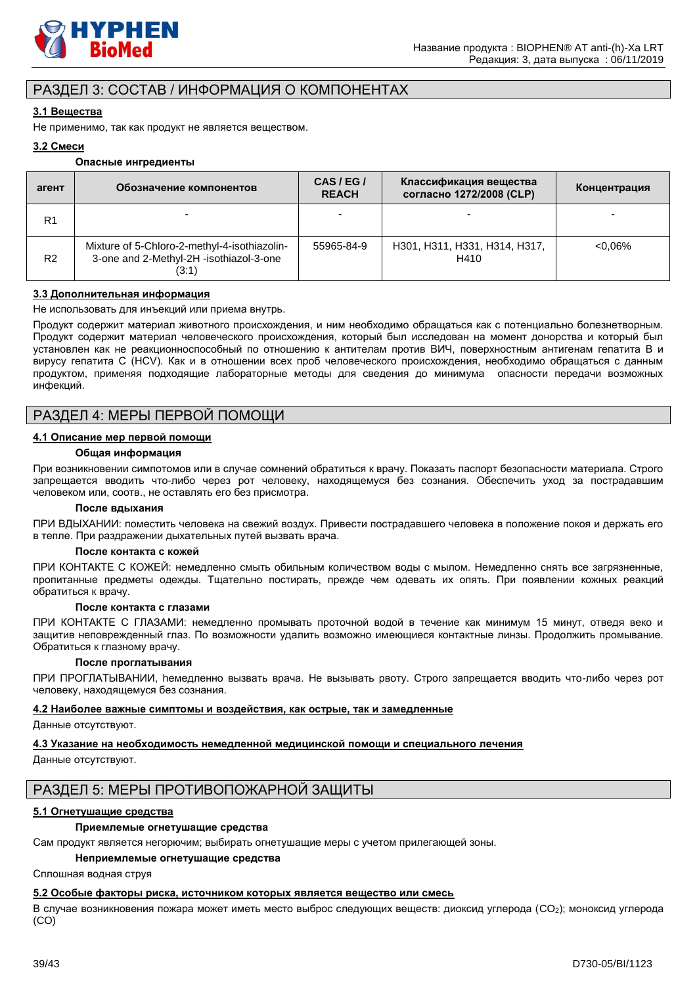

### РАЗДЕЛ 3: СОСТАВ / ИНФОРМАЦИЯ О КОМПОНЕНТАХ

### **3.1 Вещества**

Не применимо, так как продукт не является веществом.

#### **3.2 Смеси**

#### **Опасные ингредиенты**

| агент          | Обозначение компонентов                                                                          | CAS/EG/<br><b>REACH</b> | Классификация вещества<br>согласно 1272/2008 (CLP) | Концентрация |
|----------------|--------------------------------------------------------------------------------------------------|-------------------------|----------------------------------------------------|--------------|
| R <sub>1</sub> |                                                                                                  |                         |                                                    |              |
| R <sub>2</sub> | Mixture of 5-Chloro-2-methyl-4-isothiazolin-<br>3-one and 2-Methyl-2H -isothiazol-3-one<br>(3:1) | 55965-84-9              | H301, H311, H331, H314, H317,<br>H410              | $<0.06\%$    |

#### **3.3 Дополнительная информация**

Не использовать для инъекций или приема внутрь.

Продукт содержит материал животного происхождения, и ним необходимо обращаться как с потенциально болезнетворным. Продукт содержит материал человеческого происхождения, который был исследован на момент донорства и который был установлен как не реакционноспособный по отношению к антителам против ВИЧ, поверхностным антигенам гепатита B и вирусу гепатита C (HCV). Как и в отношении всех проб человеческого происхождения, необходимо обращаться с данным продуктом, применяя подходящие лабораторные методы для сведения до минимума опасности передачи возможных инфекций.

### РАЗДЕЛ 4: МЕРЫ ПЕРВОЙ ПОМОЩИ

#### **4.1 Описание мер первой помощи**

#### **Общая информация**

При возникновении cимпотомов или в случае сомнений обратиться к врачу. Показать паспорт безопасности материала. Строго запрещается вводить что-либо через рот человеку, находящемуся без сознания. Обеспечить уход за пострадавшим человеком или, соотв., не оставлять его без присмотра.

#### **После вдыхания**

ПРИ ВДЫХАНИИ: поместить человека на свежий воздух. Привести пострадавшего человека в положение покоя и держать его в тепле. При раздражении дыхательных путей вызвать врача.

#### **После контакта с кожей**

ПРИ КОНТАКТЕ С КОЖЕЙ: немедленно смыть обильным количеством воды с мылом. Немедленно снять все загрязненные, пропитанные предметы одежды. Тщательно постирать, прежде чем одевать их опять. При появлении кожных реакций обратиться к врачу.

#### **После контакта с глазами**

ПРИ КОНТАКТЕ С ГЛАЗАМИ: немедленно промывать проточной водой в течение как минимум 15 минут, отведя веко и защитив неповрежденный глаз. По возможности удалить возможно имеющиеся контактные линзы. Продолжить промывание. Обратиться к глазному врачу.

#### **После проглатывания**

ПРИ ПРОГЛАТЫВАНИИ, hемедленно вызвать врача. Не вызывать рвоту. Строго запрещается вводить что-либо через рот человеку, находящемуся без сознания.

#### **4.2 Наиболее важные симптомы и воздействия, как острые, так и замедленные**

Данные отсутствуют.

#### **4.3 Указание на необходимость немедленной медицинской помощи и специального лечения**

Данные отсутствуют.

### РАЗДЕЛ 5: МЕРЫ ПРОТИВОПОЖАРНОЙ ЗАЩИТЫ

#### **5.1 Огнетушащие средства**

#### **Приемлемые огнетушащие средства**

Сам продукт является негорючим; выбирать огнетушащие меры с учетом прилегающей зоны.

### **Неприемлемые огнетушащие средства**

Сплошная водная струя

### **5.2 Особые факторы риска, источником которых является вещество или смесь**

В случае возникновения пожара может иметь место выброс следующих веществ: диоксид углерода (CO2); моноксид углерода (CO)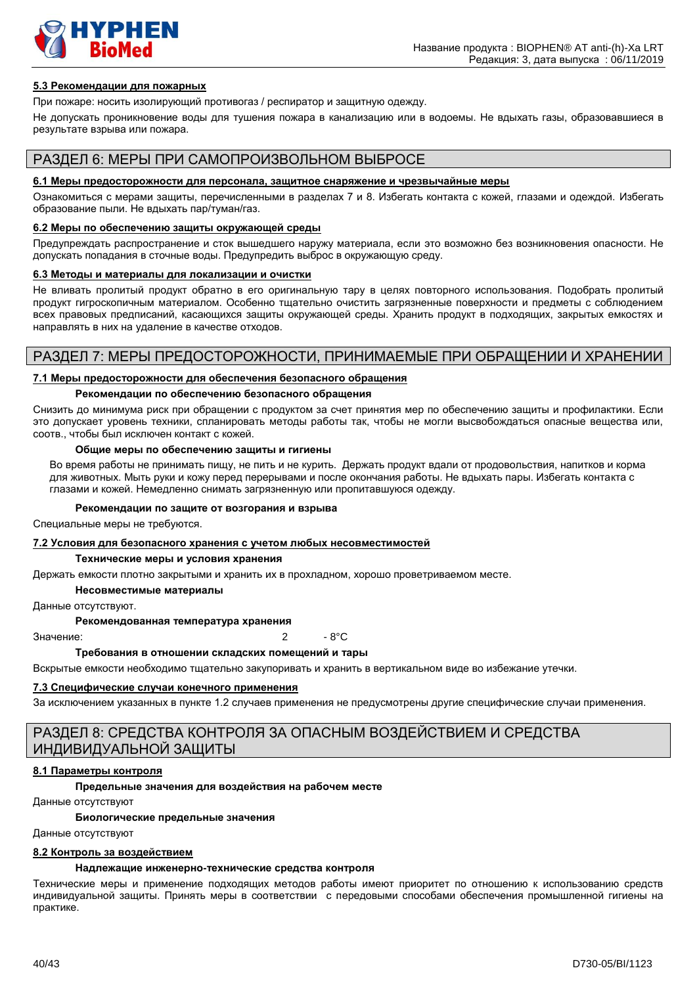

#### **5.3 Рекомендации для пожарных**

При пожаре: носить изолирующий противогаз / респиратор и защитную одежду.

Не допускать проникновение воды для тушения пожара в канализацию или в водоемы. Не вдыхать газы, образовавшиеся в результате взрыва или пожара.

### РАЗДЕЛ 6: МЕРЫ ПРИ САМОПРОИЗВОЛЬНОМ ВЫБРОСЕ

#### **6.1 Меры предосторожности для персонала, защитное снаряжение и чрезвычайные меры**

Ознакомиться с мерами защиты, перечисленными в разделах 7 и 8. Избегать контакта с кожей, глазами и одеждой. Избегать образование пыли. Не вдыхать пар/туман/газ.

#### **6.2 Меры по обеспечению защиты окружающей среды**

Предупреждать распространение и сток вышедшего наружу материала, если это возможно без возникновения опасности. Не допускать попадания в сточные воды. Предупредить выброс в окружающую среду.

#### **6.3 Методы и материалы для локализации и очистки**

Не вливать пролитый продукт обратно в его оригинальную тару в целях повторного использования. Подобрать пролитый продукт гигроскопичным материалом. Особенно тщательно очистить загрязненные поверхности и предметы с соблюдением всех правовых предписаний, касающихся защиты окружающей среды. Хранить продукт в подходящих, закрытых емкостях и направлять в них на удаление в качестве отходов.

### РАЗДЕЛ 7: МЕРЫ ПРЕДОСТОРОЖНОСТИ, ПРИНИМАЕМЫЕ ПРИ ОБРАЩЕНИИ И ХРАНЕНИИ

#### **7.1 Меры предосторожности для обеспечения безопасного обращения**

#### **Рекомендации по обеспечению безопасного обращения**

Снизить до минимума риск при обращении с продуктом за счет принятия мер по обеспечению защиты и профилактики. Если это допускает уровень техники, спланировать методы работы так, чтобы не могли высвобождаться опасные вещества или, соотв., чтобы был исключен контакт с кожей.

#### **Общие меры по обеспечению защиты и гигиены**

Во время работы не принимать пищу, не пить и не курить. Держать продукт вдали от продовольствия, напитков и корма для животных. Мыть руки и кожу перед перерывами и после окончания работы. Не вдыхать пары. Избегать контакта с глазами и кожей. Немедленно снимать загрязненную или пропитавшуюся одежду.

#### **Рекомендации по защите от возгорания и взрыва**

Специальные меры не требуются.

#### **7.2 Условия для безопасного хранения с учетом любых несовместимостей**

#### **Технические меры и условия хранения**

Держать емкости плотно закрытыми и хранить их в прохладном, хорошо проветриваемом месте.

**Несовместимые материалы**

#### Данные отсутствуют.

#### **Рекомендованная температура хранения**

Значение: 2 - 8°C

#### **Требования в отношении складских помещений и тары**

Вскрытые емкости необходимо тщательно закупоривать и хранить в вертикальном виде во избежание утечки.

#### **7.3 Специфические случаи конечного применения**

За исключением указанных в пункте 1.2 случаев применения не предусмотрены другие специфические случаи применения.

### РАЗДЕЛ 8: СРЕДСТВА КОНТРОЛЯ ЗА ОПАСНЫМ ВОЗДЕЙСТВИЕМ И СРЕДСТВА ИНДИВИДУАЛЬНОЙ ЗАЩИТЫ

#### **8.1 Параметры контроля**

#### **Предельные значения для воздействия на рабочем месте**

Данные отсутствуют

#### **Биологические предельные значения**

Данные отсутствуют

#### **8.2 Контроль за воздействием**

#### **Надлежащие инженерно-технические средства контроля**

Технические меры и применение подходящих методов работы имеют приоритет по отношению к использованию средств индивидуальной защиты. Принять меры в соответствии с передовыми способами обеспечения промышленной гигиены на практике.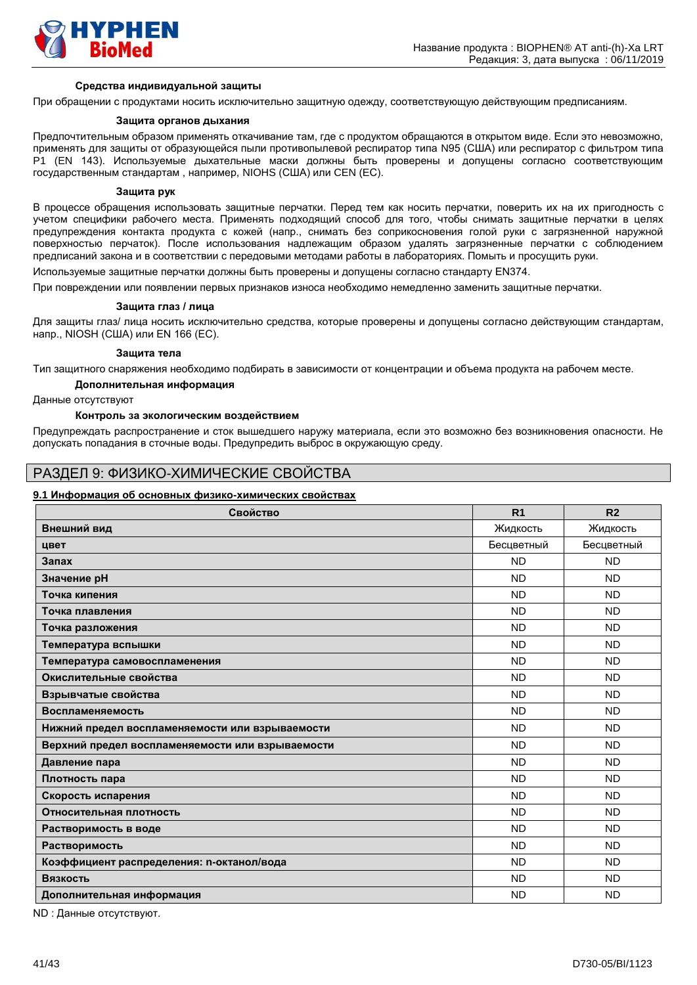

#### **Средства индивидуальной защиты**

При обращении с продуктами носить исключительно защитную одежду, соответствующую действующим предписаниям.

#### **Защита органов дыхания**

Предпочтительным образом применять откачивание там, где с продуктом обращаются в открытом виде. Если это невозможно, применять для защиты от образующейся пыли противопылевой респиратор типа N95 (США) или респиратор с фильтром типа P1 (EN 143). Используемые дыхательные маски должны быть проверены и допущены согласно соответствующим государственным стандартам , например, NIOHS (США) или CEN (EС).

#### **Защита рук**

В процессе обращения использовать защитные перчатки. Перед тем как носить перчатки, поверить их на их пригодность с учетом специфики рабочего места. Применять подходящий способ для того, чтобы снимать защитные перчатки в целях предупреждения контакта продукта с кожей (напр., снимать без соприкосновения голой руки с загрязненной наружной поверхностью перчаток). После использования надлежащим образом удалять загрязненные перчатки с соблюдением предписаний закона и в соответствии с передовыми методами работы в лабораториях. Помыть и просущить руки.

Используемые защитные перчатки должны быть проверены и допущены согласно стандарту EN374.

При повреждении или появлении первых признаков износа необходимо немедленно заменить защитные перчатки.

#### **Защита глаз / лица**

Для защиты глаз/ лица носить исключительно средства, которые проверены и допущены согласно действующим стандартам, напр., NIOSH (США) или EN 166 (EС).

#### **Защита тела**

Тип защитного снаряжения необходимо подбирать в зависимости от концентрации и объема продукта на рабочем месте.

#### **Дополнительная информация**

Данные отсутствуют

#### **Контроль за экологическим воздействием**

Предупреждать распространение и сток вышедшего наружу материала, если это возможно без возникновения опасности. Не допускать попадания в сточные воды. Предупредить выброс в окружающую среду.

### РАЗДЕЛ 9: ФИЗИКО-ХИМИЧЕСКИЕ СВОЙСТВА

#### **9.1 Информация об основных физико-химических свойствах**

| Свойство                                         | R <sub>1</sub> | R <sub>2</sub> |
|--------------------------------------------------|----------------|----------------|
| Внешний вид                                      | Жидкость       | Жидкость       |
| цвет                                             | Бесцветный     | Бесцветный     |
| Запах                                            | <b>ND</b>      | <b>ND</b>      |
| Значение рН                                      | <b>ND</b>      | <b>ND</b>      |
| Точка кипения                                    | <b>ND</b>      | <b>ND</b>      |
| Точка плавления                                  | <b>ND</b>      | <b>ND</b>      |
| Точка разложения                                 | <b>ND</b>      | <b>ND</b>      |
| Температура вспышки                              | <b>ND</b>      | <b>ND</b>      |
| Температура самовоспламенения                    | <b>ND</b>      | <b>ND</b>      |
| Окислительные свойства                           | <b>ND</b>      | <b>ND</b>      |
| Взрывчатые свойства                              | <b>ND</b>      | <b>ND</b>      |
| Воспламеняемость                                 | <b>ND</b>      | <b>ND</b>      |
| Нижний предел воспламеняемости или взрываемости  | <b>ND</b>      | <b>ND</b>      |
| Верхний предел воспламеняемости или взрываемости | <b>ND</b>      | <b>ND</b>      |
| Давление пара                                    | <b>ND</b>      | <b>ND</b>      |
| Плотность пара                                   | <b>ND</b>      | <b>ND</b>      |
| Скорость испарения                               | <b>ND</b>      | <b>ND</b>      |
| Относительная плотность                          | <b>ND</b>      | <b>ND</b>      |
| Растворимость в воде                             | <b>ND</b>      | <b>ND</b>      |
| Растворимость                                    | <b>ND</b>      | <b>ND</b>      |
| Коэффициент распределения: n-октанол/вода        | <b>ND</b>      | <b>ND</b>      |
| Вязкость                                         | <b>ND</b>      | <b>ND</b>      |
| Дополнительная информация                        | <b>ND</b>      | <b>ND</b>      |

ND : Данные отсутствуют.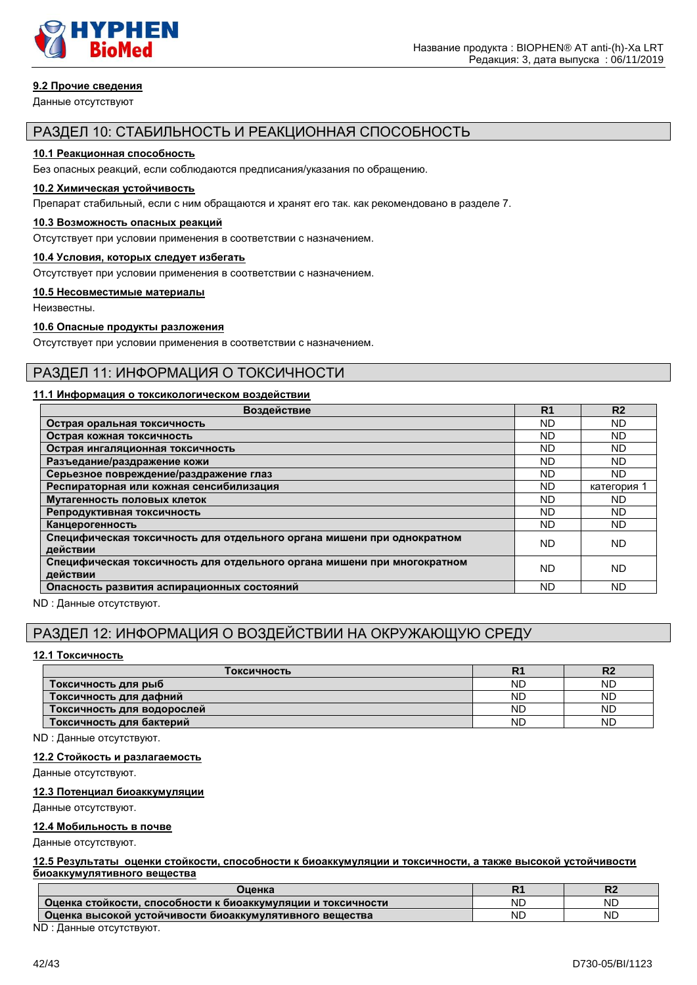

### **9.2 Прочие сведения**

Данные отсутствуют

### РАЗДЕЛ 10: СТАБИЛЬНОСТЬ И РЕАКЦИОННАЯ СПОСОБНОСТЬ

#### **10.1 Реакционная способность**

Без опасных реакций, если соблюдаются предписания/указания по обращению.

#### **10.2 Химическая устойчивость**

Препарат стабильный, если с ним обращаются и хранят его так. как рекомендовано в разделе 7.

#### **10.3 Возможность опасных реакций**

Отсутствует при условии применения в соответствии с назначением.

#### **10.4 Условия, которых следует избегать**

Отсутствует при условии применения в соответствии с назначением.

#### **10.5 Несовместимые материалы**

Неизвестны.

#### **10.6 Опасные продукты разложения**

Отсутствует при условии применения в соответствии с назначением.

### РАЗДЕЛ 11: ИНФОРМАЦИЯ О ТОКСИЧНОСТИ

#### **11.1 Информация о токсикологическом воздействии**

| Воздействие                                                                         | R <sub>1</sub> | R <sub>2</sub> |
|-------------------------------------------------------------------------------------|----------------|----------------|
| Острая оральная токсичность                                                         | ND.            | ND             |
| Острая кожная токсичность                                                           | ND             | ND             |
| Острая ингаляционная токсичность                                                    | ND.            | <b>ND</b>      |
| Разъедание/раздражение кожи                                                         | ND             | ND             |
| Серьезное повреждение/раздражение глаз                                              | ND.            | ND             |
| Респираторная или кожная сенсибилизация                                             | ND.            | категория 1    |
| Мутагенность половых клеток                                                         | ND.            | ND             |
| Репродуктивная токсичность                                                          | ND.            | ND             |
| Канцерогенность                                                                     | ND.            | ND             |
| Специфическая токсичность для отдельного органа мишени при однократном<br>действии  | ND             | <b>ND</b>      |
| Специфическая токсичность для отдельного органа мишени при многократном<br>действии | ND.            | ND.            |
| Опасность развития аспирационных состояний                                          | <b>ND</b>      | ND             |

ND : Данные отсутствуют.

### РАЗДЕЛ 12: ИНФОРМАЦИЯ О ВОЗДЕЙСТВИИ НА ОКРУЖАЮЩУЮ СРЕДУ

#### **12.1 Токсичность**

| Токсичность                |           | RΖ  |
|----------------------------|-----------|-----|
| Токсичность для рыб        | <b>ND</b> | ND  |
| Токсичность для дафний     | <b>ND</b> | ND  |
| Токсичность для водорослей | <b>ND</b> | ND  |
| Токсичность для бактерий   | <b>ND</b> | ND. |

ND : Данные отсутствуют.

#### **12.2 Стойкость и разлагаемость**

Данные отсутствуют.

#### **12.3 Потенциал биоаккумуляции**

Данные отсутствуют.

#### **12.4 Мобильность в почве**

Данные отсутствуют.

**12.5 Результаты оценки стойкости, способности к биоаккумуляции и токсичности, а также высокой устойчивости биоаккумулятивного вещества** 

| Оценка                                                       |           |           |
|--------------------------------------------------------------|-----------|-----------|
| Оценка стойкости, способности к биоаккумуляции и токсичности | <b>ND</b> | ΝD        |
| Оценка высокой устойчивости биоаккумулятивного вещества      | ND        | <b>ND</b> |
| $\blacksquare$                                               |           |           |

ND : Данные отсутствуют.